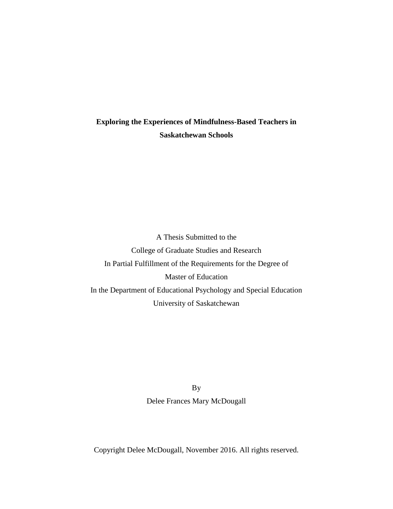# **Exploring the Experiences of Mindfulness-Based Teachers in Saskatchewan Schools**

A Thesis Submitted to the College of Graduate Studies and Research In Partial Fulfillment of the Requirements for the Degree of Master of Education In the Department of Educational Psychology and Special Education University of Saskatchewan

> By Delee Frances Mary McDougall

Copyright Delee McDougall, November 2016. All rights reserved.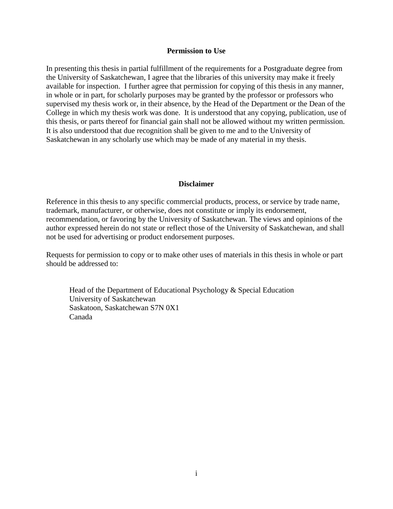## **Permission to Use**

In presenting this thesis in partial fulfillment of the requirements for a Postgraduate degree from the University of Saskatchewan, I agree that the libraries of this university may make it freely available for inspection. I further agree that permission for copying of this thesis in any manner, in whole or in part, for scholarly purposes may be granted by the professor or professors who supervised my thesis work or, in their absence, by the Head of the Department or the Dean of the College in which my thesis work was done. It is understood that any copying, publication, use of this thesis, or parts thereof for financial gain shall not be allowed without my written permission. It is also understood that due recognition shall be given to me and to the University of Saskatchewan in any scholarly use which may be made of any material in my thesis.

## **Disclaimer**

Reference in this thesis to any specific commercial products, process, or service by trade name, trademark, manufacturer, or otherwise, does not constitute or imply its endorsement, recommendation, or favoring by the University of Saskatchewan. The views and opinions of the author expressed herein do not state or reflect those of the University of Saskatchewan, and shall not be used for advertising or product endorsement purposes.

Requests for permission to copy or to make other uses of materials in this thesis in whole or part should be addressed to:

Head of the Department of Educational Psychology & Special Education University of Saskatchewan Saskatoon, Saskatchewan S7N 0X1 Canada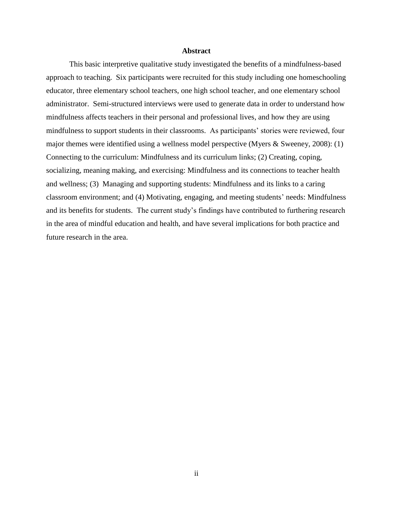## **Abstract**

This basic interpretive qualitative study investigated the benefits of a mindfulness-based approach to teaching. Six participants were recruited for this study including one homeschooling educator, three elementary school teachers, one high school teacher, and one elementary school administrator. Semi-structured interviews were used to generate data in order to understand how mindfulness affects teachers in their personal and professional lives, and how they are using mindfulness to support students in their classrooms. As participants' stories were reviewed, four major themes were identified using a wellness model perspective (Myers & Sweeney, 2008): (1) Connecting to the curriculum: Mindfulness and its curriculum links; (2) Creating, coping, socializing, meaning making, and exercising: Mindfulness and its connections to teacher health and wellness; (3) Managing and supporting students: Mindfulness and its links to a caring classroom environment; and (4) Motivating, engaging, and meeting students' needs: Mindfulness and its benefits for students. The current study's findings have contributed to furthering research in the area of mindful education and health, and have several implications for both practice and future research in the area.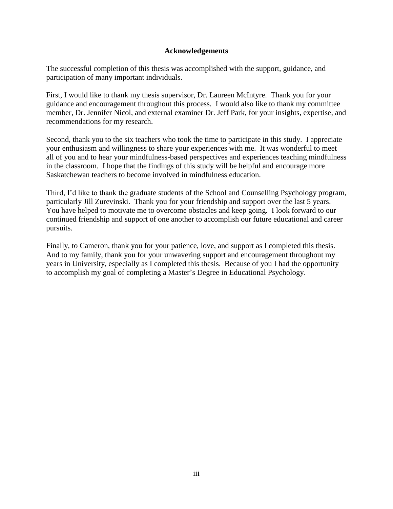## **Acknowledgements**

The successful completion of this thesis was accomplished with the support, guidance, and participation of many important individuals.

First, I would like to thank my thesis supervisor, Dr. Laureen McIntyre. Thank you for your guidance and encouragement throughout this process. I would also like to thank my committee member, Dr. Jennifer Nicol, and external examiner Dr. Jeff Park, for your insights, expertise, and recommendations for my research.

Second, thank you to the six teachers who took the time to participate in this study. I appreciate your enthusiasm and willingness to share your experiences with me. It was wonderful to meet all of you and to hear your mindfulness-based perspectives and experiences teaching mindfulness in the classroom. I hope that the findings of this study will be helpful and encourage more Saskatchewan teachers to become involved in mindfulness education.

Third, I'd like to thank the graduate students of the School and Counselling Psychology program, particularly Jill Zurevinski. Thank you for your friendship and support over the last 5 years. You have helped to motivate me to overcome obstacles and keep going. I look forward to our continued friendship and support of one another to accomplish our future educational and career pursuits.

Finally, to Cameron, thank you for your patience, love, and support as I completed this thesis. And to my family, thank you for your unwavering support and encouragement throughout my years in University, especially as I completed this thesis. Because of you I had the opportunity to accomplish my goal of completing a Master's Degree in Educational Psychology.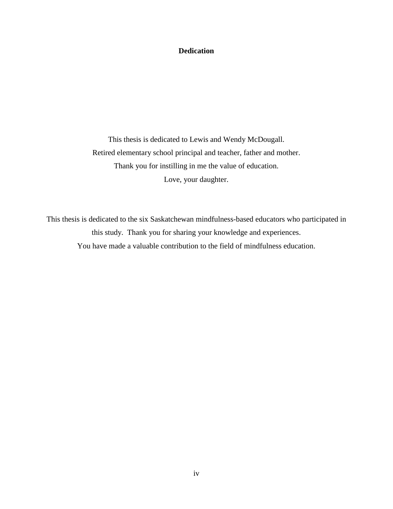## **Dedication**

This thesis is dedicated to Lewis and Wendy McDougall. Retired elementary school principal and teacher, father and mother. Thank you for instilling in me the value of education. Love, your daughter.

This thesis is dedicated to the six Saskatchewan mindfulness-based educators who participated in this study. Thank you for sharing your knowledge and experiences. You have made a valuable contribution to the field of mindfulness education.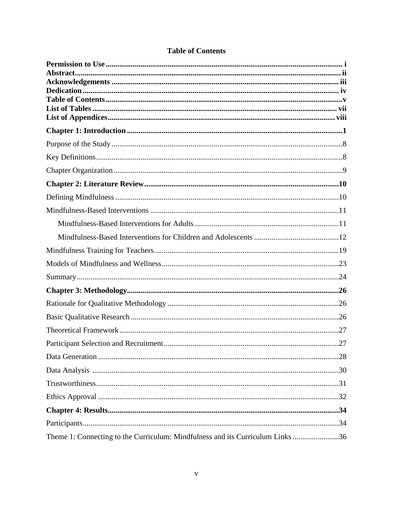| Theme 1: Connecting to the Curriculum: Mindfulness and its Curriculum Links 36 |  |
|--------------------------------------------------------------------------------|--|

# **Table of Contents**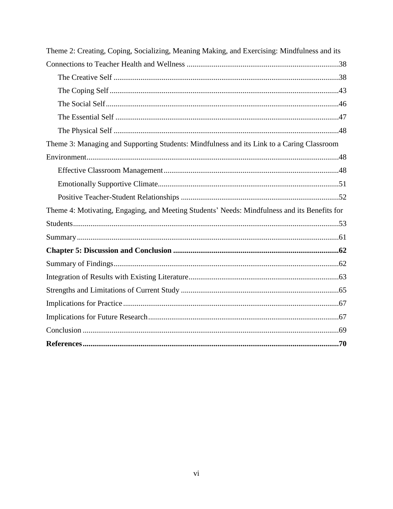| Theme 2: Creating, Coping, Socializing, Meaning Making, and Exercising: Mindfulness and its  |  |
|----------------------------------------------------------------------------------------------|--|
|                                                                                              |  |
|                                                                                              |  |
|                                                                                              |  |
|                                                                                              |  |
|                                                                                              |  |
|                                                                                              |  |
| Theme 3: Managing and Supporting Students: Mindfulness and its Link to a Caring Classroom    |  |
|                                                                                              |  |
|                                                                                              |  |
|                                                                                              |  |
|                                                                                              |  |
| Theme 4: Motivating, Engaging, and Meeting Students' Needs: Mindfulness and its Benefits for |  |
|                                                                                              |  |
|                                                                                              |  |
|                                                                                              |  |
|                                                                                              |  |
|                                                                                              |  |
|                                                                                              |  |
|                                                                                              |  |
|                                                                                              |  |
|                                                                                              |  |
|                                                                                              |  |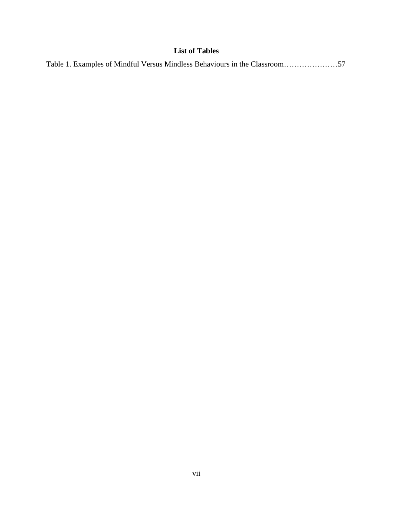## **List of Tables**

|--|--|--|--|--|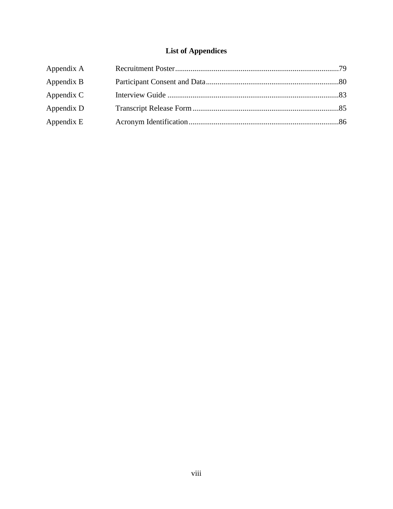# **List of Appendices**

| Appendix A |  |
|------------|--|
| Appendix B |  |
| Appendix C |  |
| Appendix D |  |
| Appendix E |  |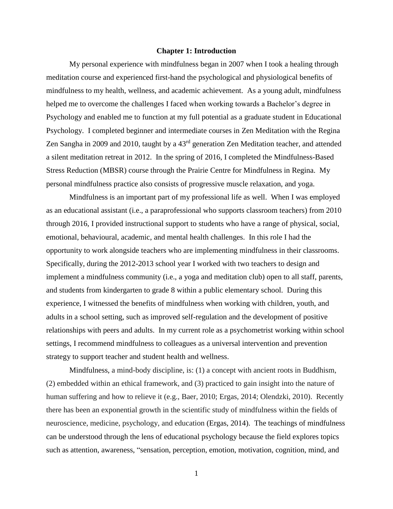## **Chapter 1: Introduction**

My personal experience with mindfulness began in 2007 when I took a healing through meditation course and experienced first-hand the psychological and physiological benefits of mindfulness to my health, wellness, and academic achievement. As a young adult, mindfulness helped me to overcome the challenges I faced when working towards a Bachelor's degree in Psychology and enabled me to function at my full potential as a graduate student in Educational Psychology. I completed beginner and intermediate courses in Zen Meditation with the Regina Zen Sangha in 2009 and 2010, taught by a 43<sup>rd</sup> generation Zen Meditation teacher, and attended a silent meditation retreat in 2012. In the spring of 2016, I completed the Mindfulness-Based Stress Reduction (MBSR) course through the Prairie Centre for Mindfulness in Regina. My personal mindfulness practice also consists of progressive muscle relaxation, and yoga.

Mindfulness is an important part of my professional life as well. When I was employed as an educational assistant (i.e., a paraprofessional who supports classroom teachers) from 2010 through 2016, I provided instructional support to students who have a range of physical, social, emotional, behavioural, academic, and mental health challenges. In this role I had the opportunity to work alongside teachers who are implementing mindfulness in their classrooms. Specifically, during the 2012-2013 school year I worked with two teachers to design and implement a mindfulness community (i.e., a yoga and meditation club) open to all staff, parents, and students from kindergarten to grade 8 within a public elementary school. During this experience, I witnessed the benefits of mindfulness when working with children, youth, and adults in a school setting, such as improved self-regulation and the development of positive relationships with peers and adults. In my current role as a psychometrist working within school settings, I recommend mindfulness to colleagues as a universal intervention and prevention strategy to support teacher and student health and wellness.

Mindfulness, a mind-body discipline, is: (1) a concept with ancient roots in Buddhism, (2) embedded within an ethical framework, and (3) practiced to gain insight into the nature of human suffering and how to relieve it (e.g., Baer, 2010; Ergas, 2014; Olendzki, 2010). Recently there has been an exponential growth in the scientific study of mindfulness within the fields of neuroscience, medicine, psychology, and education (Ergas, 2014). The teachings of mindfulness can be understood through the lens of educational psychology because the field explores topics such as attention, awareness, "sensation, perception, emotion, motivation, cognition, mind, and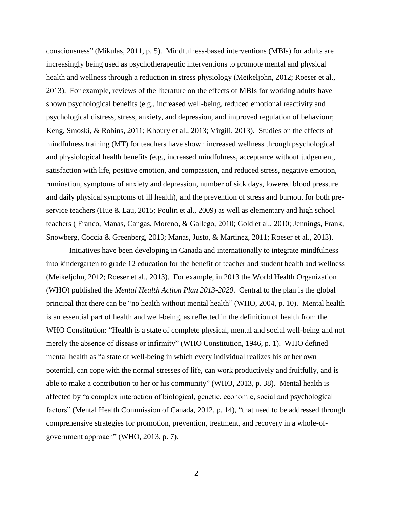consciousness" (Mikulas, 2011, p. 5). Mindfulness-based interventions (MBIs) for adults are increasingly being used as psychotherapeutic interventions to promote mental and physical health and wellness through a reduction in stress physiology (Meikeljohn, 2012; Roeser et al., 2013). For example, reviews of the literature on the effects of MBIs for working adults have shown psychological benefits (e.g., increased well-being, reduced emotional reactivity and psychological distress, stress, anxiety, and depression, and improved regulation of behaviour; Keng, Smoski, & Robins, 2011; Khoury et al., 2013; Virgili, 2013). Studies on the effects of mindfulness training (MT) for teachers have shown increased wellness through psychological and physiological health benefits (e.g., increased mindfulness, acceptance without judgement, satisfaction with life, positive emotion, and compassion, and reduced stress, negative emotion, rumination, symptoms of anxiety and depression, number of sick days, lowered blood pressure and daily physical symptoms of ill health), and the prevention of stress and burnout for both preservice teachers (Hue & Lau, 2015; Poulin et al., 2009) as well as elementary and high school teachers ( Franco, Manas, Cangas, Moreno, & Gallego, 2010; Gold et al., 2010; Jennings, Frank, Snowberg, Coccia & Greenberg, 2013; Manas, Justo, & Martinez, 2011; Roeser et al., 2013).

Initiatives have been developing in Canada and internationally to integrate mindfulness into kindergarten to grade 12 education for the benefit of teacher and student health and wellness (Meikeljohn, 2012; Roeser et al., 2013). For example, in 2013 the World Health Organization (WHO) published the *Mental Health Action Plan 2013-2020*. Central to the plan is the global principal that there can be "no health without mental health" (WHO, 2004, p. 10). Mental health is an essential part of health and well-being, as reflected in the definition of health from the WHO Constitution: "Health is a state of complete physical, mental and social well-being and not merely the absence of disease or infirmity" (WHO Constitution, 1946, p. 1). WHO defined mental health as "a state of well-being in which every individual realizes his or her own potential, can cope with the normal stresses of life, can work productively and fruitfully, and is able to make a contribution to her or his community" (WHO, 2013, p. 38). Mental health is affected by "a complex interaction of biological, genetic, economic, social and psychological factors" (Mental Health Commission of Canada, 2012, p. 14), "that need to be addressed through comprehensive strategies for promotion, prevention, treatment, and recovery in a whole-ofgovernment approach" (WHO, 2013, p. 7).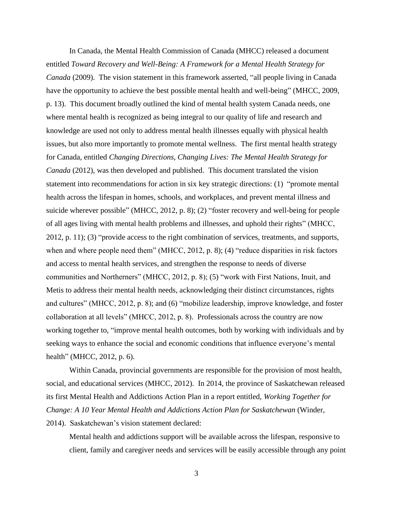In Canada, the Mental Health Commission of Canada (MHCC) released a document entitled *Toward Recovery and Well-Being: A Framework for a Mental Health Strategy for Canada* (2009). The vision statement in this framework asserted, "all people living in Canada have the opportunity to achieve the best possible mental health and well-being" (MHCC, 2009, p. 13). This document broadly outlined the kind of mental health system Canada needs, one where mental health is recognized as being integral to our quality of life and research and knowledge are used not only to address mental health illnesses equally with physical health issues, but also more importantly to promote mental wellness. The first mental health strategy for Canada, entitled *Changing Directions, Changing Lives: The Mental Health Strategy for Canada* (2012), was then developed and published. This document translated the vision statement into recommendations for action in six key strategic directions: (1) "promote mental health across the lifespan in homes, schools, and workplaces, and prevent mental illness and suicide wherever possible" (MHCC, 2012, p. 8); (2) "foster recovery and well-being for people of all ages living with mental health problems and illnesses, and uphold their rights" (MHCC, 2012, p. 11); (3) "provide access to the right combination of services, treatments, and supports, when and where people need them" (MHCC, 2012, p. 8); (4) "reduce disparities in risk factors and access to mental health services, and strengthen the response to needs of diverse communities and Northerners" (MHCC, 2012, p. 8); (5) "work with First Nations, Inuit, and Metis to address their mental health needs, acknowledging their distinct circumstances, rights and cultures" (MHCC, 2012, p. 8); and (6) "mobilize leadership, improve knowledge, and foster collaboration at all levels" (MHCC, 2012, p. 8). Professionals across the country are now working together to, "improve mental health outcomes, both by working with individuals and by seeking ways to enhance the social and economic conditions that influence everyone's mental health" (MHCC, 2012, p. 6).

Within Canada, provincial governments are responsible for the provision of most health, social, and educational services (MHCC, 2012). In 2014, the province of Saskatchewan released its first Mental Health and Addictions Action Plan in a report entitled, *Working Together for Change: A 10 Year Mental Health and Addictions Action Plan for Saskatchewan* (Winder, 2014). Saskatchewan's vision statement declared:

Mental health and addictions support will be available across the lifespan, responsive to client, family and caregiver needs and services will be easily accessible through any point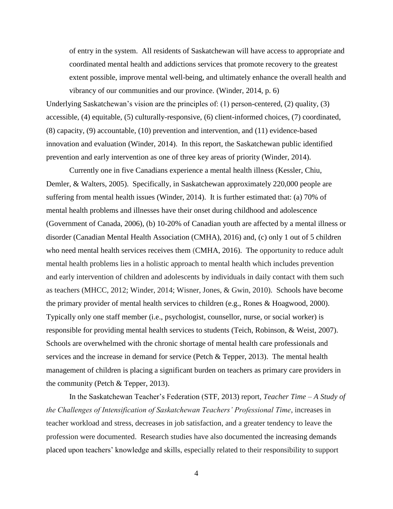of entry in the system. All residents of Saskatchewan will have access to appropriate and coordinated mental health and addictions services that promote recovery to the greatest extent possible, improve mental well-being, and ultimately enhance the overall health and vibrancy of our communities and our province. (Winder, 2014, p. 6)

Underlying Saskatchewan's vision are the principles of: (1) person-centered, (2) quality, (3) accessible, (4) equitable, (5) culturally-responsive, (6) client-informed choices, (7) coordinated, (8) capacity, (9) accountable, (10) prevention and intervention, and (11) evidence-based innovation and evaluation (Winder, 2014). In this report, the Saskatchewan public identified prevention and early intervention as one of three key areas of priority (Winder, 2014).

Currently one in five Canadians experience a mental health illness (Kessler, Chiu, Demler, & Walters, 2005). Specifically, in Saskatchewan approximately 220,000 people are suffering from mental health issues (Winder, 2014). It is further estimated that: (a) 70% of mental health problems and illnesses have their onset during childhood and adolescence (Government of Canada, 2006), (b) 10-20% of Canadian youth are affected by a mental illness or disorder (Canadian Mental Health Association (CMHA), 2016) and, (c) only 1 out of 5 children who need mental health services receives them (CMHA, 2016). The opportunity to reduce adult mental health problems lies in a holistic approach to mental health which includes prevention and early intervention of children and adolescents by individuals in daily contact with them such as teachers (MHCC, 2012; Winder, 2014; Wisner, Jones, & Gwin, 2010). Schools have become the primary provider of mental health services to children (e.g., Rones & Hoagwood, 2000). Typically only one staff member (i.e., psychologist, counsellor, nurse, or social worker) is responsible for providing mental health services to students (Teich, Robinson, & Weist, 2007). Schools are overwhelmed with the chronic shortage of mental health care professionals and services and the increase in demand for service (Petch & Tepper, 2013). The mental health management of children is placing a significant burden on teachers as primary care providers in the community (Petch & Tepper, 2013).

In the Saskatchewan Teacher's Federation (STF, 2013) report, *Teacher Time – A Study of the Challenges of Intensification of Saskatchewan Teachers' Professional Time,* increases in teacher workload and stress, decreases in job satisfaction, and a greater tendency to leave the profession were documented. Research studies have also documented the increasing demands placed upon teachers' knowledge and skills, especially related to their responsibility to support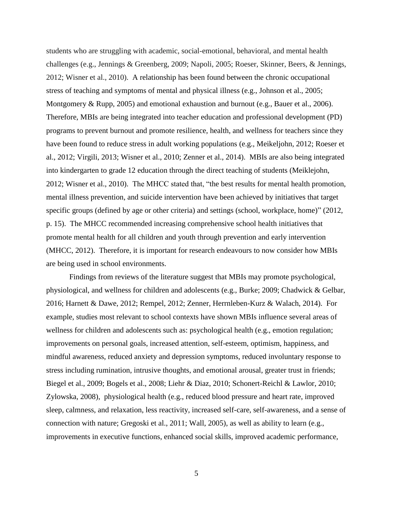students who are struggling with academic, social-emotional, behavioral, and mental health challenges (e.g., Jennings & Greenberg, 2009; Napoli, 2005; Roeser, Skinner, Beers, & Jennings, 2012; Wisner et al., 2010). A relationship has been found between the chronic occupational stress of teaching and symptoms of mental and physical illness (e.g., Johnson et al., 2005; Montgomery & Rupp, 2005) and emotional exhaustion and burnout (e.g., Bauer et al., 2006). Therefore, MBIs are being integrated into teacher education and professional development (PD) programs to prevent burnout and promote resilience, health, and wellness for teachers since they have been found to reduce stress in adult working populations (e.g., Meikeljohn, 2012; Roeser et al., 2012; Virgili, 2013; Wisner et al., 2010; Zenner et al., 2014). MBIs are also being integrated into kindergarten to grade 12 education through the direct teaching of students (Meiklejohn, 2012; Wisner et al., 2010). The MHCC stated that, "the best results for mental health promotion, mental illness prevention, and suicide intervention have been achieved by initiatives that target specific groups (defined by age or other criteria) and settings (school, workplace, home)" (2012, p. 15). The MHCC recommended increasing comprehensive school health initiatives that promote mental health for all children and youth through prevention and early intervention (MHCC, 2012). Therefore, it is important for research endeavours to now consider how MBIs are being used in school environments.

Findings from reviews of the literature suggest that MBIs may promote psychological, physiological, and wellness for children and adolescents (e.g., Burke; 2009; Chadwick & Gelbar, 2016; Harnett & Dawe, 2012; Rempel, 2012; Zenner, Herrnleben-Kurz & Walach, 2014). For example, studies most relevant to school contexts have shown MBIs influence several areas of wellness for children and adolescents such as: psychological health (e.g., emotion regulation; improvements on personal goals, increased attention, self-esteem, optimism, happiness, and mindful awareness, reduced anxiety and depression symptoms, reduced involuntary response to stress including rumination, intrusive thoughts, and emotional arousal, greater trust in friends; Biegel et al., 2009; Bogels et al., 2008; Liehr & Diaz, 2010; Schonert-Reichl & Lawlor, 2010; Zylowska, 2008), physiological health (e.g., reduced blood pressure and heart rate, improved sleep, calmness, and relaxation, less reactivity, increased self-care, self-awareness, and a sense of connection with nature; Gregoski et al., 2011; Wall, 2005), as well as ability to learn (e.g., improvements in executive functions, enhanced social skills, improved academic performance,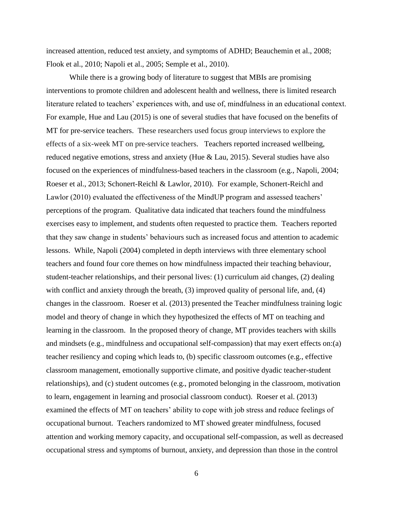increased attention, reduced test anxiety, and symptoms of ADHD; Beauchemin et al., 2008; Flook et al., 2010; Napoli et al., 2005; Semple et al., 2010).

While there is a growing body of literature to suggest that MBIs are promising interventions to promote children and adolescent health and wellness, there is limited research literature related to teachers' experiences with, and use of, mindfulness in an educational context. For example, Hue and Lau (2015) is one of several studies that have focused on the benefits of MT for pre-service teachers. These researchers used focus group interviews to explore the effects of a six-week MT on pre-service teachers. Teachers reported increased wellbeing, reduced negative emotions, stress and anxiety (Hue & Lau, 2015). Several studies have also focused on the experiences of mindfulness-based teachers in the classroom (e.g., Napoli, 2004; Roeser et al., 2013; Schonert-Reichl & Lawlor, 2010). For example, Schonert-Reichl and Lawlor (2010) evaluated the effectiveness of the MindUP program and assessed teachers' perceptions of the program. Qualitative data indicated that teachers found the mindfulness exercises easy to implement, and students often requested to practice them. Teachers reported that they saw change in students' behaviours such as increased focus and attention to academic lessons. While, Napoli (2004) completed in depth interviews with three elementary school teachers and found four core themes on how mindfulness impacted their teaching behaviour, student-teacher relationships, and their personal lives: (1) curriculum aid changes, (2) dealing with conflict and anxiety through the breath, (3) improved quality of personal life, and, (4) changes in the classroom. Roeser et al. (2013) presented the Teacher mindfulness training logic model and theory of change in which they hypothesized the effects of MT on teaching and learning in the classroom. In the proposed theory of change, MT provides teachers with skills and mindsets (e.g., mindfulness and occupational self-compassion) that may exert effects on:(a) teacher resiliency and coping which leads to, (b) specific classroom outcomes (e.g., effective classroom management, emotionally supportive climate, and positive dyadic teacher-student relationships), and (c) student outcomes (e.g., promoted belonging in the classroom, motivation to learn, engagement in learning and prosocial classroom conduct). Roeser et al. (2013) examined the effects of MT on teachers' ability to cope with job stress and reduce feelings of occupational burnout. Teachers randomized to MT showed greater mindfulness, focused attention and working memory capacity, and occupational self-compassion, as well as decreased occupational stress and symptoms of burnout, anxiety, and depression than those in the control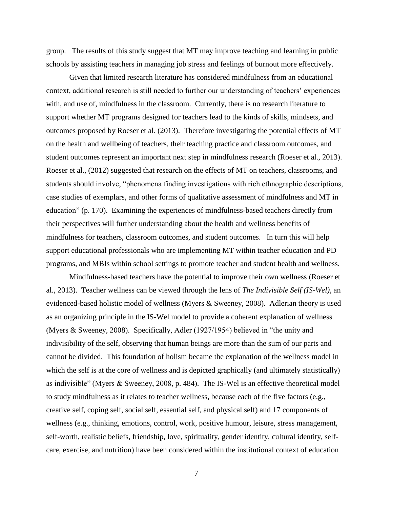group. The results of this study suggest that MT may improve teaching and learning in public schools by assisting teachers in managing job stress and feelings of burnout more effectively.

Given that limited research literature has considered mindfulness from an educational context, additional research is still needed to further our understanding of teachers' experiences with, and use of, mindfulness in the classroom. Currently, there is no research literature to support whether MT programs designed for teachers lead to the kinds of skills, mindsets, and outcomes proposed by Roeser et al. (2013). Therefore investigating the potential effects of MT on the health and wellbeing of teachers, their teaching practice and classroom outcomes, and student outcomes represent an important next step in mindfulness research (Roeser et al., 2013). Roeser et al., (2012) suggested that research on the effects of MT on teachers, classrooms, and students should involve, "phenomena finding investigations with rich ethnographic descriptions, case studies of exemplars, and other forms of qualitative assessment of mindfulness and MT in education" (p. 170). Examining the experiences of mindfulness-based teachers directly from their perspectives will further understanding about the health and wellness benefits of mindfulness for teachers, classroom outcomes, and student outcomes. In turn this will help support educational professionals who are implementing MT within teacher education and PD programs, and MBIs within school settings to promote teacher and student health and wellness.

Mindfulness-based teachers have the potential to improve their own wellness (Roeser et al., 2013). Teacher wellness can be viewed through the lens of *The Indivisible Self (IS-Wel)*, an evidenced-based holistic model of wellness (Myers & Sweeney, 2008)*.* Adlerian theory is used as an organizing principle in the IS-Wel model to provide a coherent explanation of wellness (Myers & Sweeney, 2008). Specifically, Adler (1927/1954) believed in "the unity and indivisibility of the self, observing that human beings are more than the sum of our parts and cannot be divided. This foundation of holism became the explanation of the wellness model in which the self is at the core of wellness and is depicted graphically (and ultimately statistically) as indivisible" (Myers & Sweeney, 2008, p. 484). The IS-Wel is an effective theoretical model to study mindfulness as it relates to teacher wellness, because each of the five factors (e.g., creative self, coping self, social self, essential self, and physical self) and 17 components of wellness (e.g., thinking, emotions, control, work, positive humour, leisure, stress management, self-worth, realistic beliefs, friendship, love, spirituality, gender identity, cultural identity, selfcare, exercise, and nutrition) have been considered within the institutional context of education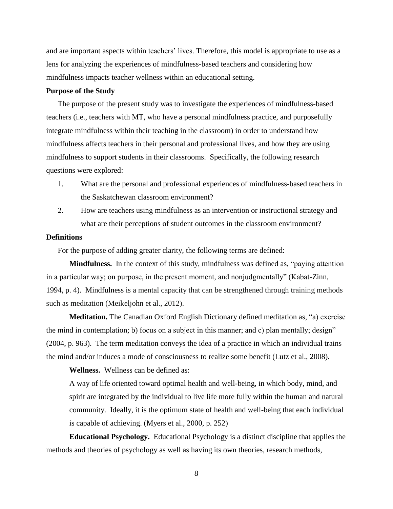and are important aspects within teachers' lives. Therefore, this model is appropriate to use as a lens for analyzing the experiences of mindfulness-based teachers and considering how mindfulness impacts teacher wellness within an educational setting.

## **Purpose of the Study**

The purpose of the present study was to investigate the experiences of mindfulness-based teachers (i.e., teachers with MT, who have a personal mindfulness practice, and purposefully integrate mindfulness within their teaching in the classroom) in order to understand how mindfulness affects teachers in their personal and professional lives, and how they are using mindfulness to support students in their classrooms. Specifically, the following research questions were explored:

- 1. What are the personal and professional experiences of mindfulness-based teachers in the Saskatchewan classroom environment?
- 2. How are teachers using mindfulness as an intervention or instructional strategy and what are their perceptions of student outcomes in the classroom environment?

## **Definitions**

For the purpose of adding greater clarity, the following terms are defined:

**Mindfulness.** In the context of this study, mindfulness was defined as, "paying attention in a particular way; on purpose, in the present moment, and nonjudgmentally" (Kabat-Zinn, 1994, p. 4). Mindfulness is a mental capacity that can be strengthened through training methods such as meditation (Meikeljohn et al., 2012).

**Meditation.** The Canadian Oxford English Dictionary defined meditation as, "a) exercise the mind in contemplation; b) focus on a subject in this manner; and c) plan mentally; design" (2004, p. 963). The term meditation conveys the idea of a practice in which an individual trains the [mind](http://en.wikipedia.org/wiki/Mind) and/or induces a [mode of consciousness](http://en.wikipedia.org/wiki/Consciousness#States_of_consciousness) to realize some benefit (Lutz et al., 2008).

**Wellness.** Wellness can be defined as:

A way of life oriented toward optimal health and well-being, in which body, mind, and spirit are integrated by the individual to live life more fully within the human and natural community. Ideally, it is the optimum state of health and well-being that each individual is capable of achieving. (Myers et al., 2000, p. 252)

**Educational Psychology.** Educational Psychology is a distinct discipline that applies the methods and theories of psychology as well as having its own theories, research methods,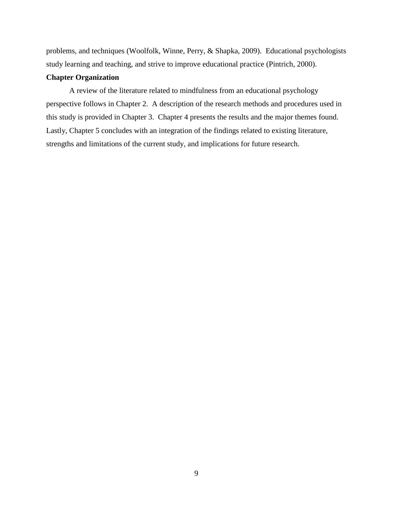problems, and techniques (Woolfolk, Winne, Perry, & Shapka, 2009). Educational psychologists study learning and teaching, and strive to improve educational practice (Pintrich, 2000).

## **Chapter Organization**

A review of the literature related to mindfulness from an educational psychology perspective follows in Chapter 2. A description of the research methods and procedures used in this study is provided in Chapter 3. Chapter 4 presents the results and the major themes found. Lastly, Chapter 5 concludes with an integration of the findings related to existing literature, strengths and limitations of the current study, and implications for future research.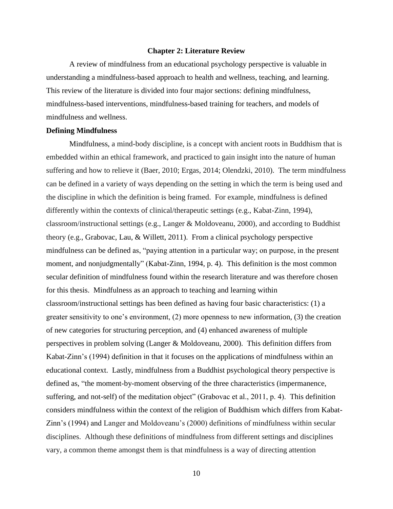#### **Chapter 2: Literature Review**

A review of mindfulness from an educational psychology perspective is valuable in understanding a mindfulness-based approach to health and wellness, teaching, and learning. This review of the literature is divided into four major sections: defining mindfulness, mindfulness-based interventions, mindfulness-based training for teachers, and models of mindfulness and wellness.

#### **Defining Mindfulness**

Mindfulness, a mind-body discipline, is a concept with ancient roots in Buddhism that is embedded within an ethical framework, and practiced to gain insight into the nature of human suffering and how to relieve it (Baer, 2010; Ergas, 2014; Olendzki, 2010). The term mindfulness can be defined in a variety of ways depending on the setting in which the term is being used and the discipline in which the definition is being framed. For example, mindfulness is defined differently within the contexts of clinical/therapeutic settings (e.g., Kabat-Zinn, 1994), classroom/instructional settings (e.g., Langer & Moldoveanu, 2000), and according to Buddhist theory (e.g., Grabovac, Lau, & Willett, 2011). From a clinical psychology perspective mindfulness can be defined as, "paying attention in a particular way; on purpose, in the present moment, and nonjudgmentally" (Kabat-Zinn, 1994, p. 4). This definition is the most common secular definition of mindfulness found within the research literature and was therefore chosen for this thesis. Mindfulness as an approach to teaching and learning within classroom/instructional settings has been defined as having four basic characteristics: (1) a greater sensitivity to one's environment, (2) more openness to new information, (3) the creation of new categories for structuring perception, and (4) enhanced awareness of multiple perspectives in problem solving (Langer & Moldoveanu, 2000). This definition differs from Kabat-Zinn's (1994) definition in that it focuses on the applications of mindfulness within an educational context. Lastly, mindfulness from a Buddhist psychological theory perspective is defined as, "the moment-by-moment observing of the three characteristics (impermanence, suffering, and not-self) of the meditation object" (Grabovac et al., 2011, p. 4). This definition considers mindfulness within the context of the religion of Buddhism which differs from Kabat-Zinn's (1994) and Langer and Moldoveanu's (2000) definitions of mindfulness within secular disciplines. Although these definitions of mindfulness from different settings and disciplines vary, a common theme amongst them is that mindfulness is a way of directing attention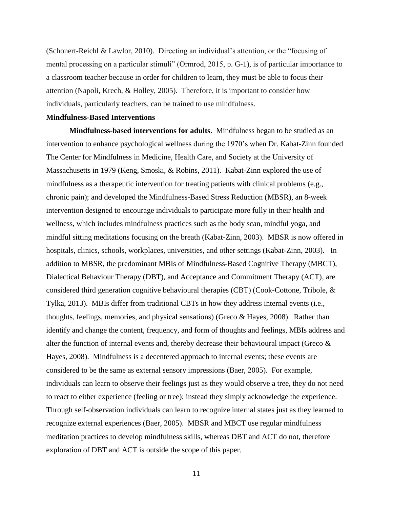(Schonert-Reichl & Lawlor, 2010). Directing an individual's attention, or the "focusing of mental processing on a particular stimuli" (Ormrod, 2015, p. G-1), is of particular importance to a classroom teacher because in order for children to learn, they must be able to focus their attention (Napoli, Krech, & Holley, 2005). Therefore, it is important to consider how individuals, particularly teachers, can be trained to use mindfulness.

## **Mindfulness-Based Interventions**

**Mindfulness-based interventions for adults.** Mindfulness began to be studied as an intervention to enhance psychological wellness during the 1970's when Dr. Kabat-Zinn founded The Center for Mindfulness in Medicine, Health Care, and Society at the University of Massachusetts in 1979 (Keng, Smoski, & Robins, 2011). Kabat-Zinn explored the use of mindfulness as a therapeutic intervention for treating patients with clinical problems (e.g., chronic pain); and developed the Mindfulness-Based Stress Reduction (MBSR), an 8-week intervention designed to encourage individuals to participate more fully in their health and wellness, which includes mindfulness practices such as the body scan, mindful yoga, and mindful sitting meditations focusing on the breath (Kabat-Zinn, 2003). MBSR is now offered in hospitals, clinics, schools, workplaces, universities, and other settings (Kabat-Zinn, 2003). In addition to MBSR, the predominant MBIs of Mindfulness-Based Cognitive Therapy (MBCT), Dialectical Behaviour Therapy (DBT), and Acceptance and Commitment Therapy (ACT), are considered third generation cognitive behavioural therapies (CBT) (Cook-Cottone, Tribole, & Tylka, 2013). MBIs differ from traditional CBTs in how they address internal events (i.e., thoughts, feelings, memories, and physical sensations) (Greco & Hayes, 2008). Rather than identify and change the content, frequency, and form of thoughts and feelings, MBIs address and alter the function of internal events and, thereby decrease their behavioural impact (Greco  $\&$ Hayes, 2008). Mindfulness is a decentered approach to internal events; these events are considered to be the same as external sensory impressions (Baer, 2005). For example, individuals can learn to observe their feelings just as they would observe a tree, they do not need to react to either experience (feeling or tree); instead they simply acknowledge the experience. Through self-observation individuals can learn to recognize internal states just as they learned to recognize external experiences (Baer, 2005). MBSR and MBCT use regular mindfulness meditation practices to develop mindfulness skills, whereas DBT and ACT do not, therefore exploration of DBT and ACT is outside the scope of this paper.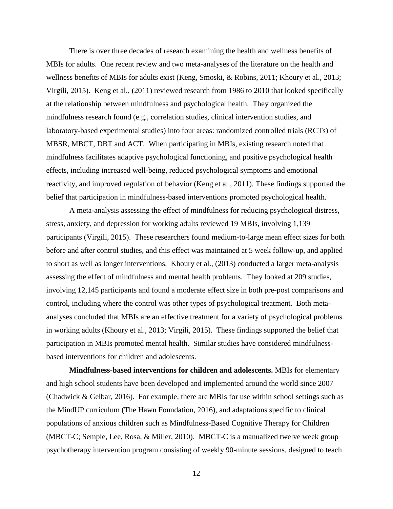There is over three decades of research examining the health and wellness benefits of MBIs for adults. One recent review and two meta-analyses of the literature on the health and wellness benefits of MBIs for adults exist (Keng, Smoski, & Robins, 2011; Khoury et al., 2013; Virgili, 2015). Keng et al., (2011) reviewed research from 1986 to 2010 that looked specifically at the relationship between mindfulness and psychological health. They organized the mindfulness research found (e.g., correlation studies, clinical intervention studies, and laboratory-based experimental studies) into four areas: randomized controlled trials (RCTs) of MBSR, MBCT, DBT and ACT. When participating in MBIs, existing research noted that mindfulness facilitates adaptive psychological functioning, and positive psychological health effects, including increased well-being, reduced psychological symptoms and emotional reactivity, and improved regulation of behavior (Keng et al., 2011). These findings supported the belief that participation in mindfulness-based interventions promoted psychological health.

A meta-analysis assessing the effect of mindfulness for reducing psychological distress, stress, anxiety, and depression for working adults reviewed 19 MBIs, involving 1,139 participants (Virgili, 2015). These researchers found medium-to-large mean effect sizes for both before and after control studies, and this effect was maintained at 5 week follow-up, and applied to short as well as longer interventions. Khoury et al., (2013) conducted a larger meta-analysis assessing the effect of mindfulness and mental health problems. They looked at 209 studies, involving 12,145 participants and found a moderate effect size in both pre-post comparisons and control, including where the control was other types of psychological treatment. Both metaanalyses concluded that MBIs are an effective treatment for a variety of psychological problems in working adults (Khoury et al., 2013; Virgili, 2015). These findings supported the belief that participation in MBIs promoted mental health. Similar studies have considered mindfulnessbased interventions for children and adolescents.

**Mindfulness-based interventions for children and adolescents.** MBIs for elementary and high school students have been developed and implemented around the world since 2007 (Chadwick & Gelbar, 2016). For example, there are MBIs for use within school settings such as the MindUP curriculum (The Hawn Foundation, 2016), and adaptations specific to clinical populations of anxious children such as Mindfulness-Based Cognitive Therapy for Children (MBCT-C; Semple, Lee, Rosa, & Miller, 2010). MBCT-C is a manualized twelve week group psychotherapy intervention program consisting of weekly 90-minute sessions, designed to teach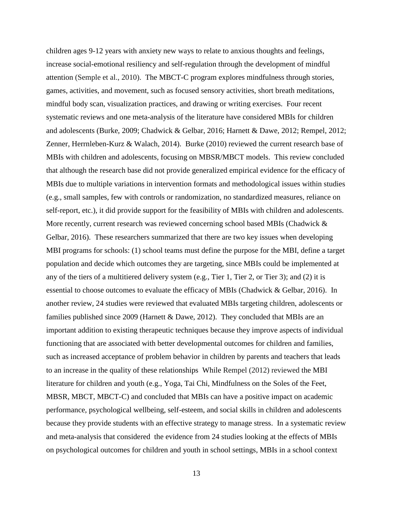children ages 9-12 years with anxiety new ways to relate to anxious thoughts and feelings, increase social-emotional resiliency and self-regulation through the development of mindful attention (Semple et al., 2010). The MBCT-C program explores mindfulness through stories, games, activities, and movement, such as focused sensory activities, short breath meditations, mindful body scan, visualization practices, and drawing or writing exercises. Four recent systematic reviews and one meta-analysis of the literature have considered MBIs for children and adolescents (Burke, 2009; Chadwick & Gelbar, 2016; Harnett & Dawe, 2012; Rempel, 2012; Zenner, Herrnleben-Kurz & Walach, 2014). Burke (2010) reviewed the current research base of MBIs with children and adolescents, focusing on MBSR/MBCT models. This review concluded that although the research base did not provide generalized empirical evidence for the efficacy of MBIs due to multiple variations in intervention formats and methodological issues within studies (e.g., small samples, few with controls or randomization, no standardized measures, reliance on self-report, etc.), it did provide support for the feasibility of MBIs with children and adolescents. More recently, current research was reviewed concerning school based MBIs (Chadwick  $\&$ Gelbar, 2016). These researchers summarized that there are two key issues when developing MBI programs for schools: (1) school teams must define the purpose for the MBI, define a target population and decide which outcomes they are targeting, since MBIs could be implemented at any of the tiers of a multitiered delivery system (e.g., Tier 1, Tier 2, or Tier 3); and (2) it is essential to choose outcomes to evaluate the efficacy of MBIs (Chadwick & Gelbar, 2016). In another review, 24 studies were reviewed that evaluated MBIs targeting children, adolescents or families published since 2009 (Harnett & Dawe, 2012). They concluded that MBIs are an important addition to existing therapeutic techniques because they improve aspects of individual functioning that are associated with better developmental outcomes for children and families, such as increased acceptance of problem behavior in children by parents and teachers that leads to an increase in the quality of these relationships While Rempel (2012) reviewed the MBI literature for children and youth (e.g., Yoga, Tai Chi, Mindfulness on the Soles of the Feet, MBSR, MBCT, MBCT-C) and concluded that MBIs can have a positive impact on academic performance, psychological wellbeing, self-esteem, and social skills in children and adolescents because they provide students with an effective strategy to manage stress. In a systematic review and meta-analysis that considered the evidence from 24 studies looking at the effects of MBIs on psychological outcomes for children and youth in school settings, MBIs in a school context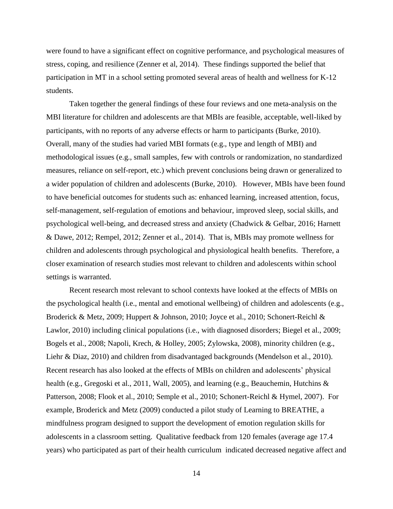were found to have a significant effect on cognitive performance, and psychological measures of stress, coping, and resilience (Zenner et al, 2014). These findings supported the belief that participation in MT in a school setting promoted several areas of health and wellness for K-12 students.

Taken together the general findings of these four reviews and one meta-analysis on the MBI literature for children and adolescents are that MBIs are feasible, acceptable, well-liked by participants, with no reports of any adverse effects or harm to participants (Burke, 2010). Overall, many of the studies had varied MBI formats (e.g., type and length of MBI) and methodological issues (e.g., small samples, few with controls or randomization, no standardized measures, reliance on self-report, etc.) which prevent conclusions being drawn or generalized to a wider population of children and adolescents (Burke, 2010). However, MBIs have been found to have beneficial outcomes for students such as: enhanced learning, increased attention, focus, self-management, self-regulation of emotions and behaviour, improved sleep, social skills, and psychological well-being, and decreased stress and anxiety (Chadwick & Gelbar, 2016; Harnett & Dawe, 2012; Rempel, 2012; Zenner et al., 2014). That is, MBIs may promote wellness for children and adolescents through psychological and physiological health benefits. Therefore, a closer examination of research studies most relevant to children and adolescents within school settings is warranted.

Recent research most relevant to school contexts have looked at the effects of MBIs on the psychological health (i.e., mental and emotional wellbeing) of children and adolescents (e.g., Broderick & Metz, 2009; Huppert & Johnson, 2010; Joyce et al., 2010; Schonert-Reichl & Lawlor, 2010) including clinical populations (i.e., with diagnosed disorders; Biegel et al., 2009; Bogels et al., 2008; Napoli, Krech, & Holley, 2005; Zylowska, 2008), minority children (e.g., Liehr & Diaz, 2010) and children from disadvantaged backgrounds (Mendelson et al., 2010). Recent research has also looked at the effects of MBIs on children and adolescents' physical health (e.g., Gregoski et al., 2011, Wall, 2005), and learning (e.g., Beauchemin, Hutchins & Patterson, 2008; Flook et al., 2010; Semple et al., 2010; Schonert-Reichl & Hymel, 2007). For example, Broderick and Metz (2009) conducted a pilot study of Learning to BREATHE, a mindfulness program designed to support the development of emotion regulation skills for adolescents in a classroom setting. Qualitative feedback from 120 females (average age 17.4 years) who participated as part of their health curriculum indicated decreased negative affect and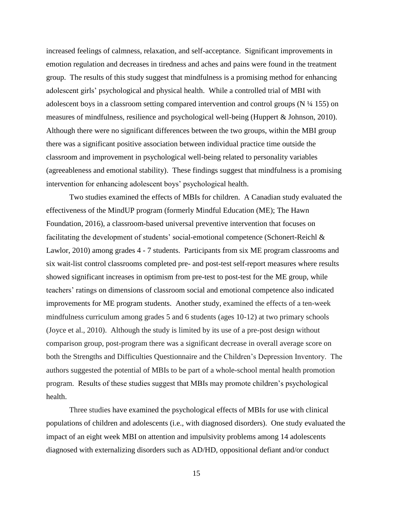increased feelings of calmness, relaxation, and self-acceptance. Significant improvements in emotion regulation and decreases in tiredness and aches and pains were found in the treatment group. The results of this study suggest that mindfulness is a promising method for enhancing adolescent girls' psychological and physical health. While a controlled trial of MBI with adolescent boys in a classroom setting compared intervention and control groups (N ¼ 155) on measures of mindfulness, resilience and psychological well-being (Huppert & Johnson, 2010). Although there were no significant differences between the two groups, within the MBI group there was a significant positive association between individual practice time outside the classroom and improvement in psychological well-being related to personality variables (agreeableness and emotional stability). These findings suggest that mindfulness is a promising intervention for enhancing adolescent boys' psychological health.

Two studies examined the effects of MBIs for children. A Canadian study evaluated the effectiveness of the MindUP program (formerly Mindful Education (ME); The Hawn Foundation, 2016), a classroom-based universal preventive intervention that focuses on facilitating the development of students' social-emotional competence (Schonert-Reichl & Lawlor, 2010) among grades 4 - 7 students. Participants from six ME program classrooms and six wait-list control classrooms completed pre- and post-test self-report measures where results showed significant increases in optimism from pre-test to post-test for the ME group, while teachers' ratings on dimensions of classroom social and emotional competence also indicated improvements for ME program students. Another study, examined the effects of a ten-week mindfulness curriculum among grades 5 and 6 students (ages 10-12) at two primary schools (Joyce et al., 2010). Although the study is limited by its use of a pre-post design without comparison group, post-program there was a significant decrease in overall average score on both the Strengths and Difficulties Questionnaire and the Children's Depression Inventory. The authors suggested the potential of MBIs to be part of a whole-school mental health promotion program. Results of these studies suggest that MBIs may promote children's psychological health.

Three studies have examined the psychological effects of MBIs for use with clinical populations of children and adolescents (i.e., with diagnosed disorders). One study evaluated the impact of an eight week MBI on attention and impulsivity problems among 14 adolescents diagnosed with externalizing disorders such as AD/HD, oppositional defiant and/or conduct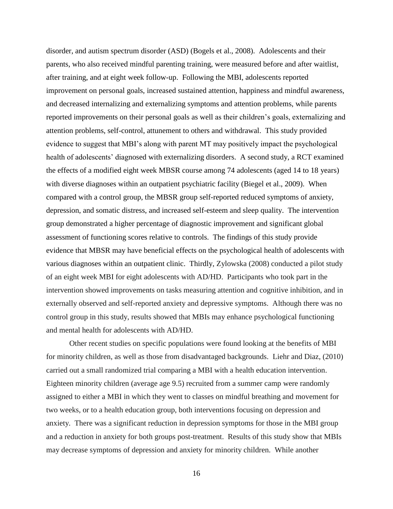disorder, and autism spectrum disorder (ASD) (Bogels et al., 2008). Adolescents and their parents, who also received mindful parenting training, were measured before and after waitlist, after training, and at eight week follow-up. Following the MBI, adolescents reported improvement on personal goals, increased sustained attention, happiness and mindful awareness, and decreased internalizing and externalizing symptoms and attention problems, while parents reported improvements on their personal goals as well as their children's goals, externalizing and attention problems, self-control, attunement to others and withdrawal. This study provided evidence to suggest that MBI's along with parent MT may positively impact the psychological health of adolescents' diagnosed with externalizing disorders. A second study, a RCT examined the effects of a modified eight week MBSR course among 74 adolescents (aged 14 to 18 years) with diverse diagnoses within an outpatient psychiatric facility (Biegel et al., 2009). When compared with a control group, the MBSR group self-reported reduced symptoms of anxiety, depression, and somatic distress, and increased self-esteem and sleep quality. The intervention group demonstrated a higher percentage of diagnostic improvement and significant global assessment of functioning scores relative to controls. The findings of this study provide evidence that MBSR may have beneficial effects on the psychological health of adolescents with various diagnoses within an outpatient clinic. Thirdly, Zylowska (2008) conducted a pilot study of an eight week MBI for eight adolescents with AD/HD. Participants who took part in the intervention showed improvements on tasks measuring attention and cognitive inhibition, and in externally observed and self-reported anxiety and depressive symptoms. Although there was no control group in this study, results showed that MBIs may enhance psychological functioning and mental health for adolescents with AD/HD.

Other recent studies on specific populations were found looking at the benefits of MBI for minority children, as well as those from disadvantaged backgrounds. Liehr and Diaz, (2010) carried out a small randomized trial comparing a MBI with a health education intervention. Eighteen minority children (average age 9.5) recruited from a summer camp were randomly assigned to either a MBI in which they went to classes on mindful breathing and movement for two weeks, or to a health education group, both interventions focusing on depression and anxiety. There was a significant reduction in depression symptoms for those in the MBI group and a reduction in anxiety for both groups post-treatment. Results of this study show that MBIs may decrease symptoms of depression and anxiety for minority children. While another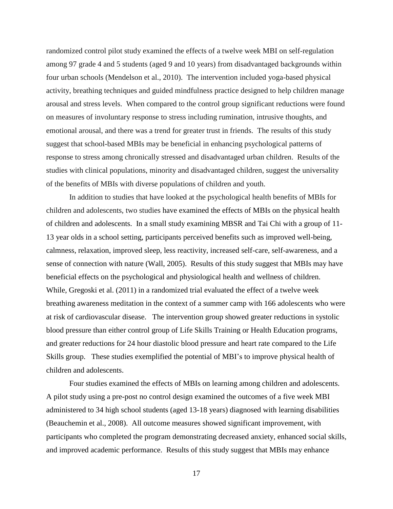randomized control pilot study examined the effects of a twelve week MBI on self-regulation among 97 grade 4 and 5 students (aged 9 and 10 years) from disadvantaged backgrounds within four urban schools (Mendelson et al., 2010). The intervention included yoga-based physical activity, breathing techniques and guided mindfulness practice designed to help children manage arousal and stress levels. When compared to the control group significant reductions were found on measures of involuntary response to stress including rumination, intrusive thoughts, and emotional arousal, and there was a trend for greater trust in friends. The results of this study suggest that school-based MBIs may be beneficial in enhancing psychological patterns of response to stress among chronically stressed and disadvantaged urban children. Results of the studies with clinical populations, minority and disadvantaged children, suggest the universality of the benefits of MBIs with diverse populations of children and youth.

In addition to studies that have looked at the psychological health benefits of MBIs for children and adolescents, two studies have examined the effects of MBIs on the physical health of children and adolescents. In a small study examining MBSR and Tai Chi with a group of 11- 13 year olds in a school setting, participants perceived benefits such as improved well-being, calmness, relaxation, improved sleep, less reactivity, increased self-care, self-awareness, and a sense of connection with nature (Wall, 2005). Results of this study suggest that MBIs may have beneficial effects on the psychological and physiological health and wellness of children. While, Gregoski et al. (2011) in a randomized trial evaluated the effect of a twelve week breathing awareness meditation in the context of a summer camp with 166 adolescents who were at risk of cardiovascular disease. The intervention group showed greater reductions in systolic blood pressure than either control group of Life Skills Training or Health Education programs, and greater reductions for 24 hour diastolic blood pressure and heart rate compared to the Life Skills group. These studies exemplified the potential of MBI's to improve physical health of children and adolescents.

Four studies examined the effects of MBIs on learning among children and adolescents. A pilot study using a pre-post no control design examined the outcomes of a five week MBI administered to 34 high school students (aged 13-18 years) diagnosed with learning disabilities (Beauchemin et al., 2008). All outcome measures showed significant improvement, with participants who completed the program demonstrating decreased anxiety, enhanced social skills, and improved academic performance. Results of this study suggest that MBIs may enhance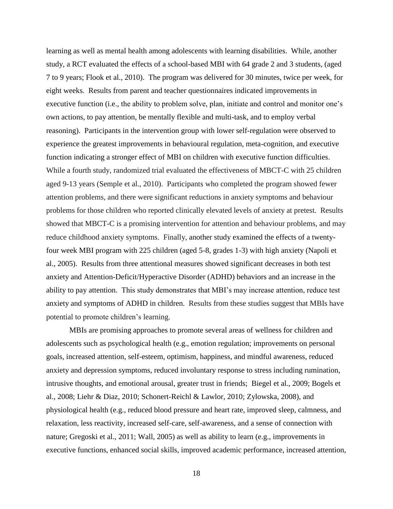learning as well as mental health among adolescents with learning disabilities. While, another study, a RCT evaluated the effects of a school-based MBI with 64 grade 2 and 3 students, (aged 7 to 9 years; Flook et al., 2010). The program was delivered for 30 minutes, twice per week, for eight weeks. Results from parent and teacher questionnaires indicated improvements in executive function (i.e., the ability to problem solve, plan, initiate and control and monitor one's own actions, to pay attention, be mentally flexible and multi-task, and to employ verbal reasoning). Participants in the intervention group with lower self-regulation were observed to experience the greatest improvements in behavioural regulation, meta-cognition, and executive function indicating a stronger effect of MBI on children with executive function difficulties. While a fourth study, randomized trial evaluated the effectiveness of MBCT-C with 25 children aged 9-13 years (Semple et al., 2010). Participants who completed the program showed fewer attention problems, and there were significant reductions in anxiety symptoms and behaviour problems for those children who reported clinically elevated levels of anxiety at pretest. Results showed that MBCT-C is a promising intervention for attention and behaviour problems, and may reduce childhood anxiety symptoms. Finally, another study examined the effects of a twentyfour week MBI program with 225 children (aged 5-8, grades 1-3) with high anxiety (Napoli et al., 2005). Results from three attentional measures showed significant decreases in both test anxiety and Attention-Deficit/Hyperactive Disorder (ADHD) behaviors and an increase in the ability to pay attention. This study demonstrates that MBI's may increase attention, reduce test anxiety and symptoms of ADHD in children. Results from these studies suggest that MBIs have potential to promote children's learning.

MBIs are promising approaches to promote several areas of wellness for children and adolescents such as psychological health (e.g., emotion regulation; improvements on personal goals, increased attention, self-esteem, optimism, happiness, and mindful awareness, reduced anxiety and depression symptoms, reduced involuntary response to stress including rumination, intrusive thoughts, and emotional arousal, greater trust in friends; Biegel et al., 2009; Bogels et al., 2008; Liehr & Diaz, 2010; Schonert-Reichl & Lawlor, 2010; Zylowska, 2008), and physiological health (e.g., reduced blood pressure and heart rate, improved sleep, calmness, and relaxation, less reactivity, increased self-care, self-awareness, and a sense of connection with nature; Gregoski et al., 2011; Wall, 2005) as well as ability to learn (e.g., improvements in executive functions, enhanced social skills, improved academic performance, increased attention,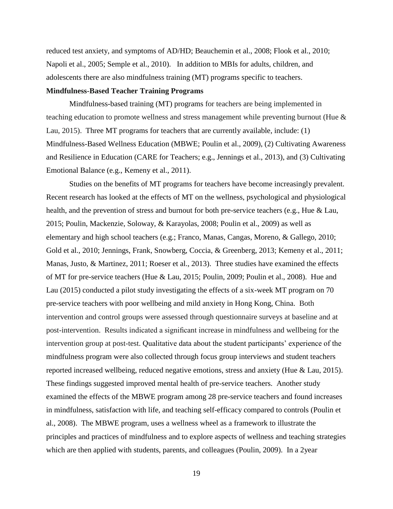reduced test anxiety, and symptoms of AD/HD; Beauchemin et al., 2008; Flook et al., 2010; Napoli et al., 2005; Semple et al., 2010). In addition to MBIs for adults, children, and adolescents there are also mindfulness training (MT) programs specific to teachers.

## **Mindfulness-Based Teacher Training Programs**

Mindfulness-based training (MT) programs for teachers are being implemented in teaching education to promote wellness and stress management while preventing burnout (Hue & Lau, 2015). Three MT programs for teachers that are currently available, include: (1) Mindfulness-Based Wellness Education (MBWE; Poulin et al., 2009), (2) Cultivating Awareness and Resilience in Education (CARE for Teachers; e.g., Jennings et al., 2013), and (3) Cultivating Emotional Balance (e.g., Kemeny et al., 2011).

Studies on the benefits of MT programs for teachers have become increasingly prevalent. Recent research has looked at the effects of MT on the wellness, psychological and physiological health, and the prevention of stress and burnout for both pre-service teachers (e.g., Hue & Lau, 2015; Poulin, Mackenzie, Soloway, & Karayolas, 2008; Poulin et al., 2009) as well as elementary and high school teachers (e.g.; Franco, Manas, Cangas, Moreno, & Gallego, 2010; Gold et al., 2010; Jennings, Frank, Snowberg, Coccia, & Greenberg, 2013; Kemeny et al., 2011; Manas, Justo, & Martinez, 2011; Roeser et al., 2013). Three studies have examined the effects of MT for pre-service teachers (Hue & Lau, 2015; Poulin, 2009; Poulin et al., 2008). Hue and Lau (2015) conducted a pilot study investigating the effects of a six-week MT program on 70 pre-service teachers with poor wellbeing and mild anxiety in Hong Kong, China. Both intervention and control groups were assessed through questionnaire surveys at baseline and at post-intervention. Results indicated a significant increase in mindfulness and wellbeing for the intervention group at post-test. Qualitative data about the student participants' experience of the mindfulness program were also collected through focus group interviews and student teachers reported increased wellbeing, reduced negative emotions, stress and anxiety (Hue & Lau, 2015). These findings suggested improved mental health of pre-service teachers. Another study examined the effects of the MBWE program among 28 pre-service teachers and found increases in mindfulness, satisfaction with life, and teaching self-efficacy compared to controls (Poulin et al., 2008). The MBWE program, uses a wellness wheel as a framework to illustrate the principles and practices of mindfulness and to explore aspects of wellness and teaching strategies which are then applied with students, parents, and colleagues (Poulin, 2009). In a 2year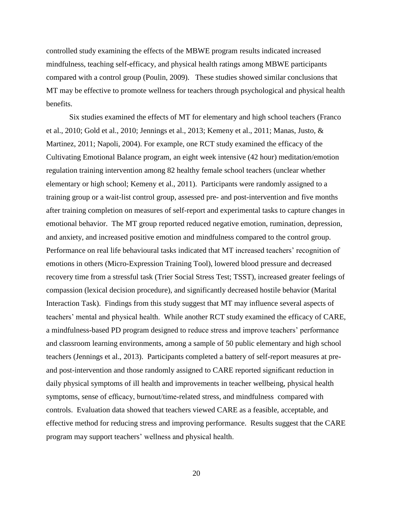controlled study examining the effects of the MBWE program results indicated increased mindfulness, teaching self-efficacy, and physical health ratings among MBWE participants compared with a control group (Poulin, 2009). These studies showed similar conclusions that MT may be effective to promote wellness for teachers through psychological and physical health benefits.

Six studies examined the effects of MT for elementary and high school teachers (Franco et al., 2010; Gold et al., 2010; Jennings et al., 2013; Kemeny et al., 2011; Manas, Justo, & Martinez, 2011; Napoli, 2004). For example, one RCT study examined the efficacy of the Cultivating Emotional Balance program, an eight week intensive (42 hour) meditation/emotion regulation training intervention among 82 healthy female school teachers (unclear whether elementary or high school; Kemeny et al., 2011). Participants were randomly assigned to a training group or a wait-list control group, assessed pre- and post-intervention and five months after training completion on measures of self-report and experimental tasks to capture changes in emotional behavior. The MT group reported reduced negative emotion, rumination, depression, and anxiety, and increased positive emotion and mindfulness compared to the control group. Performance on real life behavioural tasks indicated that MT increased teachers' recognition of emotions in others (Micro-Expression Training Tool), lowered blood pressure and decreased recovery time from a stressful task (Trier Social Stress Test; TSST), increased greater feelings of compassion (lexical decision procedure), and significantly decreased hostile behavior (Marital Interaction Task). Findings from this study suggest that MT may influence several aspects of teachers' mental and physical health. While another RCT study examined the efficacy of CARE, a mindfulness-based PD program designed to reduce stress and improve teachers' performance and classroom learning environments, among a sample of 50 public elementary and high school teachers (Jennings et al., 2013). Participants completed a battery of self-report measures at preand post-intervention and those randomly assigned to CARE reported significant reduction in daily physical symptoms of ill health and improvements in teacher wellbeing, physical health symptoms, sense of efficacy, burnout/time-related stress, and mindfulness compared with controls. Evaluation data showed that teachers viewed CARE as a feasible, acceptable, and effective method for reducing stress and improving performance. Results suggest that the CARE program may support teachers' wellness and physical health.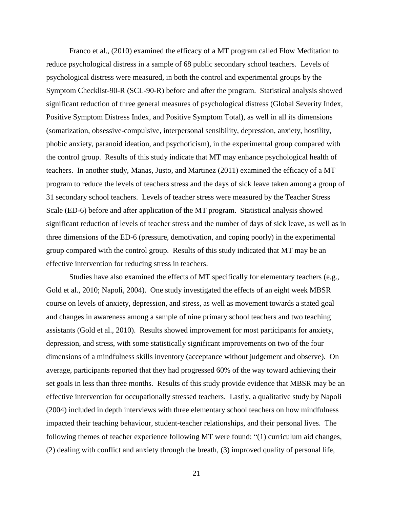Franco et al., (2010) examined the efficacy of a MT program called Flow Meditation to reduce psychological distress in a sample of 68 public secondary school teachers. Levels of psychological distress were measured, in both the control and experimental groups by the Symptom Checklist-90-R (SCL-90-R) before and after the program. Statistical analysis showed significant reduction of three general measures of psychological distress (Global Severity Index, Positive Symptom Distress Index, and Positive Symptom Total), as well in all its dimensions (somatization, obsessive-compulsive, interpersonal sensibility, depression, anxiety, hostility, phobic anxiety, paranoid ideation, and psychoticism), in the experimental group compared with the control group. Results of this study indicate that MT may enhance psychological health of teachers. In another study, Manas, Justo, and Martinez (2011) examined the efficacy of a MT program to reduce the levels of teachers stress and the days of sick leave taken among a group of 31 secondary school teachers. Levels of teacher stress were measured by the Teacher Stress Scale (ED-6) before and after application of the MT program. Statistical analysis showed significant reduction of levels of teacher stress and the number of days of sick leave, as well as in three dimensions of the ED-6 (pressure, demotivation, and coping poorly) in the experimental group compared with the control group. Results of this study indicated that MT may be an effective intervention for reducing stress in teachers.

Studies have also examined the effects of MT specifically for elementary teachers (e.g., Gold et al., 2010; Napoli, 2004). One study investigated the effects of an eight week MBSR course on levels of anxiety, depression, and stress, as well as movement towards a stated goal and changes in awareness among a sample of nine primary school teachers and two teaching assistants (Gold et al., 2010). Results showed improvement for most participants for anxiety, depression, and stress, with some statistically significant improvements on two of the four dimensions of a mindfulness skills inventory (acceptance without judgement and observe). On average, participants reported that they had progressed 60% of the way toward achieving their set goals in less than three months. Results of this study provide evidence that MBSR may be an effective intervention for occupationally stressed teachers. Lastly, a qualitative study by Napoli (2004) included in depth interviews with three elementary school teachers on how mindfulness impacted their teaching behaviour, student-teacher relationships, and their personal lives. The following themes of teacher experience following MT were found: "(1) curriculum aid changes, (2) dealing with conflict and anxiety through the breath, (3) improved quality of personal life,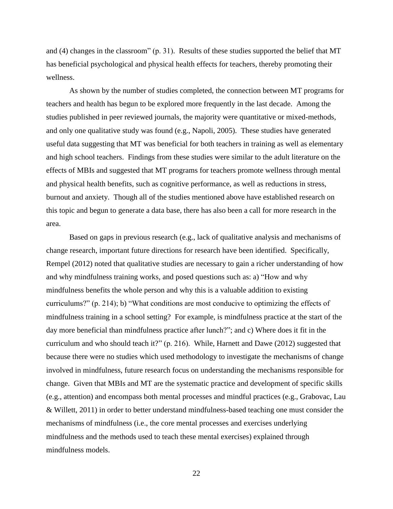and (4) changes in the classroom" (p. 31). Results of these studies supported the belief that MT has beneficial psychological and physical health effects for teachers, thereby promoting their wellness.

As shown by the number of studies completed, the connection between MT programs for teachers and health has begun to be explored more frequently in the last decade. Among the studies published in peer reviewed journals, the majority were quantitative or mixed-methods, and only one qualitative study was found (e.g., Napoli, 2005). These studies have generated useful data suggesting that MT was beneficial for both teachers in training as well as elementary and high school teachers. Findings from these studies were similar to the adult literature on the effects of MBIs and suggested that MT programs for teachers promote wellness through mental and physical health benefits, such as cognitive performance, as well as reductions in stress, burnout and anxiety. Though all of the studies mentioned above have established research on this topic and begun to generate a data base, there has also been a call for more research in the area.

Based on gaps in previous research (e.g., lack of qualitative analysis and mechanisms of change research, important future directions for research have been identified. Specifically, Rempel (2012) noted that qualitative studies are necessary to gain a richer understanding of how and why mindfulness training works, and posed questions such as: a) "How and why mindfulness benefits the whole person and why this is a valuable addition to existing curriculums?" (p. 214); b) "What conditions are most conducive to optimizing the effects of mindfulness training in a school setting? For example, is mindfulness practice at the start of the day more beneficial than mindfulness practice after lunch?"; and c) Where does it fit in the curriculum and who should teach it?" (p. 216). While, Harnett and Dawe (2012) suggested that because there were no studies which used methodology to investigate the mechanisms of change involved in mindfulness, future research focus on understanding the mechanisms responsible for change. Given that MBIs and MT are the systematic practice and development of specific skills (e.g., attention) and encompass both mental processes and mindful practices (e.g., Grabovac, Lau & Willett, 2011) in order to better understand mindfulness-based teaching one must consider the mechanisms of mindfulness (i.e., the core mental processes and exercises underlying mindfulness and the methods used to teach these mental exercises) explained through mindfulness models.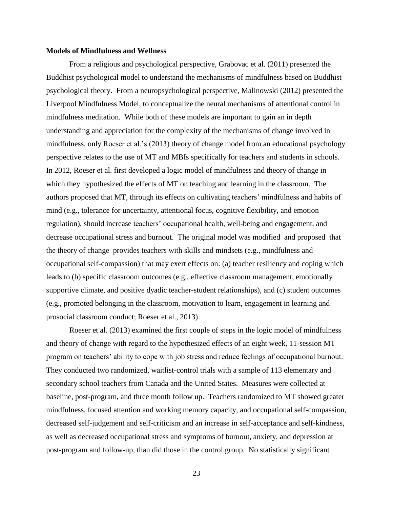## **Models of Mindfulness and Wellness**

From a religious and psychological perspective, Grabovac et al. (2011) presented the Buddhist psychological model to understand the mechanisms of mindfulness based on Buddhist psychological theory. From a neuropsychological perspective, Malinowski (2012) presented the Liverpool Mindfulness Model, to conceptualize the neural mechanisms of attentional control in mindfulness meditation. While both of these models are important to gain an in depth understanding and appreciation for the complexity of the mechanisms of change involved in mindfulness, only Roeser et al.'s (2013) theory of change model from an educational psychology perspective relates to the use of MT and MBIs specifically for teachers and students in schools. In 2012, Roeser et al. first developed a logic model of mindfulness and theory of change in which they hypothesized the effects of MT on teaching and learning in the classroom. The authors proposed that MT, through its effects on cultivating teachers' mindfulness and habits of mind (e.g., tolerance for uncertainty, attentional focus, cognitive flexibility, and emotion regulation), should increase teachers' occupational health, well-being and engagement, and decrease occupational stress and burnout. The original model was modified and proposed that the theory of change provides teachers with skills and mindsets (e.g., mindfulness and occupational self-compassion) that may exert effects on: (a) teacher resiliency and coping which leads to (b) specific classroom outcomes (e.g., effective classroom management, emotionally supportive climate, and positive dyadic teacher-student relationships), and (c) student outcomes (e.g., promoted belonging in the classroom, motivation to learn, engagement in learning and prosocial classroom conduct; Roeser et al., 2013).

Roeser et al. (2013) examined the first couple of steps in the logic model of mindfulness and theory of change with regard to the hypothesized effects of an eight week, 11-session MT program on teachers' ability to cope with job stress and reduce feelings of occupational burnout. They conducted two randomized, waitlist-control trials with a sample of 113 elementary and secondary school teachers from Canada and the United States. Measures were collected at baseline, post-program, and three month follow up. Teachers randomized to MT showed greater mindfulness, focused attention and working memory capacity, and occupational self-compassion, decreased self-judgement and self-criticism and an increase in self-acceptance and self-kindness, as well as decreased occupational stress and symptoms of burnout, anxiety, and depression at post-program and follow-up, than did those in the control group. No statistically significant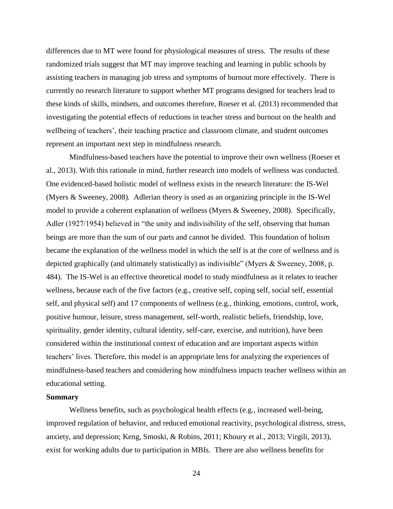differences due to MT were found for physiological measures of stress. The results of these randomized trials suggest that MT may improve teaching and learning in public schools by assisting teachers in managing job stress and symptoms of burnout more effectively. There is currently no research literature to support whether MT programs designed for teachers lead to these kinds of skills, mindsets, and outcomes therefore, Roeser et al. (2013) recommended that investigating the potential effects of reductions in teacher stress and burnout on the health and wellbeing of teachers', their teaching practice and classroom climate, and student outcomes represent an important next step in mindfulness research.

Mindfulness-based teachers have the potential to improve their own wellness (Roeser et al., 2013). With this rationale in mind, further research into models of wellness was conducted. One evidenced-based holistic model of wellness exists in the research literature: the IS-Wel (Myers & Sweeney, 2008)*.* Adlerian theory is used as an organizing principle in the IS-Wel model to provide a coherent explanation of wellness (Myers & Sweeney, 2008). Specifically, Adler (1927/1954) believed in "the unity and indivisibility of the self, observing that human beings are more than the sum of our parts and cannot be divided. This foundation of holism became the explanation of the wellness model in which the self is at the core of wellness and is depicted graphically (and ultimately statistically) as indivisible" (Myers & Sweeney, 2008, p. 484). The IS-Wel is an effective theoretical model to study mindfulness as it relates to teacher wellness, because each of the five factors (e.g., creative self, coping self, social self, essential self, and physical self) and 17 components of wellness (e.g., thinking, emotions, control, work, positive humour, leisure, stress management, self-worth, realistic beliefs, friendship, love, spirituality, gender identity, cultural identity, self-care, exercise, and nutrition), have been considered within the institutional context of education and are important aspects within teachers' lives. Therefore, this model is an appropriate lens for analyzing the experiences of mindfulness-based teachers and considering how mindfulness impacts teacher wellness within an educational setting.

## **Summary**

Wellness benefits, such as psychological health effects (e.g., increased well-being, improved regulation of behavior, and reduced emotional reactivity, psychological distress, stress, anxiety, and depression; Keng, Smoski, & Robins, 2011; Khoury et al., 2013; Virgili, 2013), exist for working adults due to participation in MBIs. There are also wellness benefits for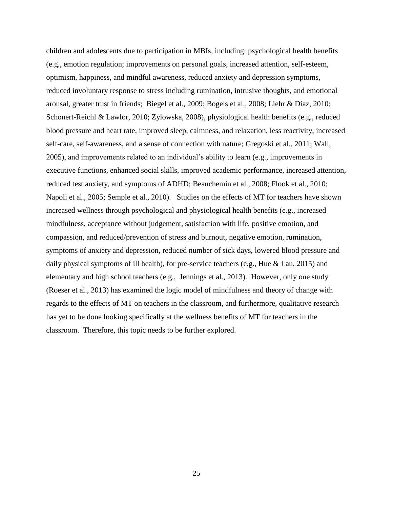children and adolescents due to participation in MBIs, including: psychological health benefits (e.g., emotion regulation; improvements on personal goals, increased attention, self-esteem, optimism, happiness, and mindful awareness, reduced anxiety and depression symptoms, reduced involuntary response to stress including rumination, intrusive thoughts, and emotional arousal, greater trust in friends; Biegel et al., 2009; Bogels et al., 2008; Liehr & Diaz, 2010; Schonert-Reichl & Lawlor, 2010; Zylowska, 2008), physiological health benefits (e.g., reduced blood pressure and heart rate, improved sleep, calmness, and relaxation, less reactivity, increased self-care, self-awareness, and a sense of connection with nature; Gregoski et al., 2011; Wall, 2005), and improvements related to an individual's ability to learn (e.g., improvements in executive functions, enhanced social skills, improved academic performance, increased attention, reduced test anxiety, and symptoms of ADHD; Beauchemin et al., 2008; Flook et al., 2010; Napoli et al., 2005; Semple et al., 2010). Studies on the effects of MT for teachers have shown increased wellness through psychological and physiological health benefits (e.g., increased mindfulness, acceptance without judgement, satisfaction with life, positive emotion, and compassion, and reduced/prevention of stress and burnout, negative emotion, rumination, symptoms of anxiety and depression, reduced number of sick days, lowered blood pressure and daily physical symptoms of ill health), for pre-service teachers (e.g., Hue & Lau, 2015) and elementary and high school teachers (e.g., Jennings et al., 2013). However, only one study (Roeser et al., 2013) has examined the logic model of mindfulness and theory of change with regards to the effects of MT on teachers in the classroom, and furthermore, qualitative research has yet to be done looking specifically at the wellness benefits of MT for teachers in the classroom. Therefore, this topic needs to be further explored.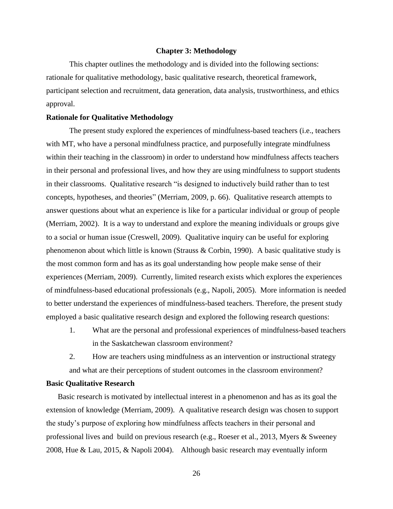#### **Chapter 3: Methodology**

This chapter outlines the methodology and is divided into the following sections: rationale for qualitative methodology, basic qualitative research, theoretical framework, participant selection and recruitment, data generation, data analysis, trustworthiness, and ethics approval.

## **Rationale for Qualitative Methodology**

The present study explored the experiences of mindfulness-based teachers (i.e., teachers with MT, who have a personal mindfulness practice, and purposefully integrate mindfulness within their teaching in the classroom) in order to understand how mindfulness affects teachers in their personal and professional lives, and how they are using mindfulness to support students in their classrooms. Qualitative research "is designed to inductively build rather than to test concepts, hypotheses, and theories" (Merriam, 2009, p. 66). Qualitative research attempts to answer questions about what an experience is like for a particular individual or group of people (Merriam, 2002). It is a way to understand and explore the meaning individuals or groups give to a social or human issue (Creswell, 2009). Qualitative inquiry can be useful for exploring phenomenon about which little is known (Strauss & Corbin, 1990). A basic qualitative study is the most common form and has as its goal understanding how people make sense of their experiences (Merriam, 2009). Currently, limited research exists which explores the experiences of mindfulness-based educational professionals (e.g., Napoli, 2005). More information is needed to better understand the experiences of mindfulness-based teachers. Therefore, the present study employed a basic qualitative research design and explored the following research questions:

1. What are the personal and professional experiences of mindfulness-based teachers in the Saskatchewan classroom environment?

2. How are teachers using mindfulness as an intervention or instructional strategy and what are their perceptions of student outcomes in the classroom environment?

## **Basic Qualitative Research**

Basic research is motivated by intellectual interest in a phenomenon and has as its goal the extension of knowledge (Merriam, 2009). A qualitative research design was chosen to support the study's purpose of exploring how mindfulness affects teachers in their personal and professional lives and build on previous research (e.g., Roeser et al., 2013, Myers & Sweeney 2008, Hue & Lau, 2015, & Napoli 2004). Although basic research may eventually inform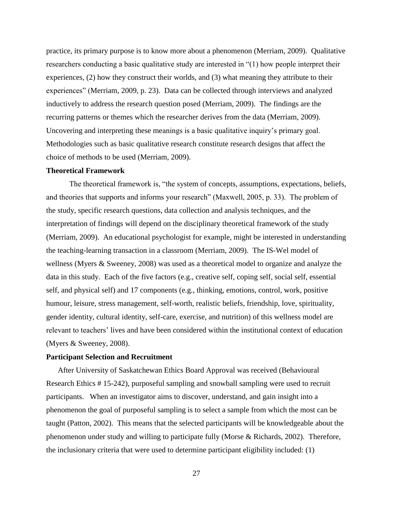practice, its primary purpose is to know more about a phenomenon (Merriam, 2009). Qualitative researchers conducting a basic qualitative study are interested in "(1) how people interpret their experiences, (2) how they construct their worlds, and (3) what meaning they attribute to their experiences" (Merriam, 2009, p. 23). Data can be collected through interviews and analyzed inductively to address the research question posed (Merriam, 2009). The findings are the recurring patterns or themes which the researcher derives from the data (Merriam, 2009). Uncovering and interpreting these meanings is a basic qualitative inquiry's primary goal. Methodologies such as basic qualitative research constitute research designs that affect the choice of methods to be used (Merriam, 2009).

## **Theoretical Framework**

The theoretical framework is, "the system of concepts, assumptions, expectations, beliefs, and theories that supports and informs your research" (Maxwell, 2005, p. 33). The problem of the study, specific research questions, data collection and analysis techniques, and the interpretation of findings will depend on the disciplinary theoretical framework of the study (Merriam, 2009). An educational psychologist for example, might be interested in understanding the teaching-learning transaction in a classroom (Merriam, 2009). The IS-Wel model of wellness (Myers & Sweeney, 2008) was used as a theoretical model to organize and analyze the data in this study. Each of the five factors (e.g., creative self, coping self, social self, essential self, and physical self) and 17 components (e.g., thinking, emotions, control, work, positive humour, leisure, stress management, self-worth, realistic beliefs, friendship, love, spirituality, gender identity, cultural identity, self-care, exercise, and nutrition) of this wellness model are relevant to teachers' lives and have been considered within the institutional context of education (Myers & Sweeney, 2008).

## **Participant Selection and Recruitment**

After University of Saskatchewan Ethics Board Approval was received (Behavioural Research Ethics # 15-242), purposeful sampling and snowball sampling were used to recruit participants. When an investigator aims to discover, understand, and gain insight into a phenomenon the goal of purposeful sampling is to select a sample from which the most can be taught (Patton, 2002). This means that the selected participants will be knowledgeable about the phenomenon under study and willing to participate fully (Morse & Richards, 2002). Therefore, the inclusionary criteria that were used to determine participant eligibility included: (1)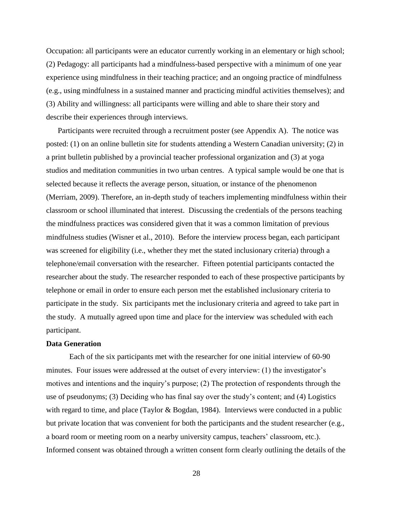Occupation: all participants were an educator currently working in an elementary or high school; (2) Pedagogy: all participants had a mindfulness-based perspective with a minimum of one year experience using mindfulness in their teaching practice; and an ongoing practice of mindfulness (e.g., using mindfulness in a sustained manner and practicing mindful activities themselves); and (3) Ability and willingness: all participants were willing and able to share their story and describe their experiences through interviews.

Participants were recruited through a recruitment poster (see Appendix A). The notice was posted: (1) on an online bulletin site for students attending a Western Canadian university; (2) in a print bulletin published by a provincial teacher professional organization and (3) at yoga studios and meditation communities in two urban centres. A typical sample would be one that is selected because it reflects the average person, situation, or instance of the phenomenon (Merriam, 2009). Therefore, an in-depth study of teachers implementing mindfulness within their classroom or school illuminated that interest. Discussing the credentials of the persons teaching the mindfulness practices was considered given that it was a common limitation of previous mindfulness studies (Wisner et al., 2010). Before the interview process began, each participant was screened for eligibility (i.e., whether they met the stated inclusionary criteria) through a telephone/email conversation with the researcher. Fifteen potential participants contacted the researcher about the study. The researcher responded to each of these prospective participants by telephone or email in order to ensure each person met the established inclusionary criteria to participate in the study. Six participants met the inclusionary criteria and agreed to take part in the study. A mutually agreed upon time and place for the interview was scheduled with each participant.

### **Data Generation**

Each of the six participants met with the researcher for one initial interview of 60-90 minutes. Four issues were addressed at the outset of every interview: (1) the investigator's motives and intentions and the inquiry's purpose; (2) The protection of respondents through the use of pseudonyms; (3) Deciding who has final say over the study's content; and (4) Logistics with regard to time, and place (Taylor & Bogdan, 1984). Interviews were conducted in a public but private location that was convenient for both the participants and the student researcher (e.g., a board room or meeting room on a nearby university campus, teachers' classroom, etc.). Informed consent was obtained through a written consent form clearly outlining the details of the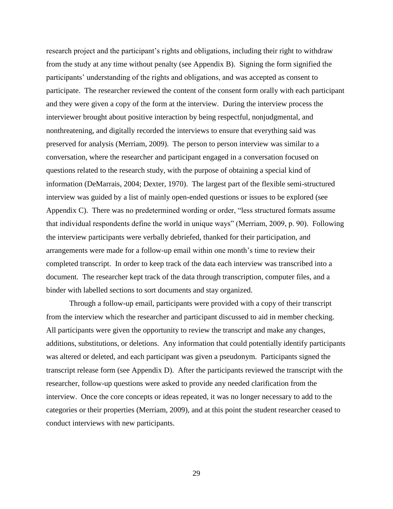research project and the participant's rights and obligations, including their right to withdraw from the study at any time without penalty (see Appendix B). Signing the form signified the participants' understanding of the rights and obligations, and was accepted as consent to participate. The researcher reviewed the content of the consent form orally with each participant and they were given a copy of the form at the interview. During the interview process the interviewer brought about positive interaction by being respectful, nonjudgmental, and nonthreatening, and digitally recorded the interviews to ensure that everything said was preserved for analysis (Merriam, 2009). The person to person interview was similar to a conversation, where the researcher and participant engaged in a conversation focused on questions related to the research study, with the purpose of obtaining a special kind of information (DeMarrais, 2004; Dexter, 1970). The largest part of the flexible semi-structured interview was guided by a list of mainly open-ended questions or issues to be explored (see Appendix C). There was no predetermined wording or order, "less structured formats assume that individual respondents define the world in unique ways" (Merriam, 2009, p. 90). Following the interview participants were verbally debriefed, thanked for their participation, and arrangements were made for a follow-up email within one month's time to review their completed transcript. In order to keep track of the data each interview was transcribed into a document. The researcher kept track of the data through transcription, computer files, and a binder with labelled sections to sort documents and stay organized.

Through a follow-up email, participants were provided with a copy of their transcript from the interview which the researcher and participant discussed to aid in member checking. All participants were given the opportunity to review the transcript and make any changes, additions, substitutions, or deletions. Any information that could potentially identify participants was altered or deleted, and each participant was given a pseudonym. Participants signed the transcript release form (see Appendix D). After the participants reviewed the transcript with the researcher, follow-up questions were asked to provide any needed clarification from the interview. Once the core concepts or ideas repeated, it was no longer necessary to add to the categories or their properties (Merriam, 2009), and at this point the student researcher ceased to conduct interviews with new participants.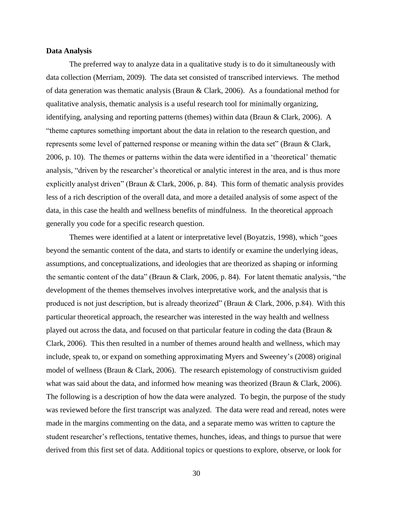### **Data Analysis**

The preferred way to analyze data in a qualitative study is to do it simultaneously with data collection (Merriam, 2009). The data set consisted of transcribed interviews. The method of data generation was thematic analysis (Braun & Clark, 2006). As a foundational method for qualitative analysis, thematic analysis is a useful research tool for minimally organizing, identifying, analysing and reporting patterns (themes) within data (Braun & Clark, 2006). A "theme captures something important about the data in relation to the research question, and represents some level of patterned response or meaning within the data set" (Braun & Clark, 2006, p. 10). The themes or patterns within the data were identified in a 'theoretical' thematic analysis, "driven by the researcher's theoretical or analytic interest in the area, and is thus more explicitly analyst driven" (Braun & Clark, 2006, p. 84). This form of thematic analysis provides less of a rich description of the overall data, and more a detailed analysis of some aspect of the data, in this case the health and wellness benefits of mindfulness. In the theoretical approach generally you code for a specific research question.

Themes were identified at a latent or interpretative level (Boyatzis, 1998), which "goes beyond the semantic content of the data, and starts to identify or examine the underlying ideas, assumptions, and conceptualizations, and ideologies that are theorized as shaping or informing the semantic content of the data" (Braun & Clark, 2006, p. 84). For latent thematic analysis, "the development of the themes themselves involves interpretative work, and the analysis that is produced is not just description, but is already theorized" (Braun & Clark, 2006, p.84). With this particular theoretical approach, the researcher was interested in the way health and wellness played out across the data, and focused on that particular feature in coding the data (Braun & Clark, 2006). This then resulted in a number of themes around health and wellness, which may include, speak to, or expand on something approximating Myers and Sweeney's (2008) original model of wellness (Braun & Clark, 2006). The research epistemology of constructivism guided what was said about the data, and informed how meaning was theorized (Braun & Clark, 2006). The following is a description of how the data were analyzed. To begin, the purpose of the study was reviewed before the first transcript was analyzed. The data were read and reread, notes were made in the margins commenting on the data, and a separate memo was written to capture the student researcher's reflections, tentative themes, hunches, ideas, and things to pursue that were derived from this first set of data. Additional topics or questions to explore, observe, or look for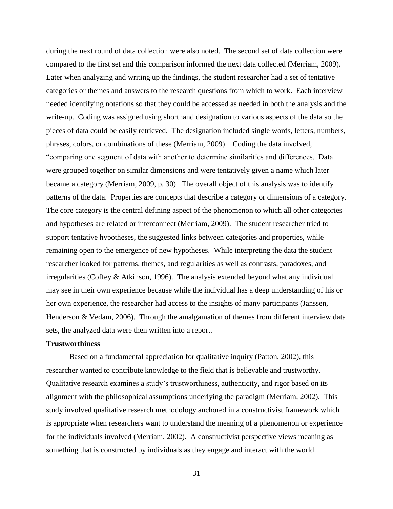during the next round of data collection were also noted. The second set of data collection were compared to the first set and this comparison informed the next data collected (Merriam, 2009). Later when analyzing and writing up the findings, the student researcher had a set of tentative categories or themes and answers to the research questions from which to work. Each interview needed identifying notations so that they could be accessed as needed in both the analysis and the write-up. Coding was assigned using shorthand designation to various aspects of the data so the pieces of data could be easily retrieved. The designation included single words, letters, numbers, phrases, colors, or combinations of these (Merriam, 2009). Coding the data involved, "comparing one segment of data with another to determine similarities and differences. Data were grouped together on similar dimensions and were tentatively given a name which later became a category (Merriam, 2009, p. 30). The overall object of this analysis was to identify patterns of the data. Properties are concepts that describe a category or dimensions of a category. The core category is the central defining aspect of the phenomenon to which all other categories and hypotheses are related or interconnect (Merriam, 2009). The student researcher tried to support tentative hypotheses, the suggested links between categories and properties, while remaining open to the emergence of new hypotheses. While interpreting the data the student researcher looked for patterns, themes, and regularities as well as contrasts, paradoxes, and irregularities (Coffey & Atkinson, 1996). The analysis extended beyond what any individual may see in their own experience because while the individual has a deep understanding of his or her own experience, the researcher had access to the insights of many participants (Janssen, Henderson & Vedam, 2006). Through the amalgamation of themes from different interview data sets, the analyzed data were then written into a report.

## **Trustworthiness**

Based on a fundamental appreciation for qualitative inquiry (Patton, 2002), this researcher wanted to contribute knowledge to the field that is believable and trustworthy. Qualitative research examines a study's trustworthiness, authenticity, and rigor based on its alignment with the philosophical assumptions underlying the paradigm (Merriam, 2002). This study involved qualitative research methodology anchored in a constructivist framework which is appropriate when researchers want to understand the meaning of a phenomenon or experience for the individuals involved (Merriam, 2002). A constructivist perspective views meaning as something that is constructed by individuals as they engage and interact with the world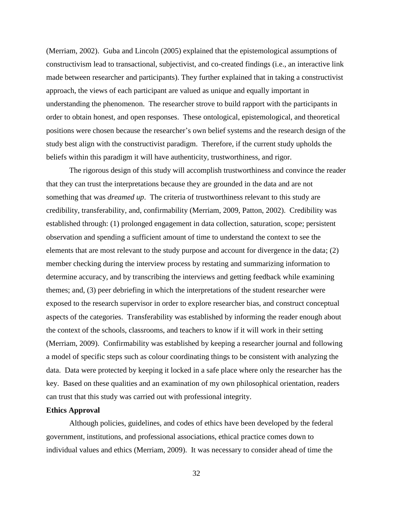(Merriam, 2002). Guba and Lincoln (2005) explained that the epistemological assumptions of constructivism lead to transactional, subjectivist, and co-created findings (i.e., an interactive link made between researcher and participants). They further explained that in taking a constructivist approach, the views of each participant are valued as unique and equally important in understanding the phenomenon. The researcher strove to build rapport with the participants in order to obtain honest, and open responses. These ontological, epistemological, and theoretical positions were chosen because the researcher's own belief systems and the research design of the study best align with the constructivist paradigm. Therefore, if the current study upholds the beliefs within this paradigm it will have authenticity, trustworthiness, and rigor.

The rigorous design of this study will accomplish trustworthiness and convince the reader that they can trust the interpretations because they are grounded in the data and are not something that was *dreamed up*. The criteria of trustworthiness relevant to this study are credibility, transferability, and, confirmability (Merriam, 2009, Patton, 2002). Credibility was established through: (1) prolonged engagement in data collection, saturation, scope; persistent observation and spending a sufficient amount of time to understand the context to see the elements that are most relevant to the study purpose and account for divergence in the data; (2) member checking during the interview process by restating and summarizing information to determine accuracy, and by transcribing the interviews and getting feedback while examining themes; and, (3) peer debriefing in which the interpretations of the student researcher were exposed to the research supervisor in order to explore researcher bias, and construct conceptual aspects of the categories. Transferability was established by informing the reader enough about the context of the schools, classrooms, and teachers to know if it will work in their setting (Merriam, 2009). Confirmability was established by keeping a researcher journal and following a model of specific steps such as colour coordinating things to be consistent with analyzing the data. Data were protected by keeping it locked in a safe place where only the researcher has the key. Based on these qualities and an examination of my own philosophical orientation, readers can trust that this study was carried out with professional integrity.

## **Ethics Approval**

Although policies, guidelines, and codes of ethics have been developed by the federal government, institutions, and professional associations, ethical practice comes down to individual values and ethics (Merriam, 2009). It was necessary to consider ahead of time the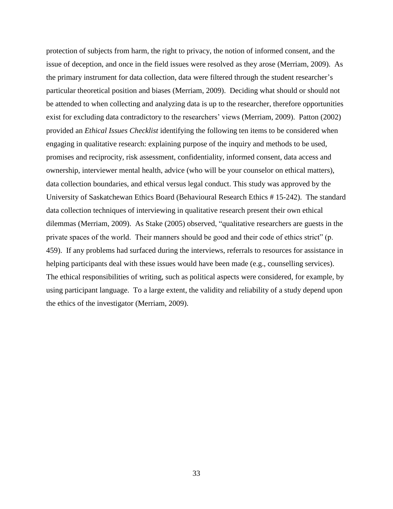protection of subjects from harm, the right to privacy, the notion of informed consent, and the issue of deception, and once in the field issues were resolved as they arose (Merriam, 2009). As the primary instrument for data collection, data were filtered through the student researcher's particular theoretical position and biases (Merriam, 2009). Deciding what should or should not be attended to when collecting and analyzing data is up to the researcher, therefore opportunities exist for excluding data contradictory to the researchers' views (Merriam, 2009). Patton (2002) provided an *Ethical Issues Checklist* identifying the following ten items to be considered when engaging in qualitative research: explaining purpose of the inquiry and methods to be used, promises and reciprocity, risk assessment, confidentiality, informed consent, data access and ownership, interviewer mental health, advice (who will be your counselor on ethical matters), data collection boundaries, and ethical versus legal conduct. This study was approved by the University of Saskatchewan Ethics Board (Behavioural Research Ethics # 15-242). The standard data collection techniques of interviewing in qualitative research present their own ethical dilemmas (Merriam, 2009). As Stake (2005) observed, "qualitative researchers are guests in the private spaces of the world. Their manners should be good and their code of ethics strict" (p. 459). If any problems had surfaced during the interviews, referrals to resources for assistance in helping participants deal with these issues would have been made (e.g., counselling services). The ethical responsibilities of writing, such as political aspects were considered, for example, by using participant language. To a large extent, the validity and reliability of a study depend upon the ethics of the investigator (Merriam, 2009).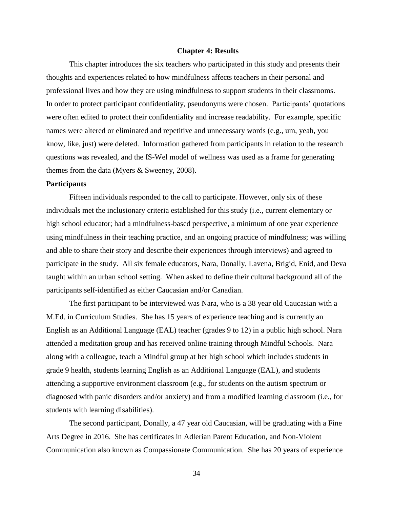#### **Chapter 4: Results**

This chapter introduces the six teachers who participated in this study and presents their thoughts and experiences related to how mindfulness affects teachers in their personal and professional lives and how they are using mindfulness to support students in their classrooms. In order to protect participant confidentiality, pseudonyms were chosen. Participants' quotations were often edited to protect their confidentiality and increase readability. For example, specific names were altered or eliminated and repetitive and unnecessary words (e.g., um, yeah, you know, like, just) were deleted. Information gathered from participants in relation to the research questions was revealed, and the IS-Wel model of wellness was used as a frame for generating themes from the data (Myers & Sweeney, 2008).

### **Participants**

Fifteen individuals responded to the call to participate. However, only six of these individuals met the inclusionary criteria established for this study (i.e., current elementary or high school educator; had a mindfulness-based perspective, a minimum of one year experience using mindfulness in their teaching practice, and an ongoing practice of mindfulness; was willing and able to share their story and describe their experiences through interviews) and agreed to participate in the study. All six female educators, Nara, Donally, Lavena, Brigid, Enid, and Deva taught within an urban school setting. When asked to define their cultural background all of the participants self-identified as either Caucasian and/or Canadian.

The first participant to be interviewed was Nara, who is a 38 year old Caucasian with a M.Ed. in Curriculum Studies. She has 15 years of experience teaching and is currently an English as an Additional Language (EAL) teacher (grades 9 to 12) in a public high school. Nara attended a meditation group and has received online training through Mindful Schools. Nara along with a colleague, teach a Mindful group at her high school which includes students in grade 9 health, students learning English as an Additional Language (EAL), and students attending a supportive environment classroom (e.g., for students on the autism spectrum or diagnosed with panic disorders and/or anxiety) and from a modified learning classroom (i.e., for students with learning disabilities).

The second participant, Donally, a 47 year old Caucasian, will be graduating with a Fine Arts Degree in 2016. She has certificates in Adlerian Parent Education, and Non-Violent Communication also known as Compassionate Communication. She has 20 years of experience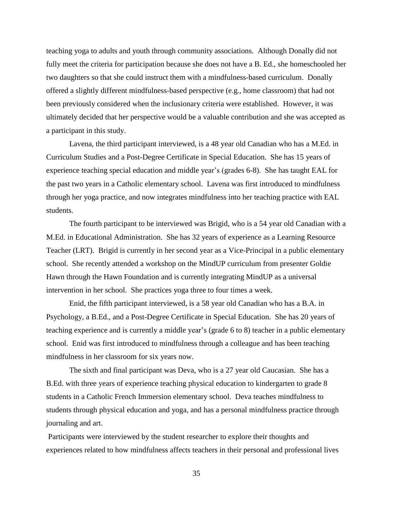teaching yoga to adults and youth through community associations. Although Donally did not fully meet the criteria for participation because she does not have a B. Ed., she homeschooled her two daughters so that she could instruct them with a mindfulness-based curriculum. Donally offered a slightly different mindfulness-based perspective (e.g., home classroom) that had not been previously considered when the inclusionary criteria were established. However, it was ultimately decided that her perspective would be a valuable contribution and she was accepted as a participant in this study.

Lavena, the third participant interviewed, is a 48 year old Canadian who has a M.Ed. in Curriculum Studies and a Post-Degree Certificate in Special Education. She has 15 years of experience teaching special education and middle year's (grades 6-8). She has taught EAL for the past two years in a Catholic elementary school. Lavena was first introduced to mindfulness through her yoga practice, and now integrates mindfulness into her teaching practice with EAL students.

The fourth participant to be interviewed was Brigid, who is a 54 year old Canadian with a M.Ed. in Educational Administration. She has 32 years of experience as a Learning Resource Teacher (LRT). Brigid is currently in her second year as a Vice-Principal in a public elementary school. She recently attended a workshop on the MindUP curriculum from presenter Goldie Hawn through the Hawn Foundation and is currently integrating MindUP as a universal intervention in her school. She practices yoga three to four times a week.

Enid, the fifth participant interviewed, is a 58 year old Canadian who has a B.A. in Psychology, a B.Ed., and a Post-Degree Certificate in Special Education. She has 20 years of teaching experience and is currently a middle year's (grade 6 to 8) teacher in a public elementary school. Enid was first introduced to mindfulness through a colleague and has been teaching mindfulness in her classroom for six years now.

The sixth and final participant was Deva, who is a 27 year old Caucasian. She has a B.Ed. with three years of experience teaching physical education to kindergarten to grade 8 students in a Catholic French Immersion elementary school. Deva teaches mindfulness to students through physical education and yoga, and has a personal mindfulness practice through journaling and art.

Participants were interviewed by the student researcher to explore their thoughts and experiences related to how mindfulness affects teachers in their personal and professional lives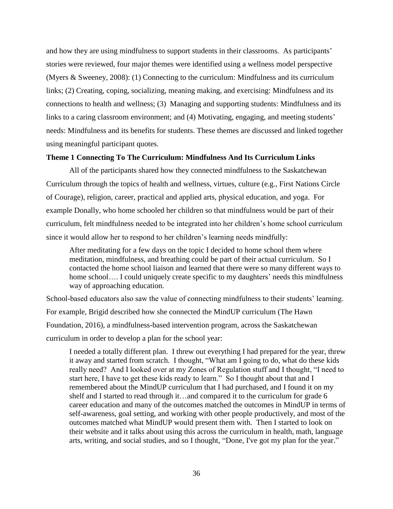and how they are using mindfulness to support students in their classrooms. As participants' stories were reviewed, four major themes were identified using a wellness model perspective (Myers & Sweeney, 2008): (1) Connecting to the curriculum: Mindfulness and its curriculum links; (2) Creating, coping, socializing, meaning making, and exercising: Mindfulness and its connections to health and wellness; (3) Managing and supporting students: Mindfulness and its links to a caring classroom environment; and (4) Motivating, engaging, and meeting students' needs: Mindfulness and its benefits for students. These themes are discussed and linked together using meaningful participant quotes.

### **Theme 1 Connecting To The Curriculum: Mindfulness And Its Curriculum Links**

All of the participants shared how they connected mindfulness to the Saskatchewan Curriculum through the topics of health and wellness, virtues, culture (e.g., First Nations Circle of Courage), religion, career, practical and applied arts, physical education, and yoga. For example Donally, who home schooled her children so that mindfulness would be part of their curriculum, felt mindfulness needed to be integrated into her children's home school curriculum since it would allow her to respond to her children's learning needs mindfully:

After meditating for a few days on the topic I decided to home school them where meditation, mindfulness, and breathing could be part of their actual curriculum. So I contacted the home school liaison and learned that there were so many different ways to home school.... I could uniquely create specific to my daughters' needs this mindfulness way of approaching education.

School-based educators also saw the value of connecting mindfulness to their students' learning. For example, Brigid described how she connected the MindUP curriculum (The Hawn Foundation, 2016), a mindfulness-based intervention program, across the Saskatchewan curriculum in order to develop a plan for the school year:

I needed a totally different plan. I threw out everything I had prepared for the year, threw it away and started from scratch. I thought, "What am I going to do, what do these kids really need? And I looked over at my Zones of Regulation stuff and I thought, "I need to start here, I have to get these kids ready to learn." So I thought about that and I remembered about the MindUP curriculum that I had purchased, and I found it on my shelf and I started to read through it…and compared it to the curriculum for grade 6 career education and many of the outcomes matched the outcomes in MindUP in terms of self-awareness, goal setting, and working with other people productively, and most of the outcomes matched what MindUP would present them with. Then I started to look on their website and it talks about using this across the curriculum in health, math, language arts, writing, and social studies, and so I thought, "Done, I've got my plan for the year."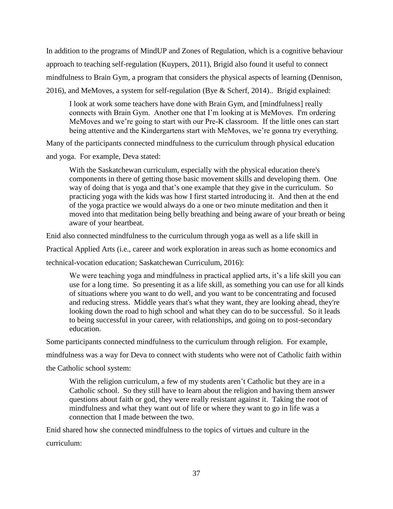In addition to the programs of MindUP and Zones of Regulation, which is a cognitive behaviour approach to teaching self-regulation (Kuypers, 2011), Brigid also found it useful to connect mindfulness to Brain Gym, a program that considers the physical aspects of learning (Dennison, 2016), and MeMoves, a system for self-regulation (Bye & Scherf, 2014).. Brigid explained:

I look at work some teachers have done with Brain Gym, and [mindfulness] really connects with Brain Gym. Another one that I'm looking at is MeMoves. I'm ordering MeMoves and we're going to start with our Pre-K classroom. If the little ones can start being attentive and the Kindergartens start with MeMoves, we're gonna try everything.

Many of the participants connected mindfulness to the curriculum through physical education and yoga. For example, Deva stated:

With the Saskatchewan curriculum, especially with the physical education there's components in there of getting those basic movement skills and developing them. One way of doing that is yoga and that's one example that they give in the curriculum. So practicing yoga with the kids was how I first started introducing it. And then at the end of the yoga practice we would always do a one or two minute meditation and then it moved into that meditation being belly breathing and being aware of your breath or being aware of your heartbeat.

Enid also connected mindfulness to the curriculum through yoga as well as a life skill in

Practical Applied Arts (i.e., career and work exploration in areas such as home economics and

technical-vocation education; Saskatchewan Curriculum, 2016):

We were teaching yoga and mindfulness in practical applied arts, it's a life skill you can use for a long time. So presenting it as a life skill, as something you can use for all kinds of situations where you want to do well, and you want to be concentrating and focused and reducing stress. Middle years that's what they want, they are looking ahead, they're looking down the road to high school and what they can do to be successful. So it leads to being successful in your career, with relationships, and going on to post-secondary education.

Some participants connected mindfulness to the curriculum through religion. For example,

mindfulness was a way for Deva to connect with students who were not of Catholic faith within

the Catholic school system:

With the religion curriculum, a few of my students aren't Catholic but they are in a Catholic school. So they still have to learn about the religion and having them answer questions about faith or god, they were really resistant against it. Taking the root of mindfulness and what they want out of life or where they want to go in life was a connection that I made between the two.

Enid shared how she connected mindfulness to the topics of virtues and culture in the curriculum: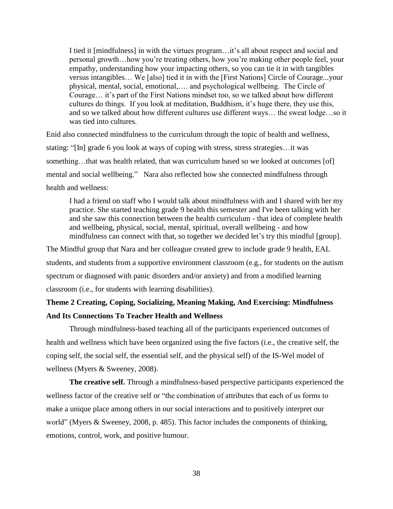I tied it [mindfulness] in with the virtues program…it's all about respect and social and personal growth…how you're treating others, how you're making other people feel, your empathy, understanding how your impacting others, so you can tie it in with tangibles versus intangibles… We [also] tied it in with the [First Nations] Circle of Courage...your physical, mental, social, emotional,…. and psychological wellbeing. The Circle of Courage… it's part of the First Nations mindset too, so we talked about how different cultures do things. If you look at meditation, Buddhism, it's huge there, they use this, and so we talked about how different cultures use different ways… the sweat lodge…so it was tied into cultures.

Enid also connected mindfulness to the curriculum through the topic of health and wellness, stating: "[In] grade 6 you look at ways of coping with stress, stress strategies…it was something...that was health related, that was curriculum based so we looked at outcomes [of] mental and social wellbeing." Nara also reflected how she connected mindfulness through health and wellness:

I had a friend on staff who I would talk about mindfulness with and I shared with her my practice. She started teaching grade 9 health this semester and I've been talking with her and she saw this connection between the health curriculum - that idea of complete health and wellbeing, physical, social, mental, spiritual, overall wellbeing - and how mindfulness can connect with that, so together we decided let's try this mindful [group].

The Mindful group that Nara and her colleague created grew to include grade 9 health, EAL students, and students from a supportive environment classroom (e.g., for students on the autism spectrum or diagnosed with panic disorders and/or anxiety) and from a modified learning classroom (i.e., for students with learning disabilities).

# **Theme 2 Creating, Coping, Socializing, Meaning Making, And Exercising: Mindfulness And Its Connections To Teacher Health and Wellness**

Through mindfulness-based teaching all of the participants experienced outcomes of health and wellness which have been organized using the five factors (i.e., the creative self, the coping self, the social self, the essential self, and the physical self) of the IS-Wel model of wellness (Myers & Sweeney, 2008).

**The creative self.** Through a mindfulness-based perspective participants experienced the wellness factor of the creative self or "the combination of attributes that each of us forms to make a unique place among others in our social interactions and to positively interpret our world" (Myers & Sweeney, 2008, p. 485). This factor includes the components of thinking, emotions, control, work, and positive humour.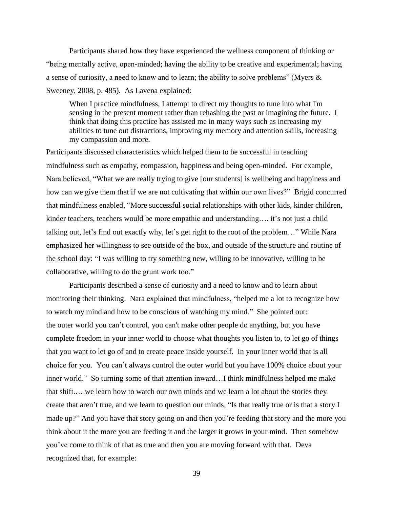Participants shared how they have experienced the wellness component of thinking or "being mentally active, open-minded; having the ability to be creative and experimental; having a sense of curiosity, a need to know and to learn; the ability to solve problems" (Myers & Sweeney, 2008, p. 485). As Lavena explained:

When I practice mindfulness, I attempt to direct my thoughts to tune into what I'm sensing in the present moment rather than rehashing the past or imagining the future. I think that doing this practice has assisted me in many ways such as increasing my abilities to tune out distractions, improving my memory and attention skills, increasing my compassion and more.

Participants discussed characteristics which helped them to be successful in teaching mindfulness such as empathy, compassion, happiness and being open-minded. For example, Nara believed, "What we are really trying to give [our students] is wellbeing and happiness and how can we give them that if we are not cultivating that within our own lives?" Brigid concurred that mindfulness enabled, "More successful social relationships with other kids, kinder children, kinder teachers, teachers would be more empathic and understanding…. it's not just a child talking out, let's find out exactly why, let's get right to the root of the problem…" While Nara emphasized her willingness to see outside of the box, and outside of the structure and routine of the school day: "I was willing to try something new, willing to be innovative, willing to be collaborative, willing to do the grunt work too."

Participants described a sense of curiosity and a need to know and to learn about monitoring their thinking. Nara explained that mindfulness, "helped me a lot to recognize how to watch my mind and how to be conscious of watching my mind." She pointed out: the outer world you can't control, you can't make other people do anything, but you have complete freedom in your inner world to choose what thoughts you listen to, to let go of things that you want to let go of and to create peace inside yourself. In your inner world that is all choice for you. You can't always control the outer world but you have 100% choice about your inner world." So turning some of that attention inward…I think mindfulness helped me make that shift.… we learn how to watch our own minds and we learn a lot about the stories they create that aren't true, and we learn to question our minds, "Is that really true or is that a story I made up?" And you have that story going on and then you're feeding that story and the more you think about it the more you are feeding it and the larger it grows in your mind. Then somehow you've come to think of that as true and then you are moving forward with that. Deva recognized that, for example: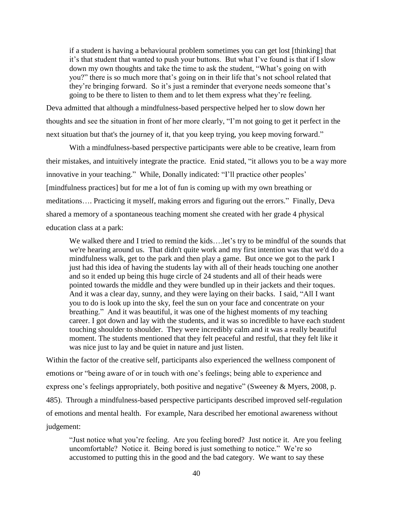if a student is having a behavioural problem sometimes you can get lost [thinking] that it's that student that wanted to push your buttons. But what I've found is that if I slow down my own thoughts and take the time to ask the student, "What's going on with you?" there is so much more that's going on in their life that's not school related that they're bringing forward. So it's just a reminder that everyone needs someone that's going to be there to listen to them and to let them express what they're feeling.

Deva admitted that although a mindfulness-based perspective helped her to slow down her thoughts and see the situation in front of her more clearly, "I'm not going to get it perfect in the next situation but that's the journey of it, that you keep trying, you keep moving forward."

With a mindfulness-based perspective participants were able to be creative, learn from their mistakes, and intuitively integrate the practice. Enid stated, "it allows you to be a way more innovative in your teaching." While, Donally indicated: "I'll practice other peoples' [mindfulness practices] but for me a lot of fun is coming up with my own breathing or meditations…. Practicing it myself, making errors and figuring out the errors." Finally, Deva shared a memory of a spontaneous teaching moment she created with her grade 4 physical education class at a park:

We walked there and I tried to remind the kids....let's try to be mindful of the sounds that we're hearing around us. That didn't quite work and my first intention was that we'd do a mindfulness walk, get to the park and then play a game. But once we got to the park I just had this idea of having the students lay with all of their heads touching one another and so it ended up being this huge circle of 24 students and all of their heads were pointed towards the middle and they were bundled up in their jackets and their toques. And it was a clear day, sunny, and they were laying on their backs. I said, "All I want you to do is look up into the sky, feel the sun on your face and concentrate on your breathing." And it was beautiful, it was one of the highest moments of my teaching career. I got down and lay with the students, and it was so incredible to have each student touching shoulder to shoulder. They were incredibly calm and it was a really beautiful moment. The students mentioned that they felt peaceful and restful, that they felt like it was nice just to lay and be quiet in nature and just listen.

Within the factor of the creative self, participants also experienced the wellness component of emotions or "being aware of or in touch with one's feelings; being able to experience and express one's feelings appropriately, both positive and negative" (Sweeney & Myers, 2008, p. 485). Through a mindfulness-based perspective participants described improved self-regulation of emotions and mental health. For example, Nara described her emotional awareness without judgement:

"Just notice what you're feeling. Are you feeling bored? Just notice it. Are you feeling uncomfortable? Notice it. Being bored is just something to notice." We're so accustomed to putting this in the good and the bad category. We want to say these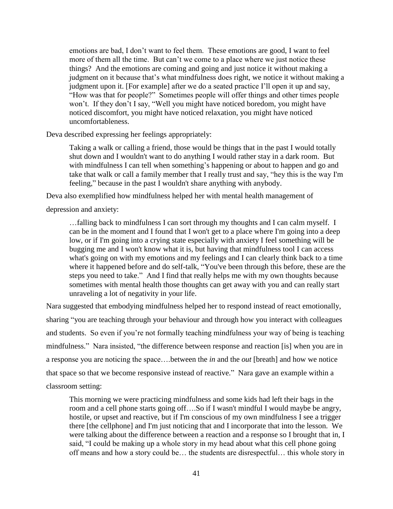emotions are bad, I don't want to feel them. These emotions are good, I want to feel more of them all the time. But can't we come to a place where we just notice these things? And the emotions are coming and going and just notice it without making a judgment on it because that's what mindfulness does right, we notice it without making a judgment upon it. [For example] after we do a seated practice I'll open it up and say, "How was that for people?" Sometimes people will offer things and other times people won't. If they don't I say, "Well you might have noticed boredom, you might have noticed discomfort, you might have noticed relaxation, you might have noticed uncomfortableness.

Deva described expressing her feelings appropriately:

Taking a walk or calling a friend, those would be things that in the past I would totally shut down and I wouldn't want to do anything I would rather stay in a dark room. But with mindfulness I can tell when something's happening or about to happen and go and take that walk or call a family member that I really trust and say, "hey this is the way I'm feeling," because in the past I wouldn't share anything with anybody.

Deva also exemplified how mindfulness helped her with mental health management of

depression and anxiety:

…falling back to mindfulness I can sort through my thoughts and I can calm myself. I can be in the moment and I found that I won't get to a place where I'm going into a deep low, or if I'm going into a crying state especially with anxiety I feel something will be bugging me and I won't know what it is, but having that mindfulness tool I can access what's going on with my emotions and my feelings and I can clearly think back to a time where it happened before and do self-talk, "You've been through this before, these are the steps you need to take." And I find that really helps me with my own thoughts because sometimes with mental health those thoughts can get away with you and can really start unraveling a lot of negativity in your life.

Nara suggested that embodying mindfulness helped her to respond instead of react emotionally, sharing "you are teaching through your behaviour and through how you interact with colleagues and students. So even if you're not formally teaching mindfulness your way of being is teaching mindfulness." Nara insisted, "the difference between response and reaction [is] when you are in a response you are noticing the space….between the *in* and the *out* [breath] and how we notice that space so that we become responsive instead of reactive." Nara gave an example within a classroom setting:

This morning we were practicing mindfulness and some kids had left their bags in the room and a cell phone starts going off….So if I wasn't mindful I would maybe be angry, hostile, or upset and reactive, but if I'm conscious of my own mindfulness I see a trigger there [the cellphone] and I'm just noticing that and I incorporate that into the lesson. We were talking about the difference between a reaction and a response so I brought that in, I said, "I could be making up a whole story in my head about what this cell phone going off means and how a story could be… the students are disrespectful… this whole story in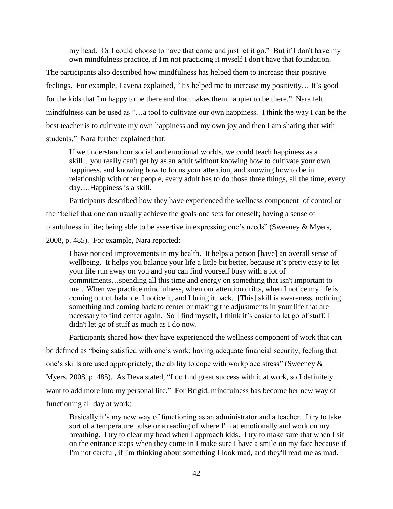my head. Or I could choose to have that come and just let it go." But if I don't have my own mindfulness practice, if I'm not practicing it myself I don't have that foundation.

The participants also described how mindfulness has helped them to increase their positive feelings. For example, Lavena explained, "It's helped me to increase my positivity… It's good for the kids that I'm happy to be there and that makes them happier to be there." Nara felt mindfulness can be used as "…a tool to cultivate our own happiness. I think the way I can be the best teacher is to cultivate my own happiness and my own joy and then I am sharing that with students." Nara further explained that:

If we understand our social and emotional worlds, we could teach happiness as a skill…you really can't get by as an adult without knowing how to cultivate your own happiness, and knowing how to focus your attention, and knowing how to be in relationship with other people, every adult has to do those three things, all the time, every day….Happiness is a skill.

Participants described how they have experienced the wellness component of control or the "belief that one can usually achieve the goals one sets for oneself; having a sense of planfulness in life; being able to be assertive in expressing one's needs" (Sweeney & Myers,

2008, p. 485). For example, Nara reported:

I have noticed improvements in my health. It helps a person [have] an overall sense of wellbeing. It helps you balance your life a little bit better, because it's pretty easy to let your life run away on you and you can find yourself busy with a lot of commitments…spending all this time and energy on something that isn't important to me…When we practice mindfulness, when our attention drifts, when I notice my life is coming out of balance, I notice it, and I bring it back. [This] skill is awareness, noticing something and coming back to center or making the adjustments in your life that are necessary to find center again. So I find myself, I think it's easier to let go of stuff, I didn't let go of stuff as much as I do now.

Participants shared how they have experienced the wellness component of work that can

be defined as "being satisfied with one's work; having adequate financial security; feeling that

one's skills are used appropriately; the ability to cope with workplace stress" (Sweeney &

Myers, 2008, p. 485). As Deva stated, "I do find great success with it at work, so I definitely

want to add more into my personal life." For Brigid, mindfulness has become her new way of

functioning all day at work:

Basically it's my new way of functioning as an administrator and a teacher. I try to take sort of a temperature pulse or a reading of where I'm at emotionally and work on my breathing. I try to clear my head when I approach kids. I try to make sure that when I sit on the entrance steps when they come in I make sure I have a smile on my face because if I'm not careful, if I'm thinking about something I look mad, and they'll read me as mad.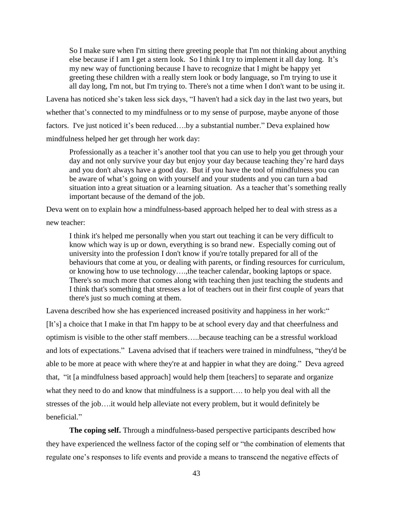So I make sure when I'm sitting there greeting people that I'm not thinking about anything else because if I am I get a stern look. So I think I try to implement it all day long. It's my new way of functioning because I have to recognize that I might be happy yet greeting these children with a really stern look or body language, so I'm trying to use it all day long, I'm not, but I'm trying to. There's not a time when I don't want to be using it.

Lavena has noticed she's taken less sick days, "I haven't had a sick day in the last two years, but whether that's connected to my mindfulness or to my sense of purpose, maybe anyone of those factors. I've just noticed it's been reduced….by a substantial number." Deva explained how mindfulness helped her get through her work day:

Professionally as a teacher it's another tool that you can use to help you get through your day and not only survive your day but enjoy your day because teaching they're hard days and you don't always have a good day. But if you have the tool of mindfulness you can be aware of what's going on with yourself and your students and you can turn a bad situation into a great situation or a learning situation. As a teacher that's something really important because of the demand of the job.

Deva went on to explain how a mindfulness-based approach helped her to deal with stress as a

new teacher:

I think it's helped me personally when you start out teaching it can be very difficult to know which way is up or down, everything is so brand new. Especially coming out of university into the profession I don't know if you're totally prepared for all of the behaviours that come at you, or dealing with parents, or finding resources for curriculum, or knowing how to use technology….,the teacher calendar, booking laptops or space. There's so much more that comes along with teaching then just teaching the students and I think that's something that stresses a lot of teachers out in their first couple of years that there's just so much coming at them.

Lavena described how she has experienced increased positivity and happiness in her work:" [It's] a choice that I make in that I'm happy to be at school every day and that cheerfulness and optimism is visible to the other staff members…..because teaching can be a stressful workload and lots of expectations." Lavena advised that if teachers were trained in mindfulness, "they'd be able to be more at peace with where they're at and happier in what they are doing." Deva agreed that, "it [a mindfulness based approach] would help them [teachers] to separate and organize what they need to do and know that mindfulness is a support…. to help you deal with all the stresses of the job….it would help alleviate not every problem, but it would definitely be beneficial."

**The coping self.** Through a mindfulness-based perspective participants described how they have experienced the wellness factor of the coping self or "the combination of elements that regulate one's responses to life events and provide a means to transcend the negative effects of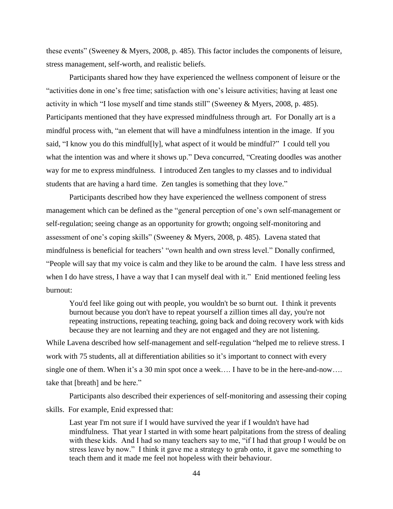these events" (Sweeney & Myers, 2008, p. 485). This factor includes the components of leisure, stress management, self-worth, and realistic beliefs.

Participants shared how they have experienced the wellness component of leisure or the "activities done in one's free time; satisfaction with one's leisure activities; having at least one activity in which "I lose myself and time stands still" (Sweeney & Myers, 2008, p. 485). Participants mentioned that they have expressed mindfulness through art. For Donally art is a mindful process with, "an element that will have a mindfulness intention in the image. If you said, "I know you do this mindful[ly], what aspect of it would be mindful?" I could tell you what the intention was and where it shows up." Deva concurred, "Creating doodles was another way for me to express mindfulness. I introduced Zen tangles to my classes and to individual students that are having a hard time. Zen tangles is something that they love."

Participants described how they have experienced the wellness component of stress management which can be defined as the "general perception of one's own self-management or self-regulation; seeing change as an opportunity for growth; ongoing self-monitoring and assessment of one's coping skills" (Sweeney & Myers, 2008, p. 485). Lavena stated that mindfulness is beneficial for teachers' "own health and own stress level." Donally confirmed, "People will say that my voice is calm and they like to be around the calm. I have less stress and when I do have stress, I have a way that I can myself deal with it." Enid mentioned feeling less burnout:

You'd feel like going out with people, you wouldn't be so burnt out. I think it prevents burnout because you don't have to repeat yourself a zillion times all day, you're not repeating instructions, repeating teaching, going back and doing recovery work with kids because they are not learning and they are not engaged and they are not listening.

While Lavena described how self-management and self-regulation "helped me to relieve stress. I work with 75 students, all at differentiation abilities so it's important to connect with every single one of them. When it's a 30 min spot once a week…. I have to be in the here-and-now…. take that [breath] and be here."

Participants also described their experiences of self-monitoring and assessing their coping skills. For example, Enid expressed that:

Last year I'm not sure if I would have survived the year if I wouldn't have had mindfulness. That year I started in with some heart palpitations from the stress of dealing with these kids. And I had so many teachers say to me, "if I had that group I would be on stress leave by now." I think it gave me a strategy to grab onto, it gave me something to teach them and it made me feel not hopeless with their behaviour.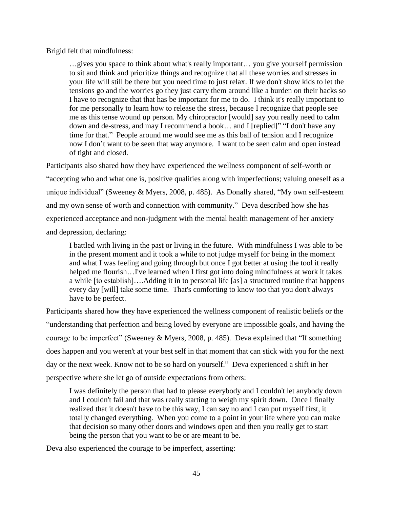Brigid felt that mindfulness:

…gives you space to think about what's really important… you give yourself permission to sit and think and prioritize things and recognize that all these worries and stresses in your life will still be there but you need time to just relax. If we don't show kids to let the tensions go and the worries go they just carry them around like a burden on their backs so I have to recognize that that has be important for me to do. I think it's really important to for me personally to learn how to release the stress, because I recognize that people see me as this tense wound up person. My chiropractor [would] say you really need to calm down and de-stress, and may I recommend a book… and I [replied]" "I don't have any time for that." People around me would see me as this ball of tension and I recognize now I don't want to be seen that way anymore. I want to be seen calm and open instead of tight and closed.

Participants also shared how they have experienced the wellness component of self-worth or "accepting who and what one is, positive qualities along with imperfections; valuing oneself as a unique individual" (Sweeney & Myers, 2008, p. 485). As Donally shared, "My own self-esteem and my own sense of worth and connection with community." Deva described how she has experienced acceptance and non-judgment with the mental health management of her anxiety and depression, declaring:

I battled with living in the past or living in the future. With mindfulness I was able to be in the present moment and it took a while to not judge myself for being in the moment and what I was feeling and going through but once I got better at using the tool it really helped me flourish…I've learned when I first got into doing mindfulness at work it takes a while [to establish]….Adding it in to personal life [as] a structured routine that happens every day [will] take some time. That's comforting to know too that you don't always have to be perfect.

Participants shared how they have experienced the wellness component of realistic beliefs or the "understanding that perfection and being loved by everyone are impossible goals, and having the courage to be imperfect" (Sweeney & Myers, 2008, p. 485). Deva explained that "If something does happen and you weren't at your best self in that moment that can stick with you for the next day or the next week. Know not to be so hard on yourself." Deva experienced a shift in her perspective where she let go of outside expectations from others:

I was definitely the person that had to please everybody and I couldn't let anybody down and I couldn't fail and that was really starting to weigh my spirit down. Once I finally realized that it doesn't have to be this way, I can say no and I can put myself first, it totally changed everything. When you come to a point in your life where you can make that decision so many other doors and windows open and then you really get to start being the person that you want to be or are meant to be.

Deva also experienced the courage to be imperfect, asserting: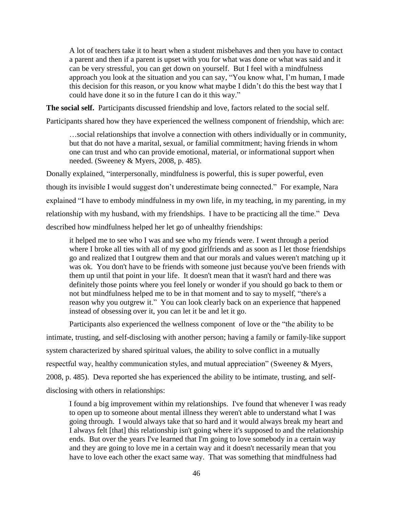A lot of teachers take it to heart when a student misbehaves and then you have to contact a parent and then if a parent is upset with you for what was done or what was said and it can be very stressful, you can get down on yourself. But I feel with a mindfulness approach you look at the situation and you can say, "You know what, I'm human, I made this decision for this reason, or you know what maybe I didn't do this the best way that I could have done it so in the future I can do it this way."

**The social self.** Participants discussed friendship and love, factors related to the social self.

Participants shared how they have experienced the wellness component of friendship, which are:

…social relationships that involve a connection with others individually or in community, but that do not have a marital, sexual, or familial commitment; having friends in whom one can trust and who can provide emotional, material, or informational support when needed. (Sweeney & Myers, 2008, p. 485).

Donally explained, "interpersonally, mindfulness is powerful, this is super powerful, even though its invisible I would suggest don't underestimate being connected." For example, Nara explained "I have to embody mindfulness in my own life, in my teaching, in my parenting, in my relationship with my husband, with my friendships. I have to be practicing all the time." Deva described how mindfulness helped her let go of unhealthy friendships:

it helped me to see who I was and see who my friends were. I went through a period where I broke all ties with all of my good girlfriends and as soon as I let those friendships go and realized that I outgrew them and that our morals and values weren't matching up it was ok. You don't have to be friends with someone just because you've been friends with them up until that point in your life. It doesn't mean that it wasn't hard and there was definitely those points where you feel lonely or wonder if you should go back to them or not but mindfulness helped me to be in that moment and to say to myself, "there's a reason why you outgrew it." You can look clearly back on an experience that happened instead of obsessing over it, you can let it be and let it go.

Participants also experienced the wellness component of love or the "the ability to be intimate, trusting, and self-disclosing with another person; having a family or family-like support system characterized by shared spiritual values, the ability to solve conflict in a mutually respectful way, healthy communication styles, and mutual appreciation" (Sweeney & Myers, 2008, p. 485). Deva reported she has experienced the ability to be intimate, trusting, and selfdisclosing with others in relationships:

I found a big improvement within my relationships. I've found that whenever I was ready to open up to someone about mental illness they weren't able to understand what I was going through. I would always take that so hard and it would always break my heart and I always felt [that] this relationship isn't going where it's supposed to and the relationship ends. But over the years I've learned that I'm going to love somebody in a certain way and they are going to love me in a certain way and it doesn't necessarily mean that you have to love each other the exact same way. That was something that mindfulness had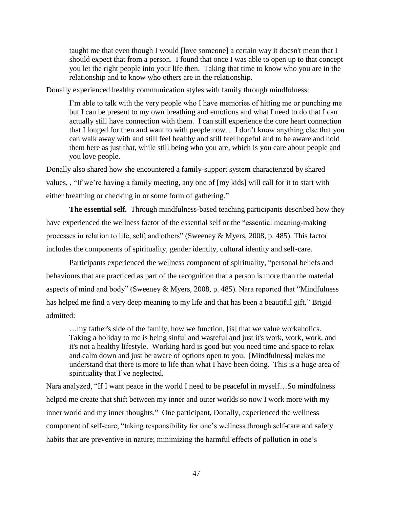taught me that even though I would [love someone] a certain way it doesn't mean that I should expect that from a person. I found that once I was able to open up to that concept you let the right people into your life then. Taking that time to know who you are in the relationship and to know who others are in the relationship.

Donally experienced healthy communication styles with family through mindfulness:

I'm able to talk with the very people who I have memories of hitting me or punching me but I can be present to my own breathing and emotions and what I need to do that I can actually still have connection with them. I can still experience the core heart connection that I longed for then and want to with people now….I don't know anything else that you can walk away with and still feel healthy and still feel hopeful and to be aware and hold them here as just that, while still being who you are, which is you care about people and you love people.

Donally also shared how she encountered a family-support system characterized by shared values, , "If we're having a family meeting, any one of [my kids] will call for it to start with either breathing or checking in or some form of gathering."

**The essential self.** Through mindfulness-based teaching participants described how they have experienced the wellness factor of the essential self or the "essential meaning-making processes in relation to life, self, and others" (Sweeney & Myers, 2008, p. 485). This factor includes the components of spirituality, gender identity, cultural identity and self-care.

Participants experienced the wellness component of spirituality, "personal beliefs and behaviours that are practiced as part of the recognition that a person is more than the material aspects of mind and body" (Sweeney & Myers, 2008, p. 485). Nara reported that "Mindfulness has helped me find a very deep meaning to my life and that has been a beautiful gift." Brigid admitted:

…my father's side of the family, how we function, [is] that we value workaholics. Taking a holiday to me is being sinful and wasteful and just it's work, work, work, and it's not a healthy lifestyle. Working hard is good but you need time and space to relax and calm down and just be aware of options open to you. [Mindfulness] makes me understand that there is more to life than what I have been doing. This is a huge area of spirituality that I've neglected.

Nara analyzed, "If I want peace in the world I need to be peaceful in myself…So mindfulness helped me create that shift between my inner and outer worlds so now I work more with my inner world and my inner thoughts." One participant, Donally, experienced the wellness component of self-care, "taking responsibility for one's wellness through self-care and safety habits that are preventive in nature; minimizing the harmful effects of pollution in one's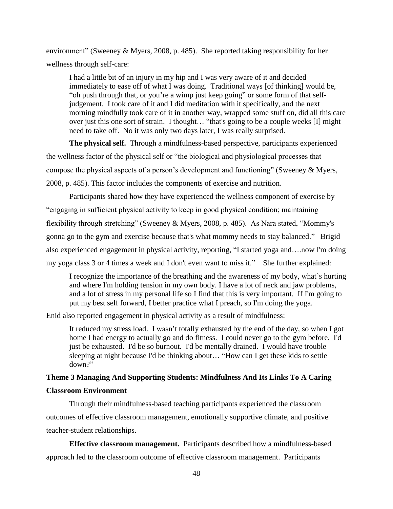environment" (Sweeney & Myers, 2008, p. 485). She reported taking responsibility for her wellness through self-care:

I had a little bit of an injury in my hip and I was very aware of it and decided immediately to ease off of what I was doing. Traditional ways [of thinking] would be, "oh push through that, or you're a wimp just keep going" or some form of that selfjudgement. I took care of it and I did meditation with it specifically, and the next morning mindfully took care of it in another way, wrapped some stuff on, did all this care over just this one sort of strain. I thought… "that's going to be a couple weeks [I] might need to take off. No it was only two days later, I was really surprised.

**The physical self.** Through a mindfulness-based perspective, participants experienced the wellness factor of the physical self or "the biological and physiological processes that compose the physical aspects of a person's development and functioning" (Sweeney & Myers, 2008, p. 485). This factor includes the components of exercise and nutrition.

Participants shared how they have experienced the wellness component of exercise by "engaging in sufficient physical activity to keep in good physical condition; maintaining flexibility through stretching" (Sweeney & Myers, 2008, p. 485). As Nara stated, "Mommy's gonna go to the gym and exercise because that's what mommy needs to stay balanced." Brigid also experienced engagement in physical activity, reporting, "I started yoga and….now I'm doing my yoga class 3 or 4 times a week and I don't even want to miss it." She further explained:

I recognize the importance of the breathing and the awareness of my body, what's hurting and where I'm holding tension in my own body. I have a lot of neck and jaw problems, and a lot of stress in my personal life so I find that this is very important. If I'm going to put my best self forward, I better practice what I preach, so I'm doing the yoga.

Enid also reported engagement in physical activity as a result of mindfulness:

It reduced my stress load. I wasn't totally exhausted by the end of the day, so when I got home I had energy to actually go and do fitness. I could never go to the gym before. I'd just be exhausted. I'd be so burnout. I'd be mentally drained. I would have trouble sleeping at night because I'd be thinking about… "How can I get these kids to settle down?"

# **Theme 3 Managing And Supporting Students: Mindfulness And Its Links To A Caring Classroom Environment**

Through their mindfulness-based teaching participants experienced the classroom outcomes of effective classroom management, emotionally supportive climate, and positive teacher-student relationships.

**Effective classroom management.** Participants described how a mindfulness-based approach led to the classroom outcome of effective classroom management. Participants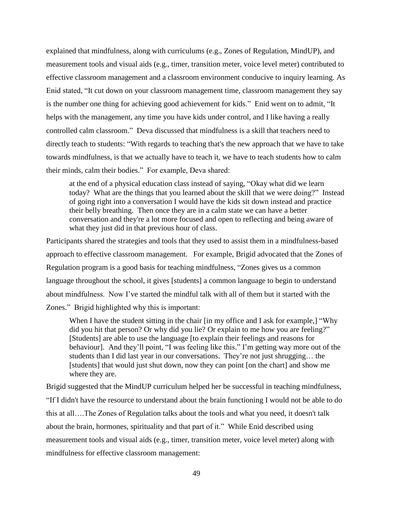explained that mindfulness, along with curriculums (e.g., Zones of Regulation, MindUP), and measurement tools and visual aids (e.g., timer, transition meter, voice level meter) contributed to effective classroom management and a classroom environment conducive to inquiry learning. As Enid stated, "It cut down on your classroom management time, classroom management they say is the number one thing for achieving good achievement for kids." Enid went on to admit, "It helps with the management, any time you have kids under control, and I like having a really controlled calm classroom." Deva discussed that mindfulness is a skill that teachers need to directly teach to students: "With regards to teaching that's the new approach that we have to take towards mindfulness, is that we actually have to teach it, we have to teach students how to calm their minds, calm their bodies." For example, Deva shared:

at the end of a physical education class instead of saying, "Okay what did we learn today? What are the things that you learned about the skill that we were doing?" Instead of going right into a conversation I would have the kids sit down instead and practice their belly breathing. Then once they are in a calm state we can have a better conversation and they're a lot more focused and open to reflecting and being aware of what they just did in that previous hour of class.

Participants shared the strategies and tools that they used to assist them in a mindfulness-based approach to effective classroom management. For example, Brigid advocated that the Zones of Regulation program is a good basis for teaching mindfulness, "Zones gives us a common language throughout the school, it gives [students] a common language to begin to understand about mindfulness. Now I've started the mindful talk with all of them but it started with the

Zones." Brigid highlighted why this is important:

When I have the student sitting in the chair [in my office and I ask for example,] "Why did you hit that person? Or why did you lie? Or explain to me how you are feeling?" [Students] are able to use the language [to explain their feelings and reasons for behaviour]. And they'll point, "I was feeling like this." I'm getting way more out of the students than I did last year in our conversations. They're not just shrugging… the [students] that would just shut down, now they can point [on the chart] and show me where they are.

Brigid suggested that the MindUP curriculum helped her be successful in teaching mindfulness, "If I didn't have the resource to understand about the brain functioning I would not be able to do this at all….The Zones of Regulation talks about the tools and what you need, it doesn't talk about the brain, hormones, spirituality and that part of it." While Enid described using measurement tools and visual aids (e.g., timer, transition meter, voice level meter) along with mindfulness for effective classroom management: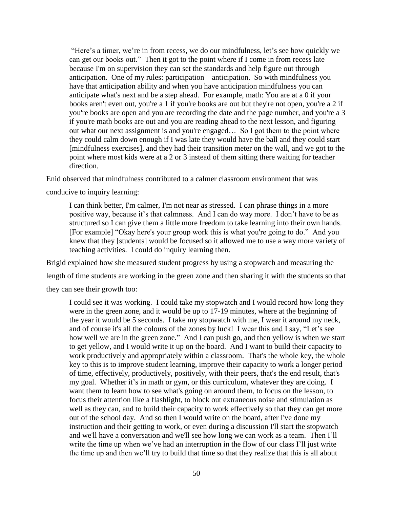"Here's a timer, we're in from recess, we do our mindfulness, let's see how quickly we can get our books out." Then it got to the point where if I come in from recess late because I'm on supervision they can set the standards and help figure out through anticipation. One of my rules: participation – anticipation. So with mindfulness you have that anticipation ability and when you have anticipation mindfulness you can anticipate what's next and be a step ahead. For example, math: You are at a 0 if your books aren't even out, you're a 1 if you're books are out but they're not open, you're a 2 if you're books are open and you are recording the date and the page number, and you're a 3 if you're math books are out and you are reading ahead to the next lesson, and figuring out what our next assignment is and you're engaged… So I got them to the point where they could calm down enough if I was late they would have the ball and they could start [mindfulness exercises], and they had their transition meter on the wall, and we got to the point where most kids were at a 2 or 3 instead of them sitting there waiting for teacher direction.

Enid observed that mindfulness contributed to a calmer classroom environment that was

conducive to inquiry learning:

I can think better, I'm calmer, I'm not near as stressed. I can phrase things in a more positive way, because it's that calmness. And I can do way more. I don't have to be as structured so I can give them a little more freedom to take learning into their own hands. [For example] "Okay here's your group work this is what you're going to do." And you knew that they [students] would be focused so it allowed me to use a way more variety of teaching activities. I could do inquiry learning then.

Brigid explained how she measured student progress by using a stopwatch and measuring the length of time students are working in the green zone and then sharing it with the students so that they can see their growth too:

I could see it was working. I could take my stopwatch and I would record how long they were in the green zone, and it would be up to 17-19 minutes, where at the beginning of the year it would be 5 seconds. I take my stopwatch with me, I wear it around my neck, and of course it's all the colours of the zones by luck! I wear this and I say, "Let's see how well we are in the green zone." And I can push go, and then yellow is when we start to get yellow, and I would write it up on the board. And I want to build their capacity to work productively and appropriately within a classroom. That's the whole key, the whole key to this is to improve student learning, improve their capacity to work a longer period of time, effectively, productively, positively, with their peers, that's the end result, that's my goal. Whether it's in math or gym, or this curriculum, whatever they are doing. I want them to learn how to see what's going on around them, to focus on the lesson, to focus their attention like a flashlight, to block out extraneous noise and stimulation as well as they can, and to build their capacity to work effectively so that they can get more out of the school day. And so then I would write on the board, after I've done my instruction and their getting to work, or even during a discussion I'll start the stopwatch and we'll have a conversation and we'll see how long we can work as a team. Then I'll write the time up when we've had an interruption in the flow of our class I'll just write the time up and then we'll try to build that time so that they realize that this is all about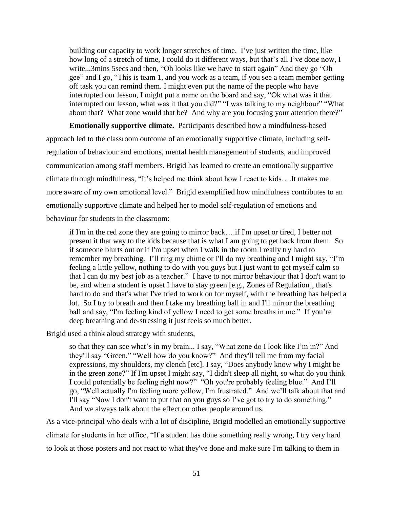building our capacity to work longer stretches of time. I've just written the time, like how long of a stretch of time, I could do it different ways, but that's all I've done now, I write...3mins 5secs and then, "Oh looks like we have to start again" And they go "Oh gee" and I go, "This is team 1, and you work as a team, if you see a team member getting off task you can remind them. I might even put the name of the people who have interrupted our lesson, I might put a name on the board and say, "Ok what was it that interrupted our lesson, what was it that you did?" "I was talking to my neighbour" "What about that? What zone would that be? And why are you focusing your attention there?"

**Emotionally supportive climate.** Participants described how a mindfulness-based approach led to the classroom outcome of an emotionally supportive climate, including selfregulation of behaviour and emotions, mental health management of students, and improved communication among staff members. Brigid has learned to create an emotionally supportive climate through mindfulness, "It's helped me think about how I react to kids….It makes me more aware of my own emotional level." Brigid exemplified how mindfulness contributes to an emotionally supportive climate and helped her to model self-regulation of emotions and behaviour for students in the classroom:

if I'm in the red zone they are going to mirror back….if I'm upset or tired, I better not present it that way to the kids because that is what I am going to get back from them. So if someone blurts out or if I'm upset when I walk in the room I really try hard to remember my breathing. I'll ring my chime or I'll do my breathing and I might say, "I'm feeling a little yellow, nothing to do with you guys but I just want to get myself calm so that I can do my best job as a teacher." I have to not mirror behaviour that I don't want to be, and when a student is upset I have to stay green [e.g., Zones of Regulation], that's hard to do and that's what I've tried to work on for myself, with the breathing has helped a lot. So I try to breath and then I take my breathing ball in and I'll mirror the breathing ball and say, "I'm feeling kind of yellow I need to get some breaths in me." If you're deep breathing and de-stressing it just feels so much better.

Brigid used a think aloud strategy with students,

so that they can see what's in my brain... I say, "What zone do I look like I'm in?" And they'll say "Green." "Well how do you know?" And they'll tell me from my facial expressions, my shoulders, my clench [etc]. I say, "Does anybody know why I might be in the green zone?" If I'm upset I might say, "I didn't sleep all night, so what do you think I could potentially be feeling right now?" "Oh you're probably feeling blue." And I'll go, "Well actually I'm feeling more yellow, I'm frustrated." And we'll talk about that and I'll say "Now I don't want to put that on you guys so I've got to try to do something." And we always talk about the effect on other people around us.

As a vice-principal who deals with a lot of discipline, Brigid modelled an emotionally supportive climate for students in her office, "If a student has done something really wrong, I try very hard to look at those posters and not react to what they've done and make sure I'm talking to them in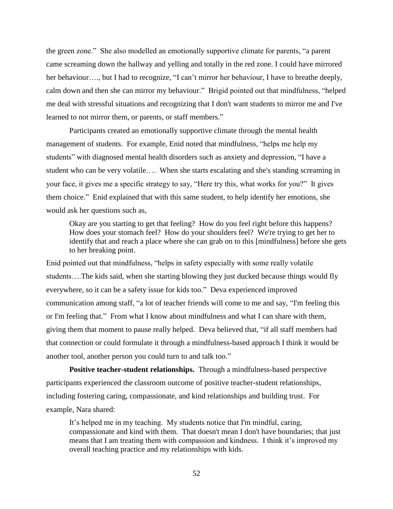the green zone." She also modelled an emotionally supportive climate for parents, "a parent came screaming down the hallway and yelling and totally in the red zone. I could have mirrored her behaviour…., but I had to recognize, "I can't mirror her behaviour, I have to breathe deeply, calm down and then she can mirror my behaviour." Brigid pointed out that mindfulness, "helped me deal with stressful situations and recognizing that I don't want students to mirror me and I've learned to not mirror them, or parents, or staff members."

Participants created an emotionally supportive climate through the mental health management of students. For example, Enid noted that mindfulness, "helps me help my students" with diagnosed mental health disorders such as anxiety and depression, "I have a student who can be very volatile…. When she starts escalating and she's standing screaming in your face, it gives me a specific strategy to say, "Here try this, what works for you?" It gives them choice." Enid explained that with this same student, to help identify her emotions, she would ask her questions such as,

Okay are you starting to get that feeling? How do you feel right before this happens? How does your stomach feel? How do your shoulders feel? We're trying to get her to identify that and reach a place where she can grab on to this [mindfulness] before she gets to her breaking point.

Enid pointed out that mindfulness, "helps in safety especially with some really volatile students….The kids said, when she starting blowing they just ducked because things would fly everywhere, so it can be a safety issue for kids too." Deva experienced improved communication among staff, "a lot of teacher friends will come to me and say, "I'm feeling this or I'm feeling that." From what I know about mindfulness and what I can share with them, giving them that moment to pause really helped. Deva believed that, "if all staff members had that connection or could formulate it through a mindfulness-based approach I think it would be another tool, another person you could turn to and talk too."

**Positive teacher-student relationships.** Through a mindfulness-based perspective participants experienced the classroom outcome of positive teacher-student relationships, including fostering caring, compassionate, and kind relationships and building trust. For example, Nara shared:

It's helped me in my teaching. My students notice that I'm mindful, caring, compassionate and kind with them. That doesn't mean I don't have boundaries; that just means that I am treating them with compassion and kindness. I think it's improved my overall teaching practice and my relationships with kids.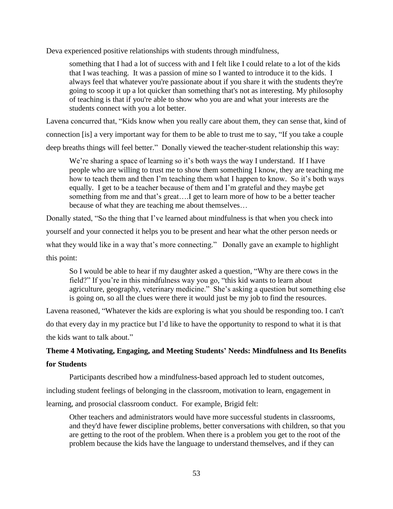Deva experienced positive relationships with students through mindfulness,

something that I had a lot of success with and I felt like I could relate to a lot of the kids that I was teaching. It was a passion of mine so I wanted to introduce it to the kids. I always feel that whatever you're passionate about if you share it with the students they're going to scoop it up a lot quicker than something that's not as interesting. My philosophy of teaching is that if you're able to show who you are and what your interests are the students connect with you a lot better.

Lavena concurred that, "Kids know when you really care about them, they can sense that, kind of connection [is] a very important way for them to be able to trust me to say, "If you take a couple deep breaths things will feel better." Donally viewed the teacher-student relationship this way:

We're sharing a space of learning so it's both ways the way I understand. If I have people who are willing to trust me to show them something I know, they are teaching me how to teach them and then I'm teaching them what I happen to know. So it's both ways equally. I get to be a teacher because of them and I'm grateful and they maybe get something from me and that's great….I get to learn more of how to be a better teacher because of what they are teaching me about themselves…

Donally stated, "So the thing that I've learned about mindfulness is that when you check into yourself and your connected it helps you to be present and hear what the other person needs or what they would like in a way that's more connecting." Donally gave an example to highlight this point:

So I would be able to hear if my daughter asked a question, "Why are there cows in the field?" If you're in this mindfulness way you go, "this kid wants to learn about agriculture, geography, veterinary medicine." She's asking a question but something else is going on, so all the clues were there it would just be my job to find the resources.

Lavena reasoned, "Whatever the kids are exploring is what you should be responding too. I can't do that every day in my practice but I'd like to have the opportunity to respond to what it is that the kids want to talk about."

## **Theme 4 Motivating, Engaging, and Meeting Students' Needs: Mindfulness and Its Benefits**

## **for Students**

Participants described how a mindfulness-based approach led to student outcomes,

including student feelings of belonging in the classroom, motivation to learn, engagement in

learning, and prosocial classroom conduct. For example, Brigid felt:

Other teachers and administrators would have more successful students in classrooms, and they'd have fewer discipline problems, better conversations with children, so that you are getting to the root of the problem. When there is a problem you get to the root of the problem because the kids have the language to understand themselves, and if they can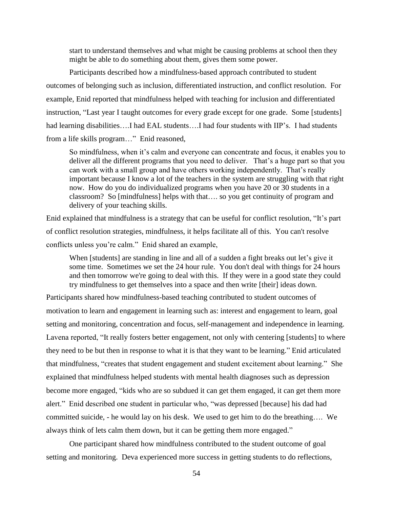start to understand themselves and what might be causing problems at school then they might be able to do something about them, gives them some power.

Participants described how a mindfulness-based approach contributed to student outcomes of belonging such as inclusion, differentiated instruction, and conflict resolution. For example, Enid reported that mindfulness helped with teaching for inclusion and differentiated instruction, "Last year I taught outcomes for every grade except for one grade. Some [students] had learning disabilities....I had EAL students....I had four students with IIP's. I had students from a life skills program…" Enid reasoned,

So mindfulness, when it's calm and everyone can concentrate and focus, it enables you to deliver all the different programs that you need to deliver. That's a huge part so that you can work with a small group and have others working independently. That's really important because I know a lot of the teachers in the system are struggling with that right now. How do you do individualized programs when you have 20 or 30 students in a classroom? So [mindfulness] helps with that…. so you get continuity of program and delivery of your teaching skills.

Enid explained that mindfulness is a strategy that can be useful for conflict resolution, "It's part of conflict resolution strategies, mindfulness, it helps facilitate all of this. You can't resolve conflicts unless you're calm." Enid shared an example,

When [students] are standing in line and all of a sudden a fight breaks out let's give it some time. Sometimes we set the 24 hour rule. You don't deal with things for 24 hours and then tomorrow we're going to deal with this. If they were in a good state they could try mindfulness to get themselves into a space and then write [their] ideas down.

Participants shared how mindfulness-based teaching contributed to student outcomes of motivation to learn and engagement in learning such as: interest and engagement to learn, goal setting and monitoring, concentration and focus, self-management and independence in learning. Lavena reported, "It really fosters better engagement, not only with centering [students] to where they need to be but then in response to what it is that they want to be learning." Enid articulated that mindfulness, "creates that student engagement and student excitement about learning." She explained that mindfulness helped students with mental health diagnoses such as depression become more engaged, "kids who are so subdued it can get them engaged, it can get them more alert." Enid described one student in particular who, "was depressed [because] his dad had committed suicide, - he would lay on his desk. We used to get him to do the breathing…. We always think of lets calm them down, but it can be getting them more engaged."

One participant shared how mindfulness contributed to the student outcome of goal setting and monitoring. Deva experienced more success in getting students to do reflections,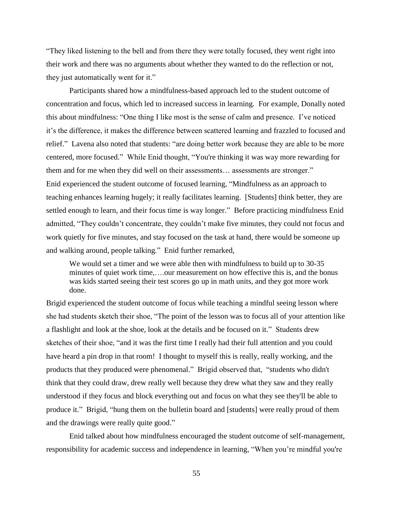"They liked listening to the bell and from there they were totally focused, they went right into their work and there was no arguments about whether they wanted to do the reflection or not, they just automatically went for it."

Participants shared how a mindfulness-based approach led to the student outcome of concentration and focus, which led to increased success in learning. For example, Donally noted this about mindfulness: "One thing I like most is the sense of calm and presence. I've noticed it's the difference, it makes the difference between scattered learning and frazzled to focused and relief." Lavena also noted that students: "are doing better work because they are able to be more centered, more focused." While Enid thought, "You're thinking it was way more rewarding for them and for me when they did well on their assessments… assessments are stronger." Enid experienced the student outcome of focused learning, "Mindfulness as an approach to teaching enhances learning hugely; it really facilitates learning. [Students] think better, they are settled enough to learn, and their focus time is way longer." Before practicing mindfulness Enid admitted, "They couldn't concentrate, they couldn't make five minutes, they could not focus and work quietly for five minutes, and stay focused on the task at hand, there would be someone up and walking around, people talking." Enid further remarked,

We would set a timer and we were able then with mindfulness to build up to 30-35 minutes of quiet work time,….our measurement on how effective this is, and the bonus was kids started seeing their test scores go up in math units, and they got more work done.

Brigid experienced the student outcome of focus while teaching a mindful seeing lesson where she had students sketch their shoe, "The point of the lesson was to focus all of your attention like a flashlight and look at the shoe, look at the details and be focused on it." Students drew sketches of their shoe, "and it was the first time I really had their full attention and you could have heard a pin drop in that room! I thought to myself this is really, really working, and the products that they produced were phenomenal." Brigid observed that, "students who didn't think that they could draw, drew really well because they drew what they saw and they really understood if they focus and block everything out and focus on what they see they'll be able to produce it." Brigid, "hung them on the bulletin board and [students] were really proud of them and the drawings were really quite good."

Enid talked about how mindfulness encouraged the student outcome of self-management, responsibility for academic success and independence in learning, "When you're mindful you're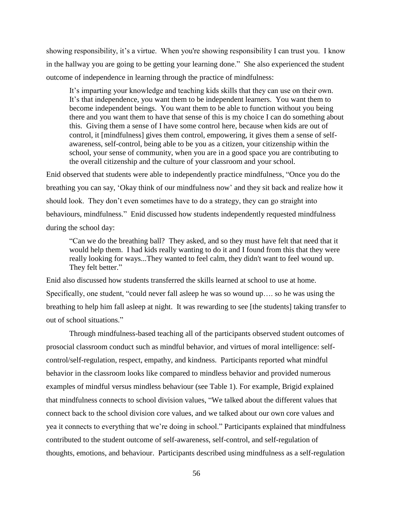showing responsibility, it's a virtue. When you're showing responsibility I can trust you. I know in the hallway you are going to be getting your learning done." She also experienced the student outcome of independence in learning through the practice of mindfulness:

It's imparting your knowledge and teaching kids skills that they can use on their own. It's that independence, you want them to be independent learners. You want them to become independent beings. You want them to be able to function without you being there and you want them to have that sense of this is my choice I can do something about this. Giving them a sense of I have some control here, because when kids are out of control, it [mindfulness] gives them control, empowering, it gives them a sense of selfawareness, self-control, being able to be you as a citizen, your citizenship within the school, your sense of community, when you are in a good space you are contributing to the overall citizenship and the culture of your classroom and your school.

Enid observed that students were able to independently practice mindfulness, "Once you do the breathing you can say, 'Okay think of our mindfulness now' and they sit back and realize how it should look. They don't even sometimes have to do a strategy, they can go straight into behaviours, mindfulness." Enid discussed how students independently requested mindfulness during the school day:

"Can we do the breathing ball? They asked, and so they must have felt that need that it would help them. I had kids really wanting to do it and I found from this that they were really looking for ways...They wanted to feel calm, they didn't want to feel wound up. They felt better."

Enid also discussed how students transferred the skills learned at school to use at home. Specifically, one student, "could never fall asleep he was so wound up…. so he was using the breathing to help him fall asleep at night. It was rewarding to see [the students] taking transfer to out of school situations."

Through mindfulness-based teaching all of the participants observed student outcomes of prosocial classroom conduct such as mindful behavior, and virtues of moral intelligence: selfcontrol/self-regulation, respect, empathy, and kindness. Participants reported what mindful behavior in the classroom looks like compared to mindless behavior and provided numerous examples of mindful versus mindless behaviour (see Table 1). For example, Brigid explained that mindfulness connects to school division values, "We talked about the different values that connect back to the school division core values, and we talked about our own core values and yea it connects to everything that we're doing in school." Participants explained that mindfulness contributed to the student outcome of self-awareness, self-control, and self-regulation of thoughts, emotions, and behaviour. Participants described using mindfulness as a self-regulation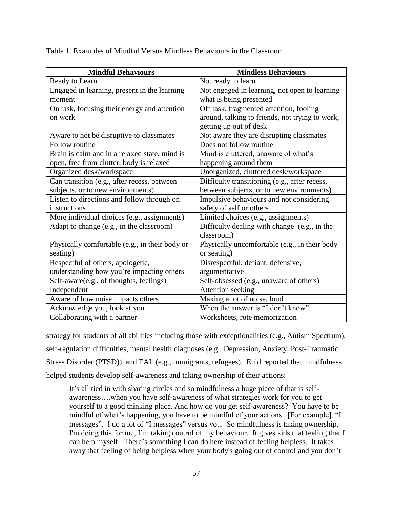Table 1. Examples of Mindful Versus Mindless Behaviours in the Classroom

| <b>Mindful Behaviours</b>                      | <b>Mindless Behaviours</b>                      |
|------------------------------------------------|-------------------------------------------------|
| Ready to Learn                                 | Not ready to learn                              |
| Engaged in learning, present in the learning   | Not engaged in learning, not open to learning   |
| moment                                         | what is being presented                         |
| On task, focusing their energy and attention   | Off task, fragmented attention, fooling         |
| on work                                        | around, talking to friends, not trying to work, |
|                                                | getting up out of desk                          |
| Aware to not be disruptive to classmates       | Not aware they are disrupting classmates        |
| Follow routine                                 | Does not follow routine                         |
| Brain is calm and in a relaxed state, mind is  | Mind is cluttered, unaware of what's            |
| open, free from clutter, body is relaxed       | happening around them                           |
| Organized desk/workspace                       | Unorganized, cluttered desk/workspace           |
| Can transition (e.g., after recess, between    | Difficulty transitioning (e.g., after recess,   |
| subjects, or to new environments)              | between subjects, or to new environments)       |
| Listen to directions and follow through on     | Impulsive behaviours and not considering        |
| instructions                                   | safety of self or others                        |
| More individual choices (e.g., assignments)    | Limited choices (e.g., assignments)             |
| Adapt to change (e.g., in the classroom)       | Difficulty dealing with change (e.g., in the    |
|                                                | classroom)                                      |
| Physically comfortable (e.g., in their body or | Physically uncomfortable (e.g., in their body   |
| seating)                                       | or seating)                                     |
| Respectful of others, apologetic,              | Disrespectful, defiant, defensive,              |
| understanding how you're impacting others      | argumentative                                   |
| Self-aware(e.g., of thoughts, feelings)        | Self-obsessed (e.g., unaware of others)         |
| Independent                                    | Attention seeking                               |
| Aware of how noise impacts others              | Making a lot of noise, loud                     |
| Acknowledge you, look at you                   | When the answer is "I don't know"               |
| Collaborating with a partner                   | Worksheets, rote memorization                   |

strategy for students of all abilities including those with exceptionalities (e.g., Autism Spectrum), self-regulation difficulties, mental health diagnoses (e.g., Depression, Anxiety, Post-Traumatic Stress Disorder (PTSD)), and EAL (e.g., immigrants, refugees). Enid reported that mindfulness helped students develop self-awareness and taking ownership of their actions:

It's all tied in with sharing circles and so mindfulness a huge piece of that is selfawareness….when you have self-awareness of what strategies work for you to get yourself to a good thinking place. And how do you get self-awareness? You have to be mindful of what's happening, you have to be mindful of your actions. [For example], "I messages". I do a lot of "I messages" versus you. So mindfulness is taking ownership, I'm doing this for me, I'm taking control of my behaviour. It gives kids that feeling that I can help myself. There's something I can do here instead of feeling helpless. It takes away that feeling of being helpless when your body's going out of control and you don't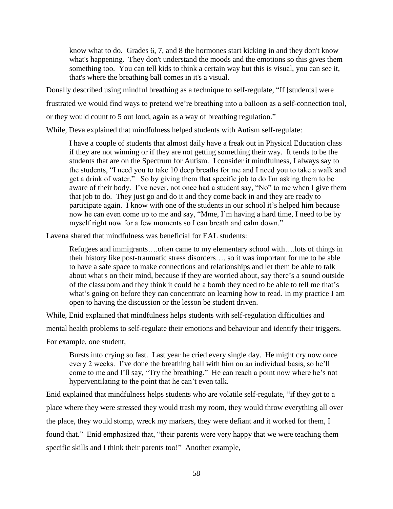know what to do. Grades 6, 7, and 8 the hormones start kicking in and they don't know what's happening. They don't understand the moods and the emotions so this gives them something too. You can tell kids to think a certain way but this is visual, you can see it, that's where the breathing ball comes in it's a visual.

Donally described using mindful breathing as a technique to self-regulate, "If [students] were frustrated we would find ways to pretend we're breathing into a balloon as a self-connection tool, or they would count to 5 out loud, again as a way of breathing regulation."

While, Deva explained that mindfulness helped students with Autism self-regulate:

I have a couple of students that almost daily have a freak out in Physical Education class if they are not winning or if they are not getting something their way. It tends to be the students that are on the Spectrum for Autism. I consider it mindfulness, I always say to the students, "I need you to take 10 deep breaths for me and I need you to take a walk and get a drink of water." So by giving them that specific job to do I'm asking them to be aware of their body. I've never, not once had a student say, "No" to me when I give them that job to do. They just go and do it and they come back in and they are ready to participate again. I know with one of the students in our school it's helped him because now he can even come up to me and say, "Mme, I'm having a hard time, I need to be by myself right now for a few moments so I can breath and calm down."

Lavena shared that mindfulness was beneficial for EAL students:

Refugees and immigrants….often came to my elementary school with….lots of things in their history like post-traumatic stress disorders…. so it was important for me to be able to have a safe space to make connections and relationships and let them be able to talk about what's on their mind, because if they are worried about, say there's a sound outside of the classroom and they think it could be a bomb they need to be able to tell me that's what's going on before they can concentrate on learning how to read. In my practice I am open to having the discussion or the lesson be student driven.

While, Enid explained that mindfulness helps students with self-regulation difficulties and

mental health problems to self-regulate their emotions and behaviour and identify their triggers.

For example, one student,

Bursts into crying so fast. Last year he cried every single day. He might cry now once every 2 weeks. I've done the breathing ball with him on an individual basis, so he'll come to me and I'll say, "Try the breathing." He can reach a point now where he's not hyperventilating to the point that he can't even talk.

Enid explained that mindfulness helps students who are volatile self-regulate, "if they got to a place where they were stressed they would trash my room, they would throw everything all over the place, they would stomp, wreck my markers, they were defiant and it worked for them, I found that." Enid emphasized that, "their parents were very happy that we were teaching them specific skills and I think their parents too!" Another example,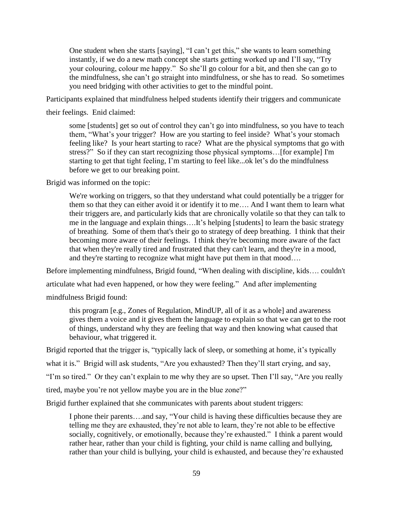One student when she starts [saying], "I can't get this," she wants to learn something instantly, if we do a new math concept she starts getting worked up and I'll say, "Try your colouring, colour me happy." So she'll go colour for a bit, and then she can go to the mindfulness, she can't go straight into mindfulness, or she has to read. So sometimes you need bridging with other activities to get to the mindful point.

Participants explained that mindfulness helped students identify their triggers and communicate

their feelings. Enid claimed:

some [students] get so out of control they can't go into mindfulness, so you have to teach them, "What's your trigger? How are you starting to feel inside? What's your stomach feeling like? Is your heart starting to race? What are the physical symptoms that go with stress?" So if they can start recognizing those physical symptoms…[for example] I'm starting to get that tight feeling, I'm starting to feel like...ok let's do the mindfulness before we get to our breaking point.

Brigid was informed on the topic:

We're working on triggers, so that they understand what could potentially be a trigger for them so that they can either avoid it or identify it to me…. And I want them to learn what their triggers are, and particularly kids that are chronically volatile so that they can talk to me in the language and explain things….It's helping [students] to learn the basic strategy of breathing. Some of them that's their go to strategy of deep breathing. I think that their becoming more aware of their feelings. I think they're becoming more aware of the fact that when they're really tired and frustrated that they can't learn, and they're in a mood, and they're starting to recognize what might have put them in that mood….

Before implementing mindfulness, Brigid found, "When dealing with discipline, kids…. couldn't

articulate what had even happened, or how they were feeling." And after implementing

mindfulness Brigid found:

this program [e.g., Zones of Regulation, MindUP, all of it as a whole] and awareness gives them a voice and it gives them the language to explain so that we can get to the root of things, understand why they are feeling that way and then knowing what caused that behaviour, what triggered it.

Brigid reported that the trigger is, "typically lack of sleep, or something at home, it's typically

what it is." Brigid will ask students, "Are you exhausted? Then they'll start crying, and say,

"I'm so tired." Or they can't explain to me why they are so upset. Then I'll say, "Are you really

tired, maybe you're not yellow maybe you are in the blue zone?"

Brigid further explained that she communicates with parents about student triggers:

I phone their parents….and say, "Your child is having these difficulties because they are telling me they are exhausted, they're not able to learn, they're not able to be effective socially, cognitively, or emotionally, because they're exhausted." I think a parent would rather hear, rather than your child is fighting, your child is name calling and bullying, rather than your child is bullying, your child is exhausted, and because they're exhausted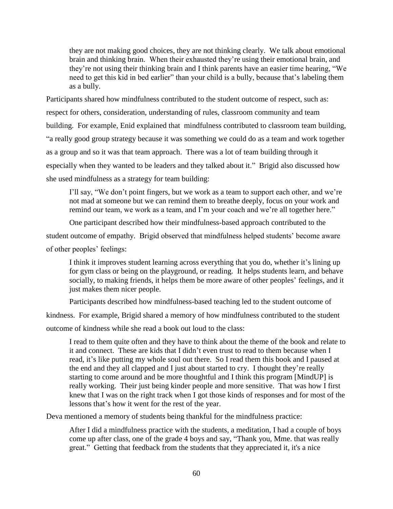they are not making good choices, they are not thinking clearly. We talk about emotional brain and thinking brain. When their exhausted they're using their emotional brain, and they're not using their thinking brain and I think parents have an easier time hearing, "We need to get this kid in bed earlier" than your child is a bully, because that's labeling them as a bully.

Participants shared how mindfulness contributed to the student outcome of respect, such as: respect for others, consideration, understanding of rules, classroom community and team building. For example, Enid explained that mindfulness contributed to classroom team building, "a really good group strategy because it was something we could do as a team and work together as a group and so it was that team approach. There was a lot of team building through it especially when they wanted to be leaders and they talked about it." Brigid also discussed how she used mindfulness as a strategy for team building:

I'll say, "We don't point fingers, but we work as a team to support each other, and we're not mad at someone but we can remind them to breathe deeply, focus on your work and remind our team, we work as a team, and I'm your coach and we're all together here."

One participant described how their mindfulness-based approach contributed to the

student outcome of empathy. Brigid observed that mindfulness helped students' become aware of other peoples' feelings:

I think it improves student learning across everything that you do, whether it's lining up for gym class or being on the playground, or reading. It helps students learn, and behave socially, to making friends, it helps them be more aware of other peoples' feelings, and it just makes them nicer people.

Participants described how mindfulness-based teaching led to the student outcome of

kindness. For example, Brigid shared a memory of how mindfulness contributed to the student

outcome of kindness while she read a book out loud to the class:

I read to them quite often and they have to think about the theme of the book and relate to it and connect. These are kids that I didn't even trust to read to them because when I read, it's like putting my whole soul out there. So I read them this book and I paused at the end and they all clapped and I just about started to cry. I thought they're really starting to come around and be more thoughtful and I think this program [MindUP] is really working. Their just being kinder people and more sensitive. That was how I first knew that I was on the right track when I got those kinds of responses and for most of the lessons that's how it went for the rest of the year.

Deva mentioned a memory of students being thankful for the mindfulness practice:

After I did a mindfulness practice with the students, a meditation, I had a couple of boys come up after class, one of the grade 4 boys and say, "Thank you, Mme. that was really great." Getting that feedback from the students that they appreciated it, it's a nice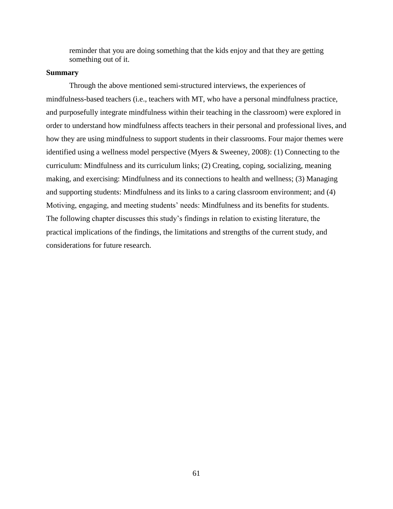reminder that you are doing something that the kids enjoy and that they are getting something out of it.

### **Summary**

Through the above mentioned semi-structured interviews, the experiences of mindfulness-based teachers (i.e., teachers with MT, who have a personal mindfulness practice, and purposefully integrate mindfulness within their teaching in the classroom) were explored in order to understand how mindfulness affects teachers in their personal and professional lives, and how they are using mindfulness to support students in their classrooms. Four major themes were identified using a wellness model perspective (Myers & Sweeney, 2008): (1) Connecting to the curriculum: Mindfulness and its curriculum links; (2) Creating, coping, socializing, meaning making, and exercising: Mindfulness and its connections to health and wellness; (3) Managing and supporting students: Mindfulness and its links to a caring classroom environment; and (4) Motiving, engaging, and meeting students' needs: Mindfulness and its benefits for students. The following chapter discusses this study's findings in relation to existing literature, the practical implications of the findings, the limitations and strengths of the current study, and considerations for future research.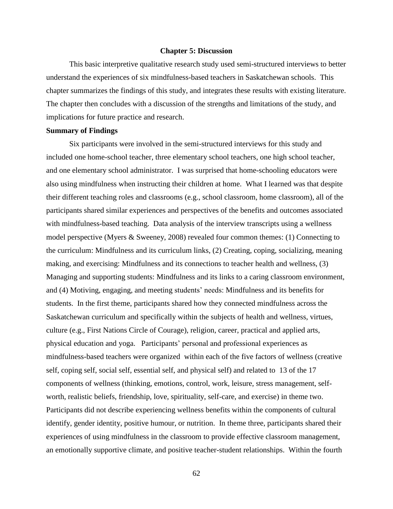#### **Chapter 5: Discussion**

This basic interpretive qualitative research study used semi-structured interviews to better understand the experiences of six mindfulness-based teachers in Saskatchewan schools. This chapter summarizes the findings of this study, and integrates these results with existing literature. The chapter then concludes with a discussion of the strengths and limitations of the study, and implications for future practice and research.

### **Summary of Findings**

Six participants were involved in the semi-structured interviews for this study and included one home-school teacher, three elementary school teachers, one high school teacher, and one elementary school administrator. I was surprised that home-schooling educators were also using mindfulness when instructing their children at home. What I learned was that despite their different teaching roles and classrooms (e.g., school classroom, home classroom), all of the participants shared similar experiences and perspectives of the benefits and outcomes associated with mindfulness-based teaching. Data analysis of the interview transcripts using a wellness model perspective (Myers & Sweeney, 2008) revealed four common themes: (1) Connecting to the curriculum: Mindfulness and its curriculum links, (2) Creating, coping, socializing, meaning making, and exercising: Mindfulness and its connections to teacher health and wellness, (3) Managing and supporting students: Mindfulness and its links to a caring classroom environment, and (4) Motiving, engaging, and meeting students' needs: Mindfulness and its benefits for students. In the first theme, participants shared how they connected mindfulness across the Saskatchewan curriculum and specifically within the subjects of health and wellness, virtues, culture (e.g., First Nations Circle of Courage), religion, career, practical and applied arts, physical education and yoga. Participants' personal and professional experiences as mindfulness-based teachers were organized within each of the five factors of wellness (creative self, coping self, social self, essential self, and physical self) and related to 13 of the 17 components of wellness (thinking, emotions, control, work, leisure, stress management, selfworth, realistic beliefs, friendship, love, spirituality, self-care, and exercise) in theme two. Participants did not describe experiencing wellness benefits within the components of cultural identify, gender identity, positive humour, or nutrition. In theme three, participants shared their experiences of using mindfulness in the classroom to provide effective classroom management, an emotionally supportive climate, and positive teacher-student relationships. Within the fourth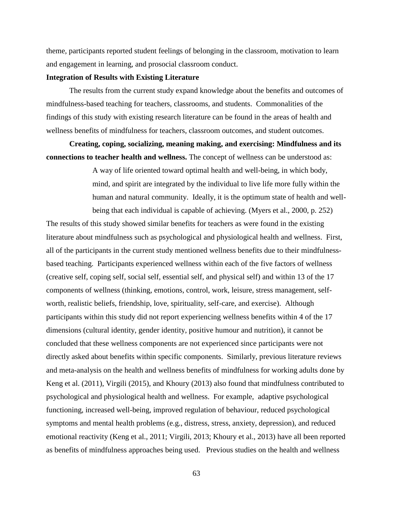theme, participants reported student feelings of belonging in the classroom, motivation to learn and engagement in learning, and prosocial classroom conduct.

### **Integration of Results with Existing Literature**

The results from the current study expand knowledge about the benefits and outcomes of mindfulness-based teaching for teachers, classrooms, and students. Commonalities of the findings of this study with existing research literature can be found in the areas of health and wellness benefits of mindfulness for teachers, classroom outcomes, and student outcomes.

**Creating, coping, socializing, meaning making, and exercising: Mindfulness and its connections to teacher health and wellness.** The concept of wellness can be understood as:

> A way of life oriented toward optimal health and well-being, in which body, mind, and spirit are integrated by the individual to live life more fully within the human and natural community. Ideally, it is the optimum state of health and wellbeing that each individual is capable of achieving. (Myers et al., 2000, p. 252)

The results of this study showed similar benefits for teachers as were found in the existing literature about mindfulness such as psychological and physiological health and wellness. First, all of the participants in the current study mentioned wellness benefits due to their mindfulnessbased teaching. Participants experienced wellness within each of the five factors of wellness (creative self, coping self, social self, essential self, and physical self) and within 13 of the 17 components of wellness (thinking, emotions, control, work, leisure, stress management, selfworth, realistic beliefs, friendship, love, spirituality, self-care, and exercise). Although participants within this study did not report experiencing wellness benefits within 4 of the 17 dimensions (cultural identity, gender identity, positive humour and nutrition), it cannot be concluded that these wellness components are not experienced since participants were not directly asked about benefits within specific components. Similarly, previous literature reviews and meta-analysis on the health and wellness benefits of mindfulness for working adults done by Keng et al. (2011), Virgili (2015), and Khoury (2013) also found that mindfulness contributed to psychological and physiological health and wellness. For example, adaptive psychological functioning, increased well-being, improved regulation of behaviour, reduced psychological symptoms and mental health problems (e.g., distress, stress, anxiety, depression), and reduced emotional reactivity (Keng et al., 2011; Virgili, 2013; Khoury et al., 2013) have all been reported as benefits of mindfulness approaches being used. Previous studies on the health and wellness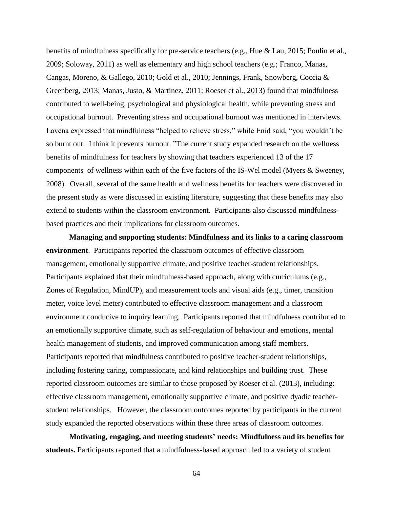benefits of mindfulness specifically for pre-service teachers (e.g., Hue & Lau, 2015; Poulin et al., 2009; Soloway, 2011) as well as elementary and high school teachers (e.g.; Franco, Manas, Cangas, Moreno, & Gallego, 2010; Gold et al., 2010; Jennings, Frank, Snowberg, Coccia & Greenberg, 2013; Manas, Justo, & Martinez, 2011; Roeser et al., 2013) found that mindfulness contributed to well-being, psychological and physiological health, while preventing stress and occupational burnout. Preventing stress and occupational burnout was mentioned in interviews. Lavena expressed that mindfulness "helped to relieve stress," while Enid said, "you wouldn't be so burnt out. I think it prevents burnout. "The current study expanded research on the wellness benefits of mindfulness for teachers by showing that teachers experienced 13 of the 17 components of wellness within each of the five factors of the IS-Wel model (Myers & Sweeney, 2008). Overall, several of the same health and wellness benefits for teachers were discovered in the present study as were discussed in existing literature, suggesting that these benefits may also extend to students within the classroom environment. Participants also discussed mindfulnessbased practices and their implications for classroom outcomes.

**Managing and supporting students: Mindfulness and its links to a caring classroom environment**. Participants reported the classroom outcomes of effective classroom management, emotionally supportive climate, and positive teacher-student relationships. Participants explained that their mindfulness-based approach, along with curriculums (e.g., Zones of Regulation, MindUP), and measurement tools and visual aids (e.g., timer, transition meter, voice level meter) contributed to effective classroom management and a classroom environment conducive to inquiry learning. Participants reported that mindfulness contributed to an emotionally supportive climate, such as self-regulation of behaviour and emotions, mental health management of students, and improved communication among staff members. Participants reported that mindfulness contributed to positive teacher-student relationships, including fostering caring, compassionate, and kind relationships and building trust. These reported classroom outcomes are similar to those proposed by Roeser et al. (2013), including: effective classroom management, emotionally supportive climate, and positive dyadic teacherstudent relationships. However, the classroom outcomes reported by participants in the current study expanded the reported observations within these three areas of classroom outcomes.

**Motivating, engaging, and meeting students' needs: Mindfulness and its benefits for students.** Participants reported that a mindfulness-based approach led to a variety of student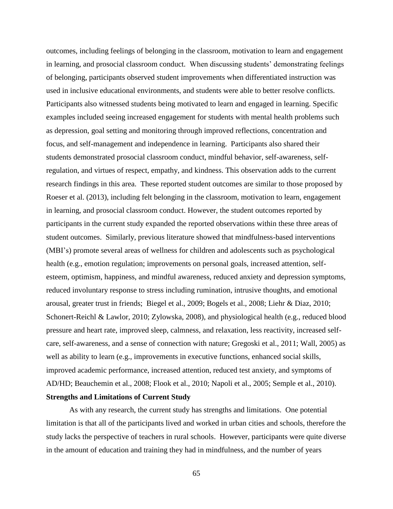outcomes, including feelings of belonging in the classroom, motivation to learn and engagement in learning, and prosocial classroom conduct. When discussing students' demonstrating feelings of belonging, participants observed student improvements when differentiated instruction was used in inclusive educational environments, and students were able to better resolve conflicts. Participants also witnessed students being motivated to learn and engaged in learning. Specific examples included seeing increased engagement for students with mental health problems such as depression, goal setting and monitoring through improved reflections, concentration and focus, and self-management and independence in learning. Participants also shared their students demonstrated prosocial classroom conduct, mindful behavior, self-awareness, selfregulation, and virtues of respect, empathy, and kindness. This observation adds to the current research findings in this area. These reported student outcomes are similar to those proposed by Roeser et al. (2013), including felt belonging in the classroom, motivation to learn, engagement in learning, and prosocial classroom conduct. However, the student outcomes reported by participants in the current study expanded the reported observations within these three areas of student outcomes. Similarly, previous literature showed that mindfulness-based interventions (MBI's) promote several areas of wellness for children and adolescents such as psychological health (e.g., emotion regulation; improvements on personal goals, increased attention, selfesteem, optimism, happiness, and mindful awareness, reduced anxiety and depression symptoms, reduced involuntary response to stress including rumination, intrusive thoughts, and emotional arousal, greater trust in friends; Biegel et al., 2009; Bogels et al., 2008; Liehr & Diaz, 2010; Schonert-Reichl & Lawlor, 2010; Zylowska, 2008), and physiological health (e.g., reduced blood pressure and heart rate, improved sleep, calmness, and relaxation, less reactivity, increased selfcare, self-awareness, and a sense of connection with nature; Gregoski et al., 2011; Wall, 2005) as well as ability to learn (e.g., improvements in executive functions, enhanced social skills, improved academic performance, increased attention, reduced test anxiety, and symptoms of AD/HD; Beauchemin et al., 2008; Flook et al., 2010; Napoli et al., 2005; Semple et al., 2010).

## **Strengths and Limitations of Current Study**

As with any research, the current study has strengths and limitations. One potential limitation is that all of the participants lived and worked in urban cities and schools, therefore the study lacks the perspective of teachers in rural schools. However, participants were quite diverse in the amount of education and training they had in mindfulness, and the number of years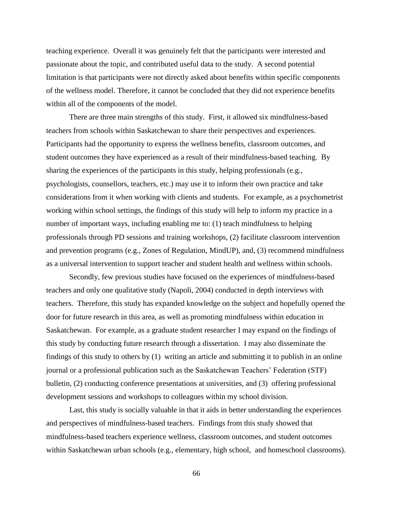teaching experience. Overall it was genuinely felt that the participants were interested and passionate about the topic, and contributed useful data to the study. A second potential limitation is that participants were not directly asked about benefits within specific components of the wellness model. Therefore, it cannot be concluded that they did not experience benefits within all of the components of the model.

There are three main strengths of this study. First, it allowed six mindfulness-based teachers from schools within Saskatchewan to share their perspectives and experiences. Participants had the opportunity to express the wellness benefits, classroom outcomes, and student outcomes they have experienced as a result of their mindfulness-based teaching. By sharing the experiences of the participants in this study, helping professionals (e.g., psychologists, counsellors, teachers, etc.) may use it to inform their own practice and take considerations from it when working with clients and students. For example, as a psychometrist working within school settings, the findings of this study will help to inform my practice in a number of important ways, including enabling me to: (1) teach mindfulness to helping professionals through PD sessions and training workshops, (2) facilitate classroom intervention and prevention programs (e.g., Zones of Regulation, MindUP), and, (3) recommend mindfulness as a universal intervention to support teacher and student health and wellness within schools.

Secondly, few previous studies have focused on the experiences of mindfulness-based teachers and only one qualitative study (Napoli, 2004) conducted in depth interviews with teachers. Therefore, this study has expanded knowledge on the subject and hopefully opened the door for future research in this area, as well as promoting mindfulness within education in Saskatchewan. For example, as a graduate student researcher I may expand on the findings of this study by conducting future research through a dissertation. I may also disseminate the findings of this study to others by (1) writing an article and submitting it to publish in an online journal or a professional publication such as the Saskatchewan Teachers' Federation (STF) bulletin, (2) conducting conference presentations at universities, and (3) offering professional development sessions and workshops to colleagues within my school division.

Last, this study is socially valuable in that it aids in better understanding the experiences and perspectives of mindfulness-based teachers. Findings from this study showed that mindfulness-based teachers experience wellness, classroom outcomes, and student outcomes within Saskatchewan urban schools (e.g., elementary, high school, and homeschool classrooms).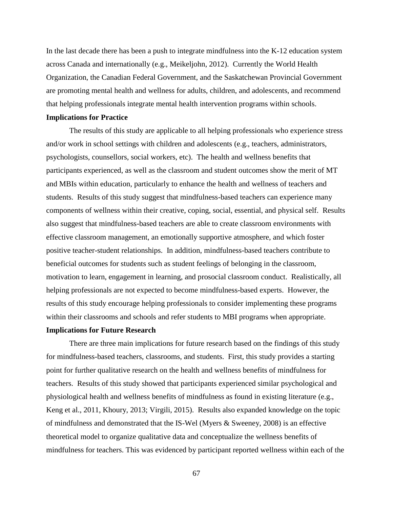In the last decade there has been a push to integrate mindfulness into the K-12 education system across Canada and internationally (e.g., Meikeljohn, 2012). Currently the World Health Organization, the Canadian Federal Government, and the Saskatchewan Provincial Government are promoting mental health and wellness for adults, children, and adolescents, and recommend that helping professionals integrate mental health intervention programs within schools.

#### **Implications for Practice**

The results of this study are applicable to all helping professionals who experience stress and/or work in school settings with children and adolescents (e.g., teachers, administrators, psychologists, counsellors, social workers, etc). The health and wellness benefits that participants experienced, as well as the classroom and student outcomes show the merit of MT and MBIs within education, particularly to enhance the health and wellness of teachers and students. Results of this study suggest that mindfulness-based teachers can experience many components of wellness within their creative, coping, social, essential, and physical self. Results also suggest that mindfulness-based teachers are able to create classroom environments with effective classroom management, an emotionally supportive atmosphere, and which foster positive teacher-student relationships. In addition, mindfulness-based teachers contribute to beneficial outcomes for students such as student feelings of belonging in the classroom, motivation to learn, engagement in learning, and prosocial classroom conduct. Realistically, all helping professionals are not expected to become mindfulness-based experts. However, the results of this study encourage helping professionals to consider implementing these programs within their classrooms and schools and refer students to MBI programs when appropriate.

#### **Implications for Future Research**

There are three main implications for future research based on the findings of this study for mindfulness-based teachers, classrooms, and students. First, this study provides a starting point for further qualitative research on the health and wellness benefits of mindfulness for teachers. Results of this study showed that participants experienced similar psychological and physiological health and wellness benefits of mindfulness as found in existing literature (e.g., Keng et al., 2011, Khoury, 2013; Virgili, 2015). Results also expanded knowledge on the topic of mindfulness and demonstrated that the IS-Wel (Myers & Sweeney, 2008) is an effective theoretical model to organize qualitative data and conceptualize the wellness benefits of mindfulness for teachers. This was evidenced by participant reported wellness within each of the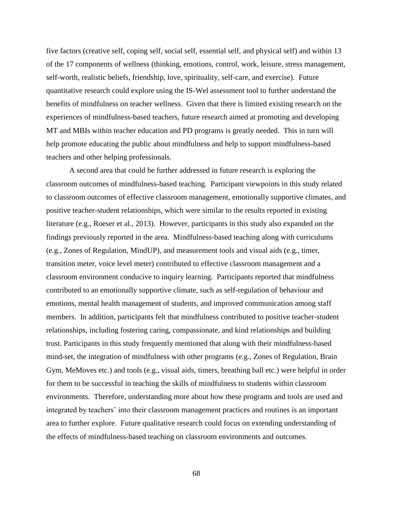five factors (creative self, coping self, social self, essential self, and physical self) and within 13 of the 17 components of wellness (thinking, emotions, control, work, leisure, stress management, self-worth, realistic beliefs, friendship, love, spirituality, self-care, and exercise). Future quantitative research could explore using the IS-Wel assessment tool to further understand the benefits of mindfulness on teacher wellness. Given that there is limited existing research on the experiences of mindfulness-based teachers, future research aimed at promoting and developing MT and MBIs within teacher education and PD programs is greatly needed. This in turn will help promote educating the public about mindfulness and help to support mindfulness-based teachers and other helping professionals.

A second area that could be further addressed in future research is exploring the classroom outcomes of mindfulness-based teaching. Participant viewpoints in this study related to classroom outcomes of effective classroom management, emotionally supportive climates, and positive teacher-student relationships, which were similar to the results reported in existing literature (e.g., Roeser et al., 2013). However, participants in this study also expanded on the findings previously reported in the area. Mindfulness-based teaching along with curriculums (e.g., Zones of Regulation, MindUP), and measurement tools and visual aids (e.g., timer, transition meter, voice level meter) contributed to effective classroom management and a classroom environment conducive to inquiry learning. Participants reported that mindfulness contributed to an emotionally supportive climate, such as self-regulation of behaviour and emotions, mental health management of students, and improved communication among staff members. In addition, participants felt that mindfulness contributed to positive teacher-student relationships, including fostering caring, compassionate, and kind relationships and building trust. Participants in this study frequently mentioned that along with their mindfulness-based mind-set, the integration of mindfulness with other programs (e.g., Zones of Regulation, Brain Gym, MeMoves etc.) and tools (e.g., visual aids, timers, breathing ball etc.) were helpful in order for them to be successful in teaching the skills of mindfulness to students within classroom environments. Therefore, understanding more about how these programs and tools are used and integrated by teachers' into their classroom management practices and routines is an important area to further explore. Future qualitative research could focus on extending understanding of the effects of mindfulness-based teaching on classroom environments and outcomes.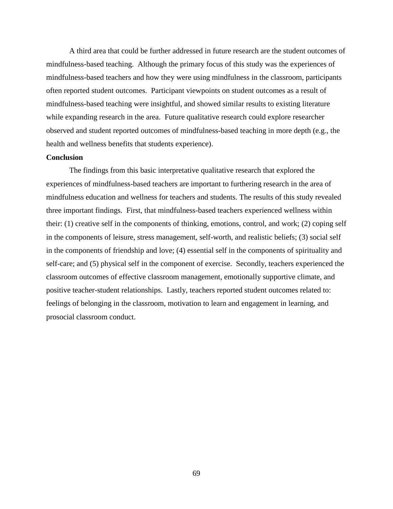A third area that could be further addressed in future research are the student outcomes of mindfulness-based teaching. Although the primary focus of this study was the experiences of mindfulness-based teachers and how they were using mindfulness in the classroom, participants often reported student outcomes. Participant viewpoints on student outcomes as a result of mindfulness-based teaching were insightful, and showed similar results to existing literature while expanding research in the area. Future qualitative research could explore researcher observed and student reported outcomes of mindfulness-based teaching in more depth (e.g., the health and wellness benefits that students experience).

#### **Conclusion**

The findings from this basic interpretative qualitative research that explored the experiences of mindfulness-based teachers are important to furthering research in the area of mindfulness education and wellness for teachers and students. The results of this study revealed three important findings. First, that mindfulness-based teachers experienced wellness within their: (1) creative self in the components of thinking, emotions, control, and work; (2) coping self in the components of leisure, stress management, self-worth, and realistic beliefs; (3) social self in the components of friendship and love; (4) essential self in the components of spirituality and self-care; and (5) physical self in the component of exercise. Secondly, teachers experienced the classroom outcomes of effective classroom management, emotionally supportive climate, and positive teacher-student relationships. Lastly, teachers reported student outcomes related to: feelings of belonging in the classroom, motivation to learn and engagement in learning, and prosocial classroom conduct.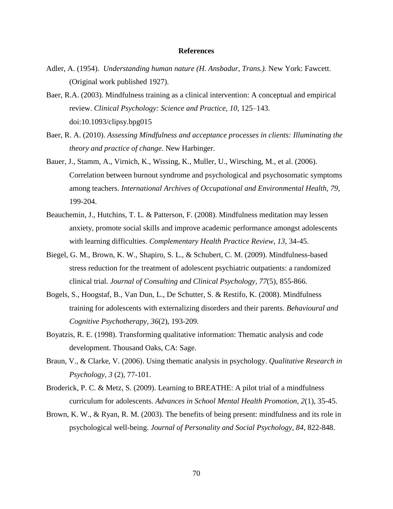#### **References**

- Adler, A. (1954). *Understanding human nature (H. Ansbadur, Trans.).* New York: Fawcett. (Original work published 1927).
- Baer, R.A. (2003). Mindfulness training as a clinical intervention: A conceptual and empirical review. *Clinical Psychology: Science and Practice, 10*, 125–143. doi:10.1093/clipsy.bpg015
- Baer, R. A. (2010). *Assessing Mindfulness and acceptance processes in clients: Illuminating the theory and practice of change.* New Harbinger.
- Bauer, J., Stamm, A., Virnich, K., Wissing, K., Muller, U., Wirsching, M., et al. (2006). Correlation between burnout syndrome and psychological and psychosomatic symptoms among teachers. *International Archives of Occupational and Environmental Health, 79*, 199-204.
- Beauchemin, J., Hutchins, T. L. & Patterson, F. (2008). Mindfulness meditation may lessen anxiety, promote social skills and improve academic performance amongst adolescents with learning difficulties. *Complementary Health Practice Review, 13*, 34-45.
- Biegel, G. M., Brown, K. W., Shapiro, S. L., & Schubert, C. M. (2009). Mindfulness-based stress reduction for the treatment of adolescent psychiatric outpatients: a randomized clinical trial. *Journal of Consulting and Clinical Psychology, 77*(5), 855-866.
- Bogels, S., Hoogstaf, B., Van Dun, L., De Schutter, S. & Restifo, K. (2008). Mindfulness training for adolescents with externalizing disorders and their parents. *Behavioural and Cognitive Psychotherapy, 36*(2), 193-209.
- Boyatzis, R. E. (1998). Transforming qualitative information: Thematic analysis and code development. Thousand Oaks, CA: Sage.
- Braun, V., & Clarke, V. (2006). Using thematic analysis in psychology. *Qualitative Research in Psychology, 3* (2), 77-101.
- Broderick, P. C. & Metz, S. (2009). Learning to BREATHE: A pilot trial of a mindfulness curriculum for adolescents. *Advances in School Mental Health Promotion, 2*(1), 35-45.
- Brown, K. W., & Ryan, R. M. (2003). The benefits of being present: mindfulness and its role in psychological well-being. *Journal of Personality and Social Psychology, 84*, 822-848.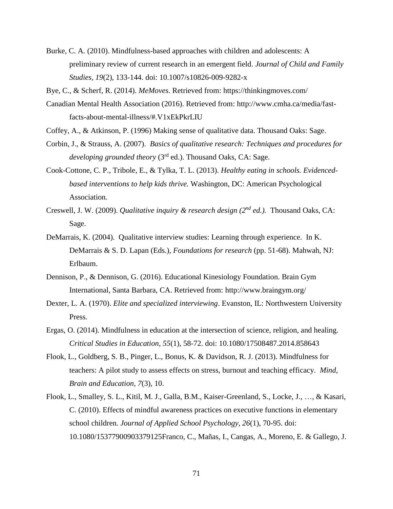- Burke, C. A. (2010). Mindfulness-based approaches with children and adolescents: A preliminary review of current research in an emergent field. *Journal of Child and Family Studies, 19*(2), 133-144. doi: 10.1007/s10826-009-9282-x
- Bye, C., & Scherf, R. (2014). *MeMoves.* Retrieved from: https://thinkingmoves.com/
- Canadian Mental Health Association (2016). Retrieved from: http://www.cmha.ca/media/fastfacts-about-mental-illness/#.V1xEkPkrLIU
- Coffey, A., & Atkinson, P. (1996) Making sense of qualitative data. Thousand Oaks: Sage.
- Corbin, J., & Strauss, A. (2007). *Basics of qualitative research: Techniques and procedures for developing grounded theory* (3rd ed.). Thousand Oaks, CA: Sage.
- Cook-Cottone, C. P., Tribole, E., & Tylka, T. L. (2013). *Healthy eating in schools. Evidencedbased interventions to help kids thrive.* Washington, DC: American Psychological Association.
- Creswell, J. W. (2009). *Qualitative inquiry & research design (2nd ed.).* Thousand Oaks, CA: Sage.
- DeMarrais, K. (2004). Qualitative interview studies: Learning through experience. In K. DeMarrais & S. D. Lapan (Eds.), *Foundations for research* (pp. 51-68). Mahwah, NJ: Erlbaum.
- Dennison, P., & Dennison, G. (2016). Educational Kinesiology Foundation. Brain Gym International, Santa Barbara, CA. Retrieved from: http://www.braingym.org/
- Dexter, L. A. (1970). *Elite and specialized interviewing*. Evanston, IL: Northwestern University Press.
- Ergas, O. (2014). Mindfulness in education at the intersection of science, religion, and healing. *Critical Studies in Education, 55*(1), 58-72. doi: 10.1080/17508487.2014.858643
- Flook, L., Goldberg, S. B., Pinger, L., Bonus, K. & Davidson, R. J. (2013). Mindfulness for teachers: A pilot study to assess effects on stress, burnout and teaching efficacy. *Mind, Brain and Education, 7*(3), 10.
- Flook, L., Smalley, S. L., Kitil, M. J., Galla, B.M., Kaiser-Greenland, S., Locke, J., …, & Kasari, C. (2010). Effects of mindful awareness practices on executive functions in elementary school children. *Journal of Applied School Psychology, 26*(1), 70-95. doi: 10.1080/15377900903379125Franco, C., Mañas, I., Cangas, A., Moreno, E. & Gallego, J.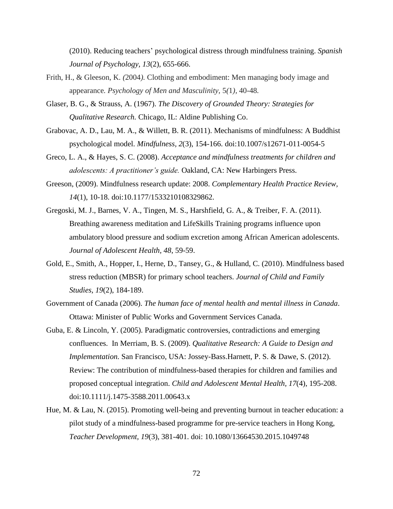(2010). Reducing teachers' psychological distress through mindfulness training. *Spanish Journal of Psychology, 13*(2), 655-666.

- Frith, H., & Gleeson, K. *(*2004*).* Clothing and embodiment: Men managing body image and appearance*. Psychology of Men and Masculinity,* 5*(*1*),* 40*-*48*.*
- Glaser, B. G., & Strauss, A. (1967). *The Discovery of Grounded Theory: Strategies for Qualitative Research.* Chicago, IL: Aldine Publishing Co.
- Grabovac, A. D., Lau, M. A., & Willett, B. R. (2011). Mechanisms of mindfulness: A Buddhist psychological model. *Mindfulness, 2*(3), 154-166. doi:10.1007/s12671-011-0054-5
- Greco, L. A., & Hayes, S. C. (2008). *Acceptance and mindfulness treatments for children and adolescents: A practitioner's guide.* Oakland, CA: New Harbingers Press.
- Greeson, (2009). Mindfulness research update: 2008. *Complementary Health Practice Review, 14*(1), 10-18. doi:10.1177/1533210108329862.
- Gregoski, M. J., Barnes, V. A., Tingen, M. S., Harshfield, G. A., & Treiber, F. A. (2011). Breathing awareness meditation and LifeSkills Training programs influence upon ambulatory blood pressure and sodium excretion among African American adolescents. *Journal of Adolescent Health, 48*, 59-59.
- Gold, E., Smith, A., Hopper, I., Herne, D., Tansey, G., & Hulland, C. (2010). Mindfulness based stress reduction (MBSR) for primary school teachers. *Journal of Child and Family Studies, 19*(2), 184-189.
- Government of Canada (2006). *The human face of mental health and mental illness in Canada*. Ottawa: Minister of Public Works and Government Services Canada.
- Guba, E. & Lincoln, Y. (2005). Paradigmatic controversies, contradictions and emerging confluences. In Merriam, B. S. (2009). *Qualitative Research: A Guide to Design and Implementation.* San Francisco, USA: Jossey-Bass.Harnett, P. S. & Dawe, S. (2012). Review: The contribution of mindfulness-based therapies for children and families and proposed conceptual integration. *Child and Adolescent Mental Health, 17*(4), 195-208. doi:10.1111/j.1475-3588.2011.00643.x
- Hue, M. & Lau, N. (2015). Promoting well-being and preventing burnout in teacher education: a pilot study of a mindfulness-based programme for pre-service teachers in Hong Kong, *Teacher Development, 19*(3), 381-401. doi: 10.1080/13664530.2015.1049748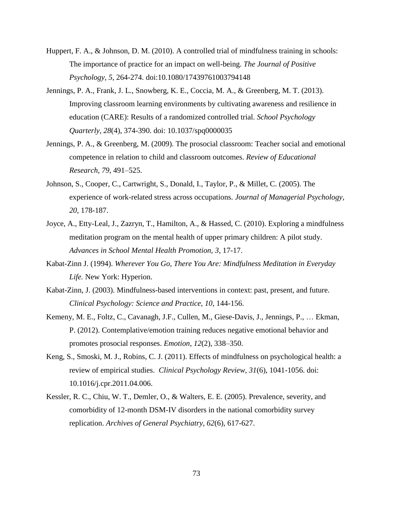- Huppert, F. A., & Johnson, D. M. (2010). A controlled trial of mindfulness training in schools: The importance of practice for an impact on well-being. *The Journal of Positive Psychology, 5*, 264-274. doi:10.1080/17439761003794148
- Jennings, P. A., Frank, J. L., Snowberg, K. E., Coccia, M. A., & Greenberg, M. T. (2013). Improving classroom learning environments by cultivating awareness and resilience in education (CARE): Results of a randomized controlled trial. *School Psychology Quarterly, 28*(4), 374-390. doi: 10.1037/spq0000035
- Jennings, P. A., & Greenberg, M. (2009). The prosocial classroom: Teacher social and emotional competence in relation to child and classroom outcomes. *Review of Educational Research, 79*, 491–525.
- Johnson, S., Cooper, C., Cartwright, S., Donald, I., Taylor, P., & Millet, C. (2005). The experience of work-related stress across occupations. *Journal of Managerial Psychology, 20*, 178-187.
- Joyce, A., Etty-Leal, J., Zazryn, T., Hamilton, A., & Hassed, C. (2010). Exploring a mindfulness meditation program on the mental health of upper primary children: A pilot study. *Advances in School Mental Health Promotion, 3*, 17-17.
- Kabat-Zinn J. (1994). *Wherever You Go, There You Are: Mindfulness Meditation in Everyday Life.* New York: Hyperion.
- Kabat-Zinn, J. (2003). Mindfulness-based interventions in context: past, present, and future. *Clinical Psychology: Science and Practice, 10*, 144-156.
- Kemeny, M. E., Foltz, C., Cavanagh, J.F., Cullen, M., Giese-Davis, J., Jennings, P., … Ekman, P. (2012). Contemplative/emotion training reduces negative emotional behavior and promotes prosocial responses. *Emotion, 12*(2), 338–350.
- Keng, S., Smoski, M. J., Robins, C. J. (2011). Effects of mindfulness on psychological health: a review of empirical studies. *Clinical Psychology Review, 31*(6), 1041-1056. doi: 10.1016/j.cpr.2011.04.006.
- Kessler, R. C., Chiu, W. T., Demler, O., & Walters, E. E. (2005). Prevalence, severity, and comorbidity of 12-month DSM-IV disorders in the national comorbidity survey replication. *Archives of General Psychiatry, 62*(6), 617-627.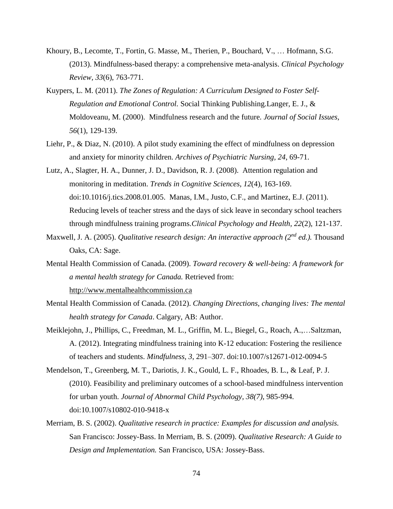- Khoury, B., Lecomte, T., Fortin, G. Masse, M., Therien, P., Bouchard, V., … Hofmann, S.G. (2013). Mindfulness-based therapy: a comprehensive meta-analysis. *Clinical Psychology Review, 33*(6), 763-771.
- Kuypers, L. M. (2011). *The Zones of Regulation: A Curriculum Designed to Foster Self-Regulation and Emotional Control.* Social Thinking Publishing.Langer, E. J., & Moldoveanu, M. (2000). Mindfulness research and the future. *Journal of Social Issues, 56*(1), 129-139.
- Liehr, P., & Diaz, N. (2010). A pilot study examining the effect of mindfulness on depression and anxiety for minority children. *Archives of Psychiatric Nursing, 24*, 69-71.
- Lutz, A., Slagter, H. A., Dunner, J. D., Davidson, R. J. (2008). Attention regulation and monitoring in meditation. *Trends in Cognitive Sciences, 12*(4), 163-169. [doi](http://en.wikipedia.org/wiki/Digital_object_identifier)[:10.1016/j.tics.2008.01.005.](http://dx.doi.org/10.1016%2Fj.tics.2008.01.005) Manas, I.M., Justo, C.F., and Martinez, E.J. (2011). Reducing levels of teacher stress and the days of sick leave in secondary school teachers through mindfulness training programs.*Clinical Psychology and Health, 22*(2), 121-137.
- Maxwell, J. A. (2005). *Qualitative research design: An interactive approach (2nd ed.).* Thousand Oaks, CA: Sage.
- Mental Health Commission of Canada. (2009). *Toward recovery & well-being: A framework for a mental health strategy for Canada.* Retrieved from: [http://www.mentalhealthcommission.ca](http://www.mentalhealthcommission.ca/)
- Mental Health Commission of Canada. (2012). *Changing Directions, changing lives: The mental health strategy for Canada*. Calgary, AB: Author.
- Meiklejohn, J., Phillips, C., Freedman, M. L., Griffin, M. L., Biegel, G., Roach, A.,…Saltzman, A. (2012). Integrating mindfulness training into K-12 education: Fostering the resilience of teachers and students. *Mindfulness, 3*, 291–307. doi:10.1007/s12671-012-0094-5
- Mendelson, T., Greenberg, M. T., Dariotis, J. K., Gould, L. F., Rhoades, B. L., & Leaf, P. J. (2010). Feasibility and preliminary outcomes of a school-based mindfulness intervention for urban youth. *Journal of Abnormal Child Psychology, 38(7)*, 985-994. doi:10.1007/s10802-010-9418-x
- Merriam, B. S. (2002). *Qualitative research in practice: Examples for discussion and analysis.* San Francisco: Jossey-Bass. In Merriam, B. S. (2009). *Qualitative Research: A Guide to Design and Implementation.* San Francisco, USA: Jossey-Bass.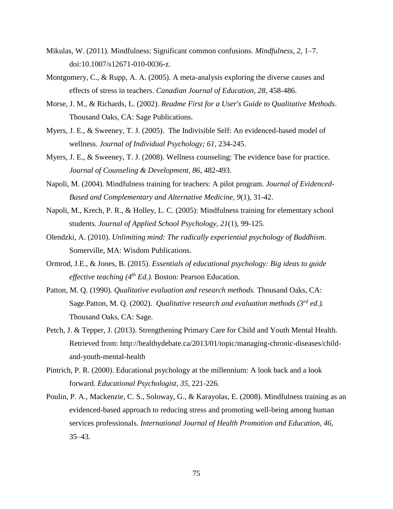- Mikulas, W. (2011). Mindfulness: Significant common confusions. *Mindfulness, 2*, 1–7. doi:10.1007/s12671-010-0036-z.
- Montgomery, C., & Rupp, A. A. (2005). A meta-analysis exploring the diverse causes and effects of stress in teachers. *Canadian Journal of Education, 28*, 458-486.
- Morse, J. M., & Richards, L. (2002). *Readme First for a User's Guide to Qualitative Methods*. Thousand Oaks, CA: Sage Publications.
- Myers, J. E., & Sweeney, T. J. (2005). The Indivisible Self: An evidenced-based model of wellness. *Journal of Individual Psychology; 61*, 234-245.
- Myers, J. E., & Sweeney, T. J. (2008). Wellness counseling: The evidence base for practice. *Journal of Counseling & Development, 86*, 482-493.
- Napoli, M. (2004). Mindfulness training for teachers: A pilot program. *Journal of Evidenced-Based and Complementary and Alternative Medicine, 9*(1), 31-42.
- Napoli, M., Krech, P. R., & Holley, L. C. (2005): Mindfulness training for elementary school students. *Journal of Applied School Psychology, 21*(1), 99-125.
- Olendzki, A. (2010). *Unlimiting mind: The radically experiential psychology of Buddhism*. Somerville, MA: Wisdom Publications.
- Ormrod, J.E., & Jones, B. (2015). *Essentials of educational psychology: Big ideas to guide effective teaching (4th Ed.).* Boston: Pearson Education.
- Patton, M. Q. (1990). *Qualitative evaluation and research methods.* Thousand Oaks, CA: Sage.Patton, M. Q. (2002). *Qualitative research and evaluation methods (3rd ed.).* Thousand Oaks, CA: Sage.
- Petch, J. & Tepper, J. (2013). Strengthening Primary Care for Child and Youth Mental Health. Retrieved from: [http://healthydebate.ca/2013/01/topic/managing-chronic-diseases/child](http://healthydebate.ca/2013/01/topic/managing-chronic-diseases/child-and-youth-mental-health)[and-youth-mental-health](http://healthydebate.ca/2013/01/topic/managing-chronic-diseases/child-and-youth-mental-health)
- Pintrich, P. R. (2000). Educational psychology at the millennium: A look back and a look forward. *Educational Psychologist, 35*, 221-226.
- Poulin, P. A., Mackenzie, C. S., Soloway, G., & Karayolas, E. (2008). Mindfulness training as an evidenced-based approach to reducing stress and promoting well-being among human services professionals. *International Journal of Health Promotion and Education, 46*, 35–43.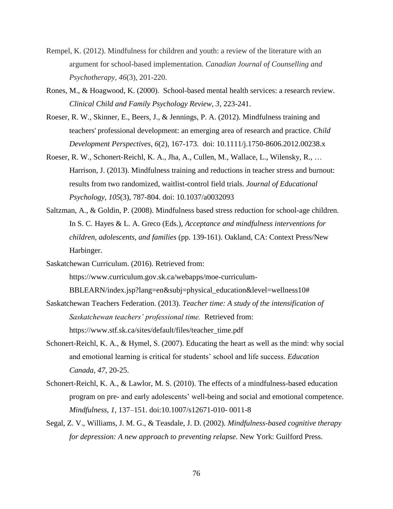- Rempel, K. (2012). Mindfulness for children and youth: a review of the literature with an argument for school-based implementation. *Canadian Journal of Counselling and Psychotherapy, 46*(3), 201-220.
- Rones, M., & Hoagwood, K. (2000). School-based mental health services: a research review. *Clinical Child and Family Psychology Review, 3*, 223-241.
- Roeser, R. W., Skinner, E., Beers, J., & Jennings, P. A. (2012). Mindfulness training and teachers' professional development: an emerging area of research and practice. *Child Development Perspectives*, *6*(2), 167-173. doi: 10.1111/j.1750-8606.2012.00238.x
- Roeser, R. W., Schonert-Reichl, K. A., Jha, A., Cullen, M., Wallace, L., Wilensky, R., … Harrison, J. (2013). Mindfulness training and reductions in teacher stress and burnout: results from two randomized, waitlist-control field trials. *Journal of Educational Psychology, 105*(3), 787-804. doi: 10.1037/a0032093
- Saltzman, A., & Goldin, P. (2008). Mindfulness based stress reduction for school-age children. In S. C. Hayes & L. A. Greco (Eds.), *Acceptance and mindfulness interventions for children, adolescents, and families* (pp. 139-161). Oakland, CA: Context Press/New Harbinger.
- Saskatchewan Curriculum. (2016). Retrieved from:

https://www.curriculum.gov.sk.ca/webapps/moe-curriculum-

BBLEARN/index.jsp?lang=en&subj=physical\_education&level=wellness10#

- Saskatchewan Teachers Federation. (2013). *Teacher time: A study of the intensification of Saskatchewan teachers' professional time.* Retrieved from: https://www.stf.sk.ca/sites/default/files/teacher\_time.pdf
- Schonert-Reichl, K. A., & Hymel, S. (2007). Educating the heart as well as the mind: why social and emotional learning is critical for students' school and life success. *Education Canada, 47*, 20-25.
- Schonert-Reichl, K. A., & Lawlor, M. S. (2010). The effects of a mindfulness-based education program on pre- and early adolescents' well-being and social and emotional competence. *Mindfulness, 1*, 137–151. doi:10.1007/s12671-010- 0011-8
- Segal, Z. V., Williams, J. M. G., & Teasdale, J. D. (2002). *Mindfulness-based cognitive therapy for depression: A new approach to preventing relapse.* New York: Guilford Press.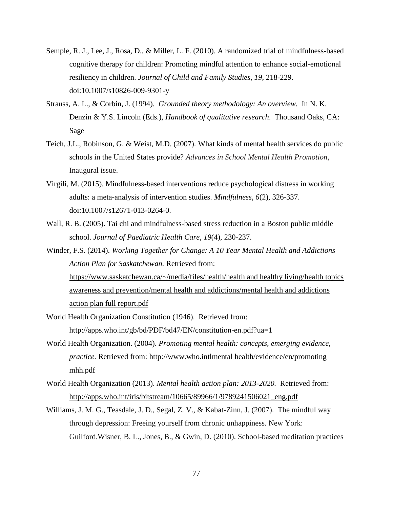- Semple, R. J., Lee, J., Rosa, D., & Miller, L. F. (2010). A randomized trial of mindfulness-based cognitive therapy for children: Promoting mindful attention to enhance social-emotional resiliency in children. *Journal of Child and Family Studies, 19*, 218-229. doi:10.1007/s10826-009-9301-y
- Strauss, A. L., & Corbin, J. (1994). *Grounded theory methodology: An overview.* In N. K. Denzin & Y.S. Lincoln (Eds.), *Handbook of qualitative research*. Thousand Oaks, CA: Sage
- Teich, J.L., Robinson, G. & Weist, M.D. (2007). What kinds of mental health services do public schools in the United States provide? *Advances in School Mental Health Promotion*, Inaugural issue.
- Virgili, M. (2015). Mindfulness-based interventions reduce psychological distress in working adults: a meta-analysis of intervention studies. *Mindfulness*, *6*(2), 326-337. doi:10.1007/s12671-013-0264-0.
- Wall, R. B. (2005). Tai chi and mindfulness-based stress reduction in a Boston public middle school. *Journal of Paediatric Health Care, 19*(4), 230-237.
- Winder, F.S. (2014). *Working Together for Change: A 10 Year Mental Health and Addictions Action Plan for Saskatchewan.* Retrieved from: [https://www.saskatchewan.ca/~/media/files/health/health and healthy living/health topics](https://www.saskatchewan.ca/~/media/files/health/health%20and%20healthy%20living/health%20topics%20awareness%20and%20prevention/mental%20health%20and%20addictions/mental%20health%20and%20addictions%20action%20plan%20full%20report.pdf)  [awareness and prevention/mental health and addictions/mental health and addictions](https://www.saskatchewan.ca/~/media/files/health/health%20and%20healthy%20living/health%20topics%20awareness%20and%20prevention/mental%20health%20and%20addictions/mental%20health%20and%20addictions%20action%20plan%20full%20report.pdf)  [action plan full report.pdf](https://www.saskatchewan.ca/~/media/files/health/health%20and%20healthy%20living/health%20topics%20awareness%20and%20prevention/mental%20health%20and%20addictions/mental%20health%20and%20addictions%20action%20plan%20full%20report.pdf)
- World Health Organization Constitution (1946). Retrieved from: http://apps.who.int/gb/bd/PDF/bd47/EN/constitution-en.pdf?ua=1
- World Health Organization. (2004). *Promoting mental health: concepts, emerging evidence, practice.* Retrieved from: http://www.who.intlmental health/evidence/en/promoting mhh.pdf
- World Health Organization (2013). *Mental health action plan: 2013-2020.* Retrieved from: [http://apps.who.int/iris/bitstream/10665/89966/1/9789241506021\\_eng.pdf](http://apps.who.int/iris/bitstream/10665/89966/1/9789241506021_eng.pdf)
- Williams, J. M. G., Teasdale, J. D., Segal, Z. V., & Kabat-Zinn, J. (2007). The mindful way through depression: Freeing yourself from chronic unhappiness. New York: Guilford.Wisner, B. L., Jones, B., & Gwin, D. (2010). School-based meditation practices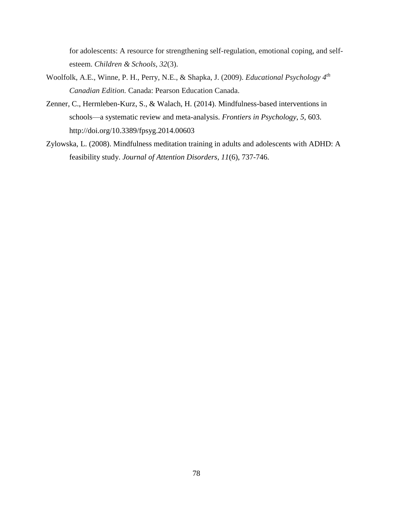for adolescents: A resource for strengthening self-regulation, emotional coping, and selfesteem. *Children & Schools, 32*(3).

- Woolfolk, A.E., Winne, P. H., Perry, N.E., & Shapka, J. (2009). *Educational Psychology 4th Canadian Edition.* Canada: Pearson Education Canada.
- Zenner, C., Herrnleben-Kurz, S., & Walach, H. (2014). Mindfulness-based interventions in schools—a systematic review and meta-analysis. *Frontiers in Psychology*, *5*, 603. http://doi.org/10.3389/fpsyg.2014.00603
- Zylowska, L. (2008). Mindfulness meditation training in adults and adolescents with ADHD: A feasibility study. *Journal of Attention Disorders, 11*(6), 737-746.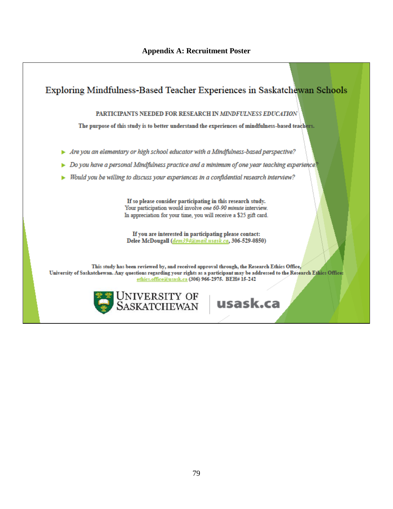### **Appendix A: Recruitment Poster**

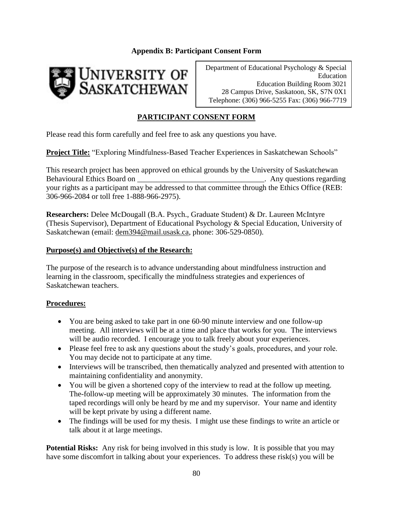## **Appendix B: Participant Consent Form**



Department of Educational Psychology & Special Education Education Building Room 3021 28 Campus Drive, Saskatoon, SK, S7N 0X1 Telephone: (306) 966-5255 Fax: (306) 966-7719

## **PARTICIPANT CONSENT FORM**

Please read this form carefully and feel free to ask any questions you have.

**Project Title:** "Exploring Mindfulness-Based Teacher Experiences in Saskatchewan Schools"

This research project has been approved on ethical grounds by the University of Saskatchewan Behavioural Ethics Board on the second of the second of the second of the second of the second of the second of the second of the second of the second of the second of the second of the second of the second of the second o your rights as a participant may be addressed to that committee through the Ethics Office (REB: 306-966-2084 or toll free 1-888-966-2975).

**Researchers:** Delee McDougall (B.A. Psych., Graduate Student) & Dr. Laureen McIntyre (Thesis Supervisor), Department of Educational Psychology & Special Education, University of Saskatchewan (email: [dem394@mail.usask.ca,](mailto:dem394@mail.usask.ca) phone: 306-529-0850).

### **Purpose(s) and Objective(s) of the Research:**

The purpose of the research is to advance understanding about mindfulness instruction and learning in the classroom, specifically the mindfulness strategies and experiences of Saskatchewan teachers.

### **Procedures:**

- You are being asked to take part in one 60-90 minute interview and one follow-up meeting. All interviews will be at a time and place that works for you. The interviews will be audio recorded. I encourage you to talk freely about your experiences.
- Please feel free to ask any questions about the study's goals, procedures, and your role. You may decide not to participate at any time.
- Interviews will be transcribed, then thematically analyzed and presented with attention to maintaining confidentiality and anonymity.
- You will be given a shortened copy of the interview to read at the follow up meeting. The-follow-up meeting will be approximately 30 minutes. The information from the taped recordings will only be heard by me and my supervisor. Your name and identity will be kept private by using a different name.
- The findings will be used for my thesis. I might use these findings to write an article or talk about it at large meetings.

**Potential Risks:** Any risk for being involved in this study is low. It is possible that you may have some discomfort in talking about your experiences. To address these risk(s) you will be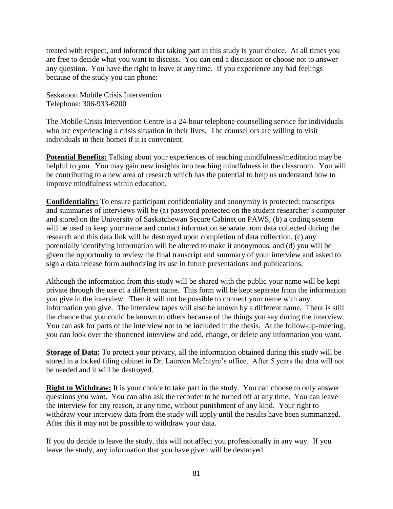treated with respect, and informed that taking part in this study is your choice. At all times you are free to decide what you want to discuss. You can end a discussion or choose not to answer any question. You have the right to leave at any time. If you experience any bad feelings because of the study you can phone:

Saskatoon Mobile Crisis Intervention Telephone: 306-933-6200

The Mobile Crisis Intervention Centre is a 24-hour telephone counselling service for individuals who are experiencing a crisis situation in their lives. The counsellors are willing to visit individuals in their homes if it is convenient.

**Potential Benefits:** Talking about your experiences of teaching mindfulness/meditation may be helpful to you. You may gain new insights into teaching mindfulness in the classroom. You will be contributing to a new area of research which has the potential to help us understand how to improve mindfulness within education.

**Confidentiality:** To ensure participant confidentiality and anonymity is protected: transcripts and summaries of interviews will be (a) password protected on the student researcher's computer and stored on the University of Saskatchewan Secure Cabinet on PAWS, (b) a coding system will be used to keep your name and contact information separate from data collected during the research and this data link will be destroyed upon completion of data collection, (c) any potentially identifying information will be altered to make it anonymous, and (d) you will be given the opportunity to review the final transcript and summary of your interview and asked to sign a data release form authorizing its use in future presentations and publications.

Although the information from this study will be shared with the public your name will be kept private through the use of a different name. This form will be kept separate from the information you give in the interview. Then it will not be possible to connect your name with any information you give. The interview tapes will also be known by a different name. There is still the chance that you could be known to others because of the things you say during the interview. You can ask for parts of the interview not to be included in the thesis. At the follow-up-meeting, you can look over the shortened interview and add, change, or delete any information you want.

**Storage of Data:** To protect your privacy, all the information obtained during this study will be stored in a locked filing cabinet in Dr. Laureen McIntyre's office. After 5 years the data will not be needed and it will be destroyed.

**Right to Withdraw:** It is your choice to take part in the study. You can choose to only answer questions you want. You can also ask the recorder to be turned off at any time. You can leave the interview for any reason, at any time, without punishment of any kind. Your right to withdraw your interview data from the study will apply until the results have been summarized. After this it may not be possible to withdraw your data.

If you do decide to leave the study, this will not affect you professionally in any way. If you leave the study, any information that you have given will be destroyed.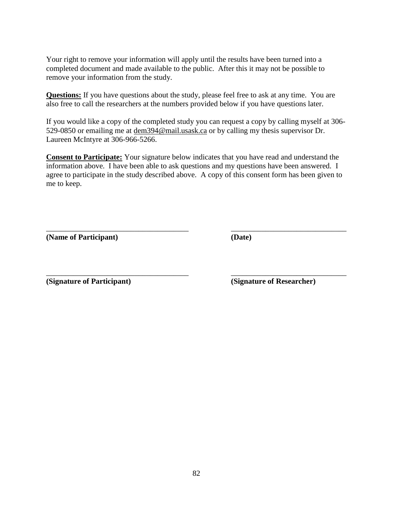Your right to remove your information will apply until the results have been turned into a completed document and made available to the public. After this it may not be possible to remove your information from the study.

**Questions:** If you have questions about the study, please feel free to ask at any time. You are also free to call the researchers at the numbers provided below if you have questions later.

If you would like a copy of the completed study you can request a copy by calling myself at 306- 529-0850 or emailing me at [dem394@mail.usask.ca](mailto:dem394@mail.usask.ca) or by calling my thesis supervisor Dr. Laureen McIntyre at 306-966-5266.

**Consent to Participate:** Your signature below indicates that you have read and understand the information above. I have been able to ask questions and my questions have been answered. I agree to participate in the study described above. A copy of this consent form has been given to me to keep.

\_\_\_\_\_\_\_\_\_\_\_\_\_\_\_\_\_\_\_\_\_\_\_\_\_\_\_\_\_\_\_\_\_\_\_\_\_ \_\_\_\_\_\_\_\_\_\_\_\_\_\_\_\_\_\_\_\_\_\_\_\_\_\_\_\_\_\_

\_\_\_\_\_\_\_\_\_\_\_\_\_\_\_\_\_\_\_\_\_\_\_\_\_\_\_\_\_\_\_\_\_\_\_\_\_ \_\_\_\_\_\_\_\_\_\_\_\_\_\_\_\_\_\_\_\_\_\_\_\_\_\_\_\_\_\_

**(Name of Participant) (Date)**

**(Signature of Participant) (Signature of Researcher)**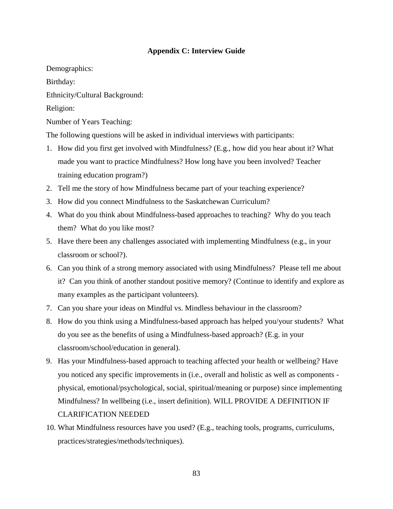### **Appendix C: Interview Guide**

Demographics:

Birthday:

Ethnicity/Cultural Background:

Religion:

Number of Years Teaching:

The following questions will be asked in individual interviews with participants:

- 1. How did you first get involved with Mindfulness? (E.g., how did you hear about it? What made you want to practice Mindfulness? How long have you been involved? Teacher training education program?)
- 2. Tell me the story of how Mindfulness became part of your teaching experience?
- 3. How did you connect Mindfulness to the Saskatchewan Curriculum?
- 4. What do you think about Mindfulness-based approaches to teaching? Why do you teach them? What do you like most?
- 5. Have there been any challenges associated with implementing Mindfulness (e.g., in your classroom or school?).
- 6. Can you think of a strong memory associated with using Mindfulness? Please tell me about it? Can you think of another standout positive memory? (Continue to identify and explore as many examples as the participant volunteers).
- 7. Can you share your ideas on Mindful vs. Mindless behaviour in the classroom?
- 8. How do you think using a Mindfulness-based approach has helped you/your students? What do you see as the benefits of using a Mindfulness-based approach? (E.g. in your classroom/school/education in general).
- 9. Has your Mindfulness-based approach to teaching affected your health or wellbeing? Have you noticed any specific improvements in (i.e., overall and holistic as well as components physical, emotional/psychological, social, spiritual/meaning or purpose) since implementing Mindfulness? In wellbeing (i.e., insert definition). WILL PROVIDE A DEFINITION IF CLARIFICATION NEEDED
- 10. What Mindfulness resources have you used? (E.g., teaching tools, programs, curriculums, practices/strategies/methods/techniques).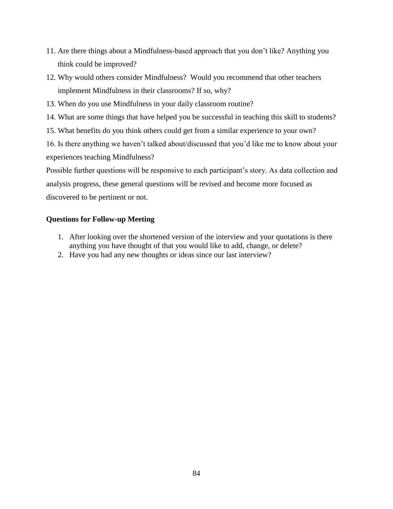- 11. Are there things about a Mindfulness-based approach that you don't like? Anything you think could be improved?
- 12. Why would others consider Mindfulness? Would you recommend that other teachers implement Mindfulness in their classrooms? If so, why?
- 13. When do you use Mindfulness in your daily classroom routine?
- 14. What are some things that have helped you be successful in teaching this skill to students?
- 15. What benefits do you think others could get from a similar experience to your own?

16. Is there anything we haven't talked about/discussed that you'd like me to know about your experiences teaching Mindfulness?

Possible further questions will be responsive to each participant's story. As data collection and analysis progress, these general questions will be revised and become more focused as discovered to be pertinent or not.

### **Questions for Follow-up Meeting**

- 1. After looking over the shortened version of the interview and your quotations is there anything you have thought of that you would like to add, change, or delete?
- 2. Have you had any new thoughts or ideas since our last interview?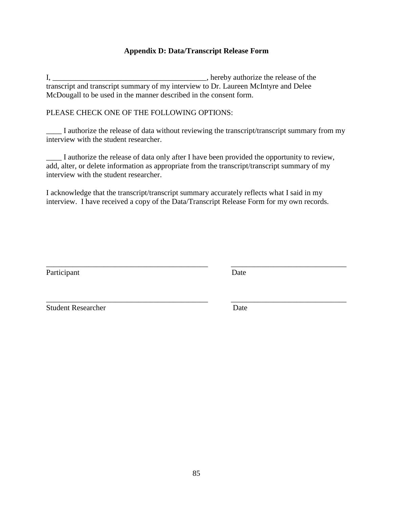## **Appendix D: Data/Transcript Release Form**

I, \_\_\_\_\_\_\_\_\_\_\_\_\_\_\_\_\_\_\_\_\_\_\_\_\_\_\_\_\_\_\_\_\_\_\_\_\_\_\_\_, hereby authorize the release of the transcript and transcript summary of my interview to Dr. Laureen McIntyre and Delee McDougall to be used in the manner described in the consent form.

### PLEASE CHECK ONE OF THE FOLLOWING OPTIONS:

\_\_\_\_ I authorize the release of data without reviewing the transcript/transcript summary from my interview with the student researcher.

\_\_\_\_ I authorize the release of data only after I have been provided the opportunity to review, add, alter, or delete information as appropriate from the transcript/transcript summary of my interview with the student researcher.

I acknowledge that the transcript/transcript summary accurately reflects what I said in my interview. I have received a copy of the Data/Transcript Release Form for my own records.

\_\_\_\_\_\_\_\_\_\_\_\_\_\_\_\_\_\_\_\_\_\_\_\_\_\_\_\_\_\_\_\_\_\_\_\_\_\_\_\_\_\_ \_\_\_\_\_\_\_\_\_\_\_\_\_\_\_\_\_\_\_\_\_\_\_\_\_\_\_\_\_\_

\_\_\_\_\_\_\_\_\_\_\_\_\_\_\_\_\_\_\_\_\_\_\_\_\_\_\_\_\_\_\_\_\_\_\_\_\_\_\_\_\_\_ \_\_\_\_\_\_\_\_\_\_\_\_\_\_\_\_\_\_\_\_\_\_\_\_\_\_\_\_\_\_

Participant Date

Student Researcher Date